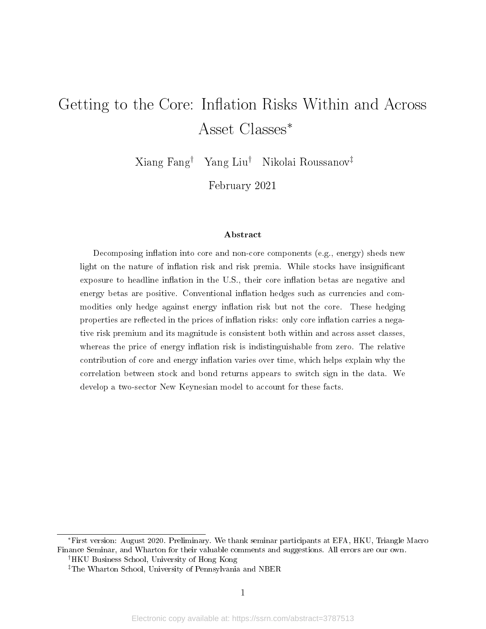# Getting to the Core: Inflation Risks Within and Across Asset Classes<sup>∗</sup>

Xiang Fang† Yang Liu† Nikolai Roussanov‡

February 2021

#### Abstract

Decomposing inflation into core and non-core components (e.g., energy) sheds new light on the nature of inflation risk and risk premia. While stocks have insignificant exposure to headline inflation in the U.S., their core inflation betas are negative and energy betas are positive. Conventional inflation hedges such as currencies and commodities only hedge against energy inflation risk but not the core. These hedging properties are reflected in the prices of inflation risks: only core inflation carries a negative risk premium and its magnitude is consistent both within and across asset classes, whereas the price of energy inflation risk is indistinguishable from zero. The relative contribution of core and energy inflation varies over time, which helps explain why the correlation between stock and bond returns appears to switch sign in the data. We develop a two-sector New Keynesian model to account for these facts.

<sup>∗</sup>First version: August 2020. Preliminary. We thank seminar participants at EFA, HKU, Triangle Macro Finance Seminar, and Wharton for their valuable comments and suggestions. All errors are our own. †HKU Business School, University of Hong Kong

<sup>‡</sup>The Wharton School, University of Pennsylvania and NBER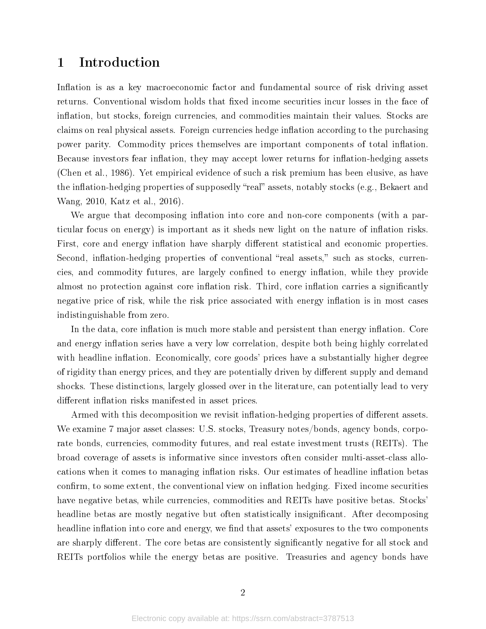# 1 Introduction

Inflation is as a key macroeconomic factor and fundamental source of risk driving asset returns. Conventional wisdom holds that fixed income securities incur losses in the face of inflation, but stocks, foreign currencies, and commodities maintain their values. Stocks are claims on real physical assets. Foreign currencies hedge inflation according to the purchasing power parity. Commodity prices themselves are important components of total inflation. Because investors fear inflation, they may accept lower returns for inflation-hedging assets (Chen et al., 1986). Yet empirical evidence of such a risk premium has been elusive, as have the inflation-hedging properties of supposedly "real" assets, notably stocks (e.g., Bekaert and Wang, 2010, Katz et al., 2016).

We argue that decomposing inflation into core and non-core components (with a particular focus on energy) is important as it sheds new light on the nature of inflation risks. First, core and energy inflation have sharply different statistical and economic properties. Second, inflation-hedging properties of conventional "real assets," such as stocks, currencies, and commodity futures, are largely confined to energy inflation, while they provide almost no protection against core inflation risk. Third, core inflation carries a significantly negative price of risk, while the risk price associated with energy inflation is in most cases indistinguishable from zero.

In the data, core inflation is much more stable and persistent than energy inflation. Core and energy inflation series have a very low correlation, despite both being highly correlated with headline inflation. Economically, core goods' prices have a substantially higher degree of rigidity than energy prices, and they are potentially driven by different supply and demand shocks. These distinctions, largely glossed over in the literature, can potentially lead to very different inflation risks manifested in asset prices.

Armed with this decomposition we revisit inflation-hedging properties of different assets. We examine 7 major asset classes: U.S. stocks, Treasury notes/bonds, agency bonds, corporate bonds, currencies, commodity futures, and real estate investment trusts (REITs). The broad coverage of assets is informative since investors often consider multi-asset-class allocations when it comes to managing inflation risks. Our estimates of headline inflation betas confirm, to some extent, the conventional view on inflation hedging. Fixed income securities have negative betas, while currencies, commodities and REITs have positive betas. Stocks' headline betas are mostly negative but often statistically insignificant. After decomposing headline inflation into core and energy, we find that assets' exposures to the two components are sharply different. The core betas are consistently significantly negative for all stock and REITs portfolios while the energy betas are positive. Treasuries and agency bonds have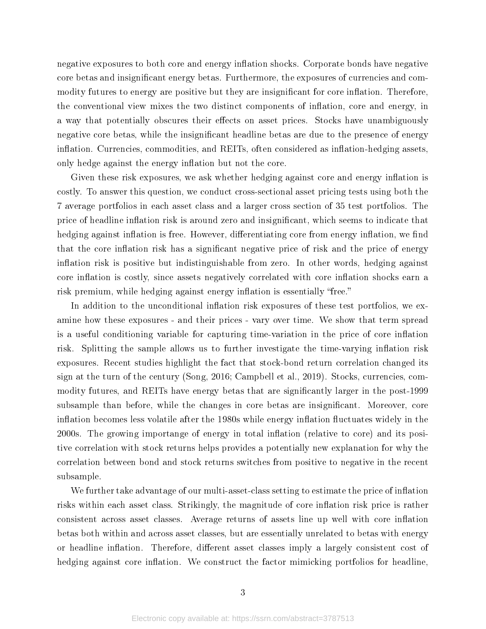negative exposures to both core and energy inflation shocks. Corporate bonds have negative core betas and insignificant energy betas. Furthermore, the exposures of currencies and commodity futures to energy are positive but they are insignificant for core inflation. Therefore, the conventional view mixes the two distinct components of inflation, core and energy, in a way that potentially obscures their effects on asset prices. Stocks have unambiguously negative core betas, while the insignificant headline betas are due to the presence of energy inflation. Currencies, commodities, and REITs, often considered as inflation-hedging assets, only hedge against the energy inflation but not the core.

Given these risk exposures, we ask whether hedging against core and energy inflation is costly. To answer this question, we conduct cross-sectional asset pricing tests using both the 7 average portfolios in each asset class and a larger cross section of 35 test portfolios. The price of headline inflation risk is around zero and insignificant, which seems to indicate that hedging against inflation is free. However, differentiating core from energy inflation, we find that the core inflation risk has a significant negative price of risk and the price of energy inflation risk is positive but indistinguishable from zero. In other words, hedging against core inflation is costly, since assets negatively correlated with core inflation shocks earn a risk premium, while hedging against energy inflation is essentially "free."

In addition to the unconditional inflation risk exposures of these test portfolios, we examine how these exposures - and their prices - vary over time. We show that term spread is a useful conditioning variable for capturing time-variation in the price of core inflation risk. Splitting the sample allows us to further investigate the time-varying inflation risk exposures. Recent studies highlight the fact that stock-bond return correlation changed its sign at the turn of the century (Song, 2016; Campbell et al., 2019). Stocks, currencies, commodity futures, and REITs have energy betas that are significantly larger in the post-1999 subsample than before, while the changes in core betas are insignificant. Moreover, core inflation becomes less volatile after the 1980s while energy inflation fluctuates widely in the 2000s. The growing importange of energy in total inflation (relative to core) and its positive correlation with stock returns helps provides a potentially new explanation for why the correlation between bond and stock returns switches from positive to negative in the recent subsample.

We further take advantage of our multi-asset-class setting to estimate the price of inflation risks within each asset class. Strikingly, the magnitude of core inflation risk price is rather consistent across asset classes. Average returns of assets line up well with core inflation betas both within and across asset classes, but are essentially unrelated to betas with energy or headline inflation. Therefore, different asset classes imply a largely consistent cost of hedging against core inflation. We construct the factor mimicking portfolios for headline,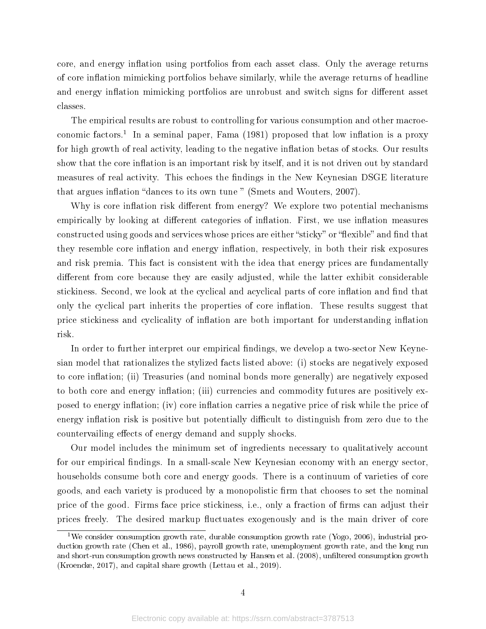core, and energy inflation using portfolios from each asset class. Only the average returns of core inflation mimicking portfolios behave similarly, while the average returns of headline and energy inflation mimicking portfolios are unrobust and switch signs for different asset classes.

The empirical results are robust to controlling for various consumption and other macroeconomic factors.<sup>1</sup> In a seminal paper, Fama  $(1981)$  proposed that low inflation is a proxy for high growth of real activity, leading to the negative inflation betas of stocks. Our results show that the core inflation is an important risk by itself, and it is not driven out by standard measures of real activity. This echoes the findings in the New Keynesian DSGE literature that argues inflation "dances to its own tune " (Smets and Wouters, 2007).

Why is core inflation risk different from energy? We explore two potential mechanisms empirically by looking at different categories of inflation. First, we use inflation measures constructed using goods and services whose prices are either "sticky" or "flexible" and find that they resemble core inflation and energy inflation, respectively, in both their risk exposures and risk premia. This fact is consistent with the idea that energy prices are fundamentally different from core because they are easily adjusted, while the latter exhibit considerable stickiness. Second, we look at the cyclical and acyclical parts of core inflation and find that only the cyclical part inherits the properties of core inflation. These results suggest that price stickiness and cyclicality of inflation are both important for understanding inflation risk.

In order to further interpret our empirical findings, we develop a two-sector New Keynesian model that rationalizes the stylized facts listed above: (i) stocks are negatively exposed to core inflation; (ii) Treasuries (and nominal bonds more generally) are negatively exposed to both core and energy inflation; (iii) currencies and commodity futures are positively exposed to energy inflation; (iv) core inflation carries a negative price of risk while the price of energy inflation risk is positive but potentially difficult to distinguish from zero due to the countervailing effects of energy demand and supply shocks.

Our model includes the minimum set of ingredients necessary to qualitatively account for our empirical findings. In a small-scale New Keynesian economy with an energy sector, households consume both core and energy goods. There is a continuum of varieties of core goods, and each variety is produced by a monopolistic firm that chooses to set the nominal price of the good. Firms face price stickiness, i.e., only a fraction of firms can adjust their prices freely. The desired markup fluctuates exogenously and is the main driver of core

<sup>&</sup>lt;sup>1</sup>We consider consumption growth rate, durable consumption growth rate (Yogo, 2006), industrial production growth rate (Chen et al., 1986), payroll growth rate, unemployment growth rate, and the long run and short-run consumption growth news constructed by Hansen et al. (2008), unfiltered consumption growth (Kroencke, 2017), and capital share growth (Lettau et al., 2019).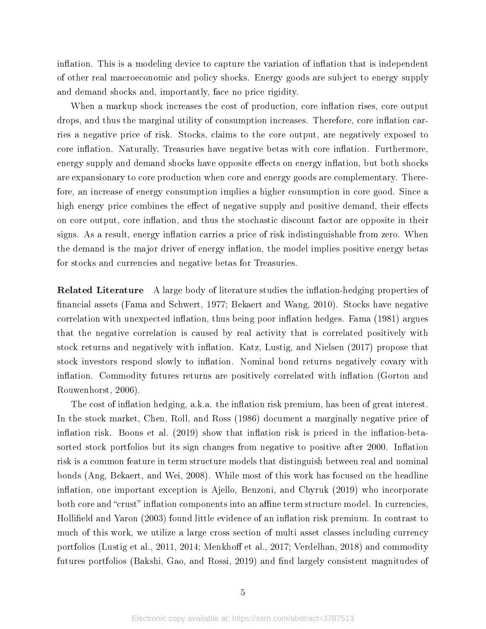inflation. This is a modeling device to capture the variation of inflation that is independent of other real macroeconomic and policy shocks. Energy goods are subject to energy supply and demand shocks and, importantly, face no price rigidity.

When a markup shock increases the cost of production, core inflation rises, core output drops, and thus the marginal utility of consumption increases. Therefore, core inflation carries a negative price of risk. Stocks, claims to the core output, are negatively exposed to core inflation. Naturally, Treasuries have negative betas with core inflation. Furthermore, energy supply and demand shocks have opposite effects on energy inflation, but both shocks are expansionary to core production when core and energy goods are complementary. Therefore, an increase of energy consumption implies a higher consumption in core good. Since a high energy price combines the effect of negative supply and positive demand, their effects on core output, core inflation, and thus the stochastic discount factor are opposite in their signs. As a result, energy inflation carries a price of risk indistinguishable from zero. When the demand is the major driver of energy inflation, the model implies positive energy betas for stocks and currencies and negative betas for Treasuries.

**Related Literature** A large body of literature studies the inflation-hedging properties of nancial assets (Fama and Schwert, 1977; Bekaert and Wang, 2010). Stocks have negative correlation with unexpected inflation, thus being poor inflation hedges. Fama (1981) argues that the negative correlation is caused by real activity that is correlated positively with stock returns and negatively with inflation. Katz, Lustig, and Nielsen (2017) propose that stock investors respond slowly to inflation. Nominal bond returns negatively covary with inflation. Commodity futures returns are positively correlated with inflation (Gorton and Rouwenhorst, 2006).

The cost of inflation hedging, a.k.a. the inflation risk premium, has been of great interest. In the stock market, Chen, Roll, and Ross (1986) document a marginally negative price of inflation risk. Boons et al.  $(2019)$  show that inflation risk is priced in the inflation-betasorted stock portfolios but its sign changes from negative to positive after 2000. Inflation risk is a common feature in term structure models that distinguish between real and nominal bonds (Ang, Bekaert, and Wei, 2008). While most of this work has focused on the headline inflation, one important exception is Ajello, Benzoni, and Chyruk  $(2019)$  who incorporate both core and "crust" inflation components into an affine term structure model. In currencies, Hollifield and Yaron (2003) found little evidence of an inflation risk premium. In contrast to much of this work, we utilize a large cross section of multi asset classes including currency portfolios (Lustig et al., 2011, 2014; Menkhoff et al., 2017; Verdelhan, 2018) and commodity futures portfolios (Bakshi, Gao, and Rossi, 2019) and find largely consistent magnitudes of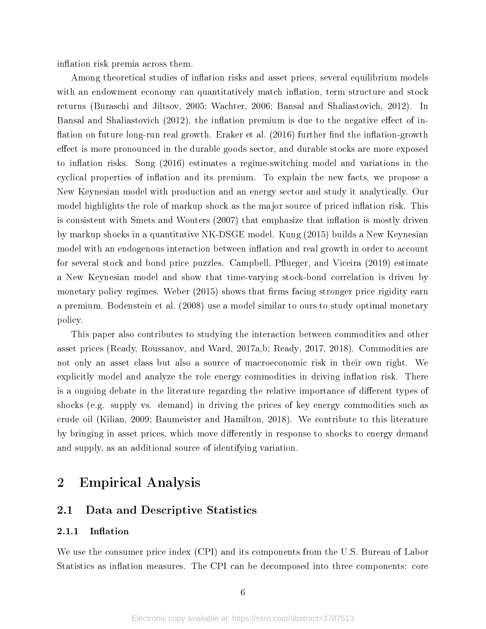inflation risk premia across them.

Among theoretical studies of inflation risks and asset prices, several equilibrium models with an endowment economy can quantitatively match inflation, term structure and stock returns (Buraschi and Jiltsov, 2005; Wachter, 2006; Bansal and Shaliastovich, 2012). In Bansal and Shaliastovich (2012), the inflation premium is due to the negative effect of inflation on future long-run real growth. Eraker et al. (2016) further find the inflation-growth effect is more pronounced in the durable goods sector, and durable stocks are more exposed to inflation risks. Song  $(2016)$  estimates a regime-switching model and variations in the cyclical properties of inflation and its premium. To explain the new facts, we propose a New Keynesian model with production and an energy sector and study it analytically. Our model highlights the role of markup shock as the major source of priced inflation risk. This is consistent with Smets and Wouters  $(2007)$  that emphasize that inflation is mostly driven by markup shocks in a quantitative NK-DSGE model. Kung (2015) builds a New Keynesian model with an endogenous interaction between inflation and real growth in order to account for several stock and bond price puzzles. Campbell, Pflueger, and Viceira (2019) estimate a New Keynesian model and show that time-varying stock-bond correlation is driven by monetary policy regimes. Weber (2015) shows that firms facing stronger price rigidity earn a premium. Bodenstein et al. (2008) use a model similar to ours to study optimal monetary policy.

This paper also contributes to studying the interaction between commodities and other asset prices (Ready, Roussanov, and Ward, 2017a,b; Ready, 2017, 2018). Commodities are not only an asset class but also a source of macroeconomic risk in their own right. We explicitly model and analyze the role energy commodities in driving inflation risk. There is a ongoing debate in the literature regarding the relative importance of different types of shocks (e.g. supply vs. demand) in driving the prices of key energy commodities such as crude oil (Kilian, 2009; Baumeister and Hamilton, 2018). We contribute to this literature by bringing in asset prices, which move differently in response to shocks to energy demand and supply, as an additional source of identifying variation.

# 2 Empirical Analysis

# 2.1 Data and Descriptive Statistics

#### 2.1.1 Inflation

We use the consumer price index (CPI) and its components from the U.S. Bureau of Labor Statistics as inflation measures. The CPI can be decomposed into three components: core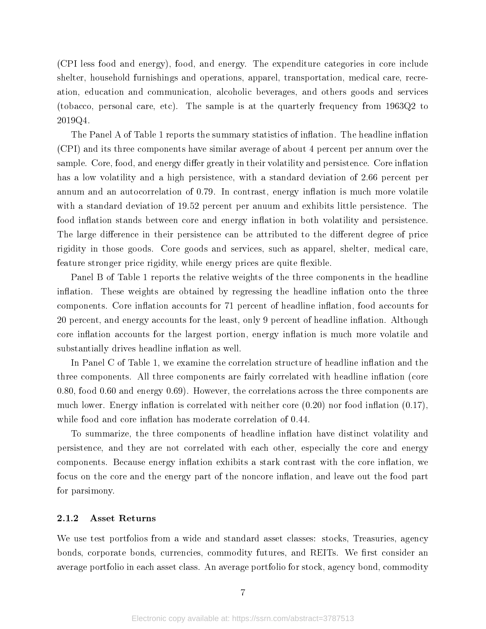(CPI less food and energy), food, and energy. The expenditure categories in core include shelter, household furnishings and operations, apparel, transportation, medical care, recreation, education and communication, alcoholic beverages, and others goods and services (tobacco, personal care, etc). The sample is at the quarterly frequency from 1963Q2 to 2019Q4.

The Panel A of Table 1 reports the summary statistics of inflation. The headline inflation (CPI) and its three components have similar average of about 4 percent per annum over the sample. Core, food, and energy differ greatly in their volatility and persistence. Core inflation has a low volatility and a high persistence, with a standard deviation of 2.66 percent per annum and an autocorrelation of  $0.79$ . In contrast, energy inflation is much more volatile with a standard deviation of 19.52 percent per anuum and exhibits little persistence. The food inflation stands between core and energy inflation in both volatility and persistence. The large difference in their persistence can be attributed to the different degree of price rigidity in those goods. Core goods and services, such as apparel, shelter, medical care, feature stronger price rigidity, while energy prices are quite flexible.

Panel B of Table 1 reports the relative weights of the three components in the headline inflation. These weights are obtained by regressing the headline inflation onto the three components. Core inflation accounts for 71 percent of headline inflation, food accounts for 20 percent, and energy accounts for the least, only 9 percent of headline inflation. Although core inflation accounts for the largest portion, energy inflation is much more volatile and substantially drives headline inflation as well.

In Panel C of Table 1, we examine the correlation structure of headline inflation and the three components. All three components are fairly correlated with headline inflation (core 0.80, food 0.60 and energy 0.69). However, the correlations across the three components are much lower. Energy inflation is correlated with neither core  $(0.20)$  nor food inflation  $(0.17)$ , while food and core inflation has moderate correlation of 0.44.

To summarize, the three components of headline inflation have distinct volatility and persistence, and they are not correlated with each other, especially the core and energy components. Because energy inflation exhibits a stark contrast with the core inflation, we focus on the core and the energy part of the noncore inflation, and leave out the food part for parsimony.

#### 2.1.2 Asset Returns

We use test portfolios from a wide and standard asset classes: stocks, Treasuries, agency bonds, corporate bonds, currencies, commodity futures, and REITs. We first consider an average portfolio in each asset class. An average portfolio for stock, agency bond, commodity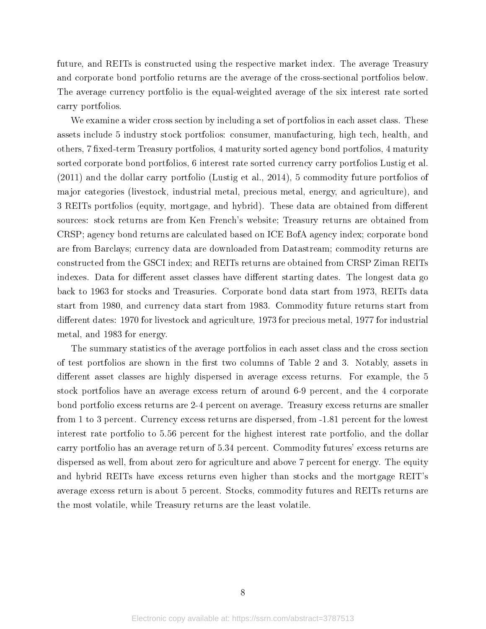future, and REITs is constructed using the respective market index. The average Treasury and corporate bond portfolio returns are the average of the cross-sectional portfolios below. The average currency portfolio is the equal-weighted average of the six interest rate sorted carry portfolios.

We examine a wider cross section by including a set of portfolios in each asset class. These assets include 5 industry stock portfolios: consumer, manufacturing, high tech, health, and others, 7 fixed-term Treasury portfolios, 4 maturity sorted agency bond portfolios, 4 maturity sorted corporate bond portfolios, 6 interest rate sorted currency carry portfolios Lustig et al. (2011) and the dollar carry portfolio (Lustig et al., 2014), 5 commodity future portfolios of major categories (livestock, industrial metal, precious metal, energy, and agriculture), and 3 REITs portfolios (equity, mortgage, and hybrid). These data are obtained from different sources: stock returns are from Ken French's website; Treasury returns are obtained from CRSP; agency bond returns are calculated based on ICE BofA agency index; corporate bond are from Barclays; currency data are downloaded from Datastream; commodity returns are constructed from the GSCI index; and REITs returns are obtained from CRSP Ziman REITs indexes. Data for different asset classes have different starting dates. The longest data go back to 1963 for stocks and Treasuries. Corporate bond data start from 1973, REITs data start from 1980, and currency data start from 1983. Commodity future returns start from different dates: 1970 for livestock and agriculture, 1973 for precious metal, 1977 for industrial metal, and 1983 for energy.

The summary statistics of the average portfolios in each asset class and the cross section of test portfolios are shown in the first two columns of Table 2 and 3. Notably, assets in different asset classes are highly dispersed in average excess returns. For example, the 5 stock portfolios have an average excess return of around 6-9 percent, and the 4 corporate bond portfolio excess returns are 2-4 percent on average. Treasury excess returns are smaller from 1 to 3 percent. Currency excess returns are dispersed, from -1.81 percent for the lowest interest rate portfolio to 5.56 percent for the highest interest rate portfolio, and the dollar carry portfolio has an average return of 5.34 percent. Commodity futures' excess returns are dispersed as well, from about zero for agriculture and above 7 percent for energy. The equity and hybrid REITs have excess returns even higher than stocks and the mortgage REIT's average excess return is about 5 percent. Stocks, commodity futures and REITs returns are the most volatile, while Treasury returns are the least volatile.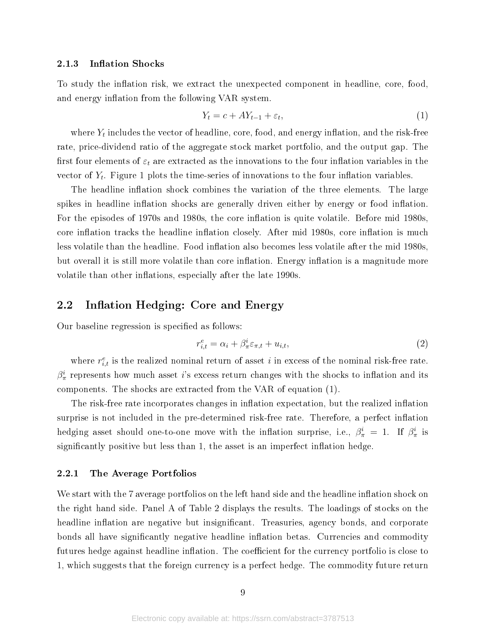#### 2.1.3 Inflation Shocks

To study the inflation risk, we extract the unexpected component in headline, core, food, and energy inflation from the following VAR system.

$$
Y_t = c + A Y_{t-1} + \varepsilon_t,\tag{1}
$$

where  $Y_t$  includes the vector of headline, core, food, and energy inflation, and the risk-free rate, price-dividend ratio of the aggregate stock market portfolio, and the output gap. The first four elements of  $\varepsilon_t$  are extracted as the innovations to the four inflation variables in the vector of  $Y_t$ . Figure 1 plots the time-series of innovations to the four inflation variables.

The headline inflation shock combines the variation of the three elements. The large spikes in headline inflation shocks are generally driven either by energy or food inflation. For the episodes of 1970s and 1980s, the core inflation is quite volatile. Before mid 1980s, core inflation tracks the headline inflation closely. After mid 1980s, core inflation is much less volatile than the headline. Food inflation also becomes less volatile after the mid 1980s. but overall it is still more volatile than core inflation. Energy inflation is a magnitude more volatile than other inflations, especially after the late 1990s.

# 2.2 Inflation Hedging: Core and Energy

Our baseline regression is specified as follows:

$$
r_{i,t}^e = \alpha_i + \beta_{\pi}^i \varepsilon_{\pi,t} + u_{i,t},\tag{2}
$$

where  $r_{i,t}^e$  is the realized nominal return of asset i in excess of the nominal risk-free rate.  $\beta_\pi^i$  represents how much asset i's excess return changes with the shocks to inflation and its components. The shocks are extracted from the VAR of equation (1).

The risk-free rate incorporates changes in inflation expectation, but the realized inflation surprise is not included in the pre-determined risk-free rate. Therefore, a perfect inflation hedging asset should one-to-one move with the inflation surprise, i.e.,  $\beta^i_\pi = 1$ . If  $\beta^i_\pi$  is significantly positive but less than 1, the asset is an imperfect inflation hedge.

#### 2.2.1 The Average Portfolios

We start with the 7 average portfolios on the left hand side and the headline inflation shock on the right hand side. Panel A of Table 2 displays the results. The loadings of stocks on the headline inflation are negative but insignificant. Treasuries, agency bonds, and corporate bonds all have significantly negative headline inflation betas. Currencies and commodity futures hedge against headline inflation. The coefficient for the currency portfolio is close to 1, which suggests that the foreign currency is a perfect hedge. The commodity future return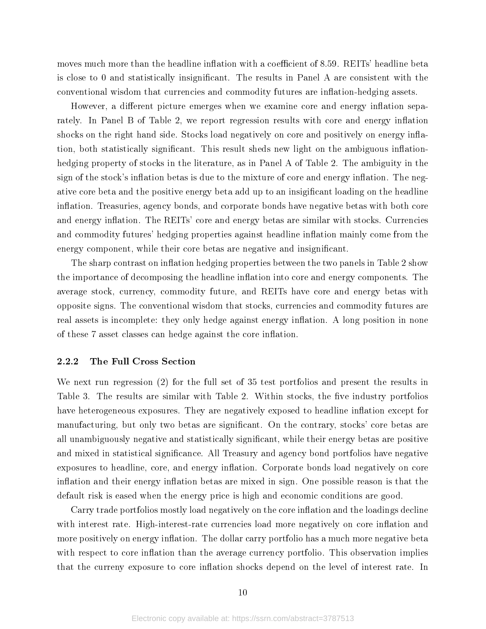moves much more than the headline inflation with a coefficient of 8.59. REITs' headline beta is close to 0 and statistically insignicant. The results in Panel A are consistent with the conventional wisdom that currencies and commodity futures are inflation-hedging assets.

However, a different picture emerges when we examine core and energy inflation separately. In Panel B of Table 2, we report regression results with core and energy inflation shocks on the right hand side. Stocks load negatively on core and positively on energy inflation, both statistically significant. This result sheds new light on the ambiguous inflationhedging property of stocks in the literature, as in Panel A of Table 2. The ambiguity in the sign of the stock's inflation betas is due to the mixture of core and energy inflation. The negative core beta and the positive energy beta add up to an insigificant loading on the headline inflation. Treasuries, agency bonds, and corporate bonds have negative betas with both core and energy inflation. The REITs' core and energy betas are similar with stocks. Currencies and commodity futures' hedging properties against headline inflation mainly come from the energy component, while their core betas are negative and insignificant.

The sharp contrast on inflation hedging properties between the two panels in Table 2 show the importance of decomposing the headline inflation into core and energy components. The average stock, currency, commodity future, and REITs have core and energy betas with opposite signs. The conventional wisdom that stocks, currencies and commodity futures are real assets is incomplete: they only hedge against energy inflation. A long position in none of these 7 asset classes can hedge against the core inflation.

#### 2.2.2 The Full Cross Section

We next run regression (2) for the full set of 35 test portfolios and present the results in Table 3. The results are similar with Table 2. Within stocks, the five industry portfolios have heterogeneous exposures. They are negatively exposed to headline inflation except for manufacturing, but only two betas are signicant. On the contrary, stocks' core betas are all unambiguously negative and statistically significant, while their energy betas are positive and mixed in statistical significance. All Treasury and agency bond portfolios have negative exposures to headline, core, and energy inflation. Corporate bonds load negatively on core inflation and their energy inflation betas are mixed in sign. One possible reason is that the default risk is eased when the energy price is high and economic conditions are good.

Carry trade portfolios mostly load negatively on the core inflation and the loadings decline with interest rate. High-interest-rate currencies load more negatively on core inflation and more positively on energy inflation. The dollar carry portfolio has a much more negative beta with respect to core inflation than the average currency portfolio. This observation implies that the curreny exposure to core inflation shocks depend on the level of interest rate. In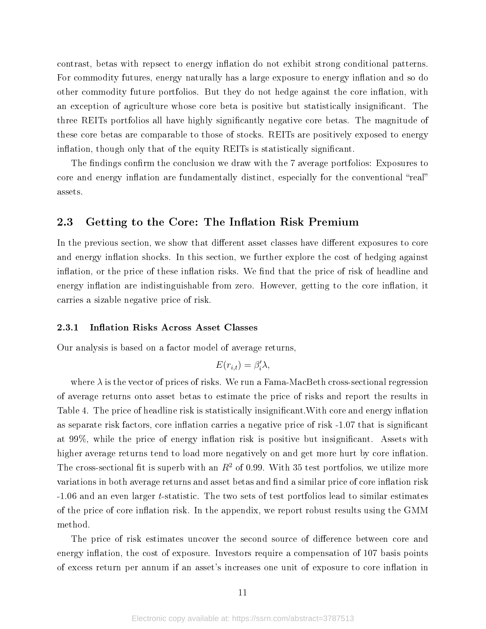contrast, betas with repsect to energy inflation do not exhibit strong conditional patterns. For commodity futures, energy naturally has a large exposure to energy inflation and so do other commodity future portfolios. But they do not hedge against the core inflation, with an exception of agriculture whose core beta is positive but statistically insignicant. The three REITs portfolios all have highly signicantly negative core betas. The magnitude of these core betas are comparable to those of stocks. REITs are positively exposed to energy inflation, though only that of the equity REITs is statistically significant.

The findings confirm the conclusion we draw with the 7 average portfolios: Exposures to core and energy inflation are fundamentally distinct, especially for the conventional "real" assets.

### 2.3 Getting to the Core: The Inflation Risk Premium

In the previous section, we show that different asset classes have different exposures to core and energy inflation shocks. In this section, we further explore the cost of hedging against inflation, or the price of these inflation risks. We find that the price of risk of headline and energy inflation are indistinguishable from zero. However, getting to the core inflation, it carries a sizable negative price of risk.

#### 2.3.1 Inflation Risks Across Asset Classes

Our analysis is based on a factor model of average returns,

$$
E(r_{i,t}) = \beta_i' \lambda,
$$

where  $\lambda$  is the vector of prices of risks. We run a Fama-MacBeth cross-sectional regression of average returns onto asset betas to estimate the price of risks and report the results in Table 4. The price of headline risk is statistically insignificant. With core and energy inflation as separate risk factors, core inflation carries a negative price of risk  $-1.07$  that is significant at  $99\%$ , while the price of energy inflation risk is positive but insignificant. Assets with higher average returns tend to load more negatively on and get more hurt by core inflation. The cross-sectional fit is superb with an  $R^2$  of 0.99. With 35 test portfolios, we utilize more variations in both average returns and asset betas and find a similar price of core inflation risk -1.06 and an even larger t-statistic. The two sets of test portfolios lead to similar estimates of the price of core inflation risk. In the appendix, we report robust results using the GMM method.

The price of risk estimates uncover the second source of difference between core and energy inflation, the cost of exposure. Investors require a compensation of 107 basis points of excess return per annum if an asset's increases one unit of exposure to core inflation in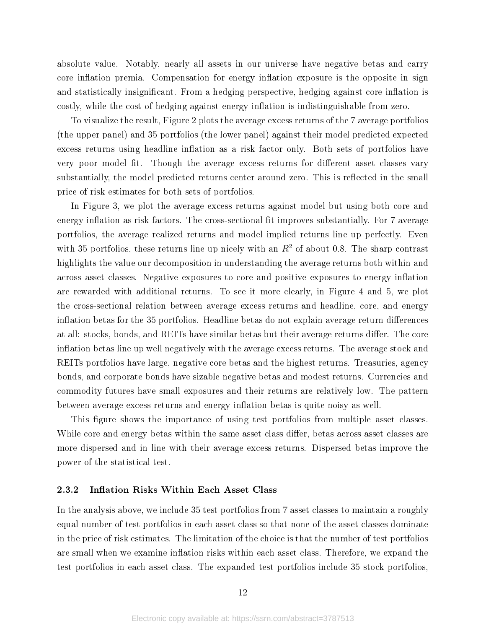absolute value. Notably, nearly all assets in our universe have negative betas and carry core inflation premia. Compensation for energy inflation exposure is the opposite in sign and statistically insignificant. From a hedging perspective, hedging against core inflation is costly, while the cost of hedging against energy inflation is indistinguishable from zero.

To visualize the result, Figure 2 plots the average excess returns of the 7 average portfolios (the upper panel) and 35 portfolios (the lower panel) against their model predicted expected excess returns using headline inflation as a risk factor only. Both sets of portfolios have very poor model fit. Though the average excess returns for different asset classes vary substantially, the model predicted returns center around zero. This is reflected in the small price of risk estimates for both sets of portfolios.

In Figure 3, we plot the average excess returns against model but using both core and energy inflation as risk factors. The cross-sectional fit improves substantially. For 7 average portfolios, the average realized returns and model implied returns line up perfectly. Even with 35 portfolios, these returns line up nicely with an  $R<sup>2</sup>$  of about 0.8. The sharp contrast highlights the value our decomposition in understanding the average returns both within and across asset classes. Negative exposures to core and positive exposures to energy inflation are rewarded with additional returns. To see it more clearly, in Figure 4 and 5, we plot the cross-sectional relation between average excess returns and headline, core, and energy inflation betas for the 35 portfolios. Headline betas do not explain average return differences at all: stocks, bonds, and REITs have similar betas but their average returns differ. The core inflation betas line up well negatively with the average excess returns. The average stock and REITs portfolios have large, negative core betas and the highest returns. Treasuries, agency bonds, and corporate bonds have sizable negative betas and modest returns. Currencies and commodity futures have small exposures and their returns are relatively low. The pattern between average excess returns and energy inflation betas is quite noisy as well.

This figure shows the importance of using test portfolios from multiple asset classes. While core and energy betas within the same asset class differ, betas across asset classes are more dispersed and in line with their average excess returns. Dispersed betas improve the power of the statistical test.

#### 2.3.2 Inflation Risks Within Each Asset Class

In the analysis above, we include 35 test portfolios from 7 asset classes to maintain a roughly equal number of test portfolios in each asset class so that none of the asset classes dominate in the price of risk estimates. The limitation of the choice is that the number of test portfolios are small when we examine inflation risks within each asset class. Therefore, we expand the test portfolios in each asset class. The expanded test portfolios include 35 stock portfolios,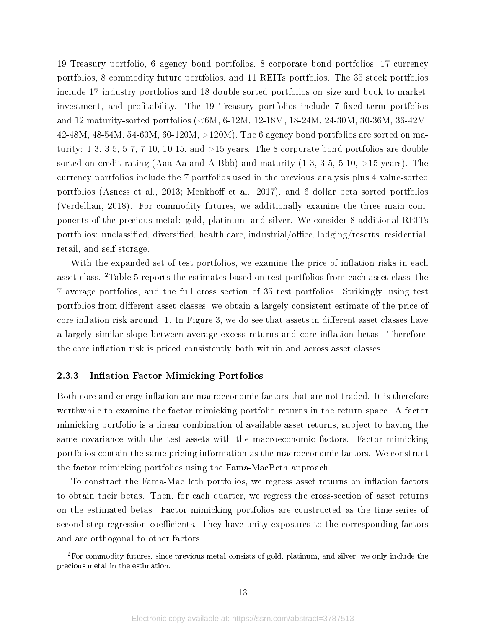19 Treasury portfolio, 6 agency bond portfolios, 8 corporate bond portfolios, 17 currency portfolios, 8 commodity future portfolios, and 11 REITs portfolios. The 35 stock portfolios include 17 industry portfolios and 18 double-sorted portfolios on size and book-to-market, investment, and profitability. The 19 Treasury portfolios include 7 fixed term portfolios and 12 maturity-sorted portfolios (<6M, 6-12M, 12-18M, 18-24M, 24-30M, 30-36M, 36-42M, 42-48M, 48-54M, 54-60M, 60-120M, >120M). The 6 agency bond portfolios are sorted on maturity: 1-3, 3-5, 5-7, 7-10, 10-15, and  $>15$  years. The 8 corporate bond portfolios are double sorted on credit rating (Aaa-Aa and A-Bbb) and maturity  $(1-3, 3-5, 5-10, >15$  years). The currency portfolios include the 7 portfolios used in the previous analysis plus 4 value-sorted portfolios (Asness et al., 2013; Menkhoff et al., 2017), and 6 dollar beta sorted portfolios (Verdelhan, 2018). For commodity futures, we additionally examine the three main components of the precious metal: gold, platinum, and silver. We consider 8 additional REITs portfolios: unclassified, diversified, health care, industrial/office,  $\log_{10}(r_{\rm s}$  resorts, residential, retail, and self-storage.

With the expanded set of test portfolios, we examine the price of inflation risks in each asset class. <sup>2</sup>Table 5 reports the estimates based on test portfolios from each asset class, the 7 average portfolios, and the full cross section of 35 test portfolios. Strikingly, using test portfolios from different asset classes, we obtain a largely consistent estimate of the price of core inflation risk around -1. In Figure 3, we do see that assets in different asset classes have a largely similar slope between average excess returns and core inflation betas. Therefore, the core inflation risk is priced consistently both within and across asset classes.

#### 2.3.3 Inflation Factor Mimicking Portfolios

Both core and energy inflation are macroeconomic factors that are not traded. It is therefore worthwhile to examine the factor mimicking portfolio returns in the return space. A factor mimicking portfolio is a linear combination of available asset returns, subject to having the same covariance with the test assets with the macroeconomic factors. Factor mimicking portfolios contain the same pricing information as the macroeconomic factors. We construct the factor mimicking portfolios using the Fama-MacBeth approach.

To constract the Fama-MacBeth portfolios, we regress asset returns on inflation factors to obtain their betas. Then, for each quarter, we regress the cross-section of asset returns on the estimated betas. Factor mimicking portfolios are constructed as the time-series of second-step regression coefficients. They have unity exposures to the corresponding factors and are orthogonal to other factors.

 ${}^{2}$ For commodity futures, since previous metal consists of gold, platinum, and silver, we only include the precious metal in the estimation.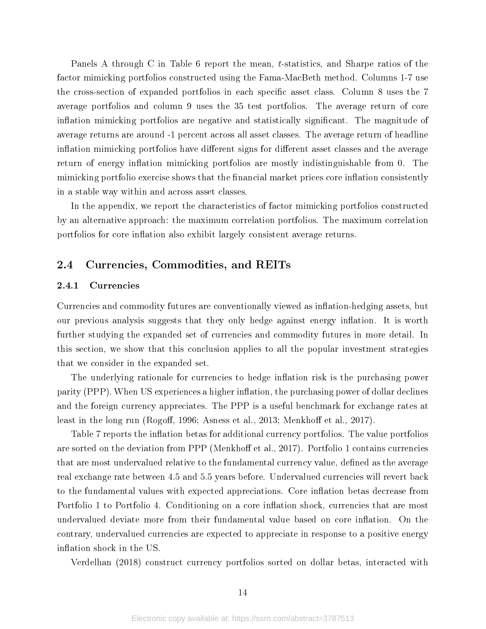Panels A through C in Table 6 report the mean, t-statistics, and Sharpe ratios of the factor mimicking portfolios constructed using the Fama-MacBeth method. Columns 1-7 use the cross-section of expanded portfolios in each specific asset class. Column 8 uses the 7 average portfolios and column 9 uses the 35 test portfolios. The average return of core inflation mimicking portfolios are negative and statistically significant. The magnitude of average returns are around -1 percent across all asset classes. The average return of headline inflation mimicking portfolios have different signs for different asset classes and the average return of energy inflation mimicking portfolios are mostly indistinguishable from 0. The mimicking portfolio exercise shows that the financial market prices core inflation consistently in a stable way within and across asset classes.

In the appendix, we report the characteristics of factor mimicking portfolios constructed by an alternative approach: the maximum correlation portfolios. The maximum correlation portfolios for core inflation also exhibit largely consistent average returns.

### 2.4 Currencies, Commodities, and REITs

#### 2.4.1 Currencies

Currencies and commodity futures are conventionally viewed as inflation-hedging assets, but our previous analysis suggests that they only hedge against energy inflation. It is worth further studying the expanded set of currencies and commodity futures in more detail. In this section, we show that this conclusion applies to all the popular investment strategies that we consider in the expanded set.

The underlying rationale for currencies to hedge inflation risk is the purchasing power parity (PPP). When US experiences a higher inflation, the purchasing power of dollar declines and the foreign currency appreciates. The PPP is a useful benchmark for exchange rates at least in the long run (Rogoff, 1996; Asness et al., 2013; Menkhoff et al., 2017).

Table 7 reports the inflation betas for additional currency portfolios. The value portfolios are sorted on the deviation from PPP (Menkhoff et al., 2017). Portfolio 1 contains currencies that are most undervalued relative to the fundamental currency value, defined as the average real exchange rate between 4.5 and 5.5 years before. Undervalued currencies will revert back to the fundamental values with expected appreciations. Core inflation betas decrease from Portfolio 1 to Portfolio 4. Conditioning on a core inflation shock, currencies that are most undervalued deviate more from their fundamental value based on core inflation. On the contrary, undervalued currencies are expected to appreciate in response to a positive energy inflation shock in the US.

Verdelhan (2018) construct currency portfolios sorted on dollar betas, interacted with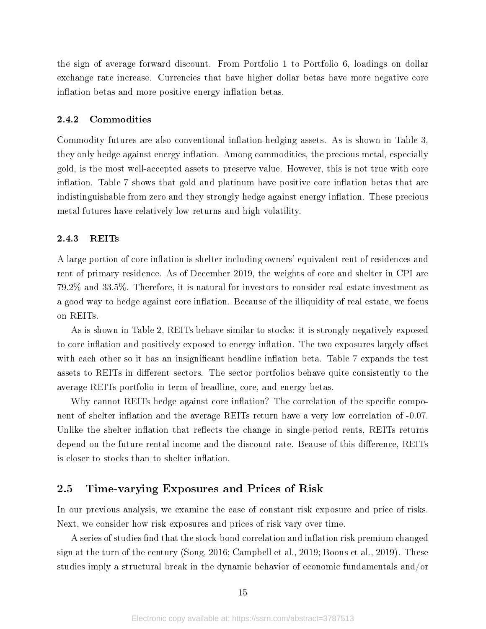the sign of average forward discount. From Portfolio 1 to Portfolio 6, loadings on dollar exchange rate increase. Currencies that have higher dollar betas have more negative core inflation betas and more positive energy inflation betas.

#### 2.4.2 Commodities

Commodity futures are also conventional inflation-hedging assets. As is shown in Table 3, they only hedge against energy inflation. Among commodities, the precious metal, especially gold, is the most well-accepted assets to preserve value. However, this is not true with core inflation. Table 7 shows that gold and platinum have positive core inflation betas that are indistinguishable from zero and they strongly hedge against energy inflation. These precious metal futures have relatively low returns and high volatility.

#### 2.4.3 REITs

A large portion of core inflation is shelter including owners' equivalent rent of residences and rent of primary residence. As of December 2019, the weights of core and shelter in CPI are 79.2% and 33.5%. Therefore, it is natural for investors to consider real estate investment as a good way to hedge against core inflation. Because of the illiquidity of real estate, we focus on REITs.

As is shown in Table 2, REITs behave similar to stocks: it is strongly negatively exposed to core inflation and positively exposed to energy inflation. The two exposures largely offset with each other so it has an insignificant headline inflation beta. Table 7 expands the test assets to REITs in different sectors. The sector portfolios behave quite consistently to the average REITs portfolio in term of headline, core, and energy betas.

Why cannot REITs hedge against core inflation? The correlation of the specific component of shelter inflation and the average REITs return have a very low correlation of -0.07. Unlike the shelter inflation that reflects the change in single-period rents, REITs returns depend on the future rental income and the discount rate. Beause of this difference, REITs is closer to stocks than to shelter inflation.

### 2.5 Time-varying Exposures and Prices of Risk

In our previous analysis, we examine the case of constant risk exposure and price of risks. Next, we consider how risk exposures and prices of risk vary over time.

A series of studies find that the stock-bond correlation and inflation risk premium changed sign at the turn of the century (Song, 2016; Campbell et al., 2019; Boons et al., 2019). These studies imply a structural break in the dynamic behavior of economic fundamentals and/or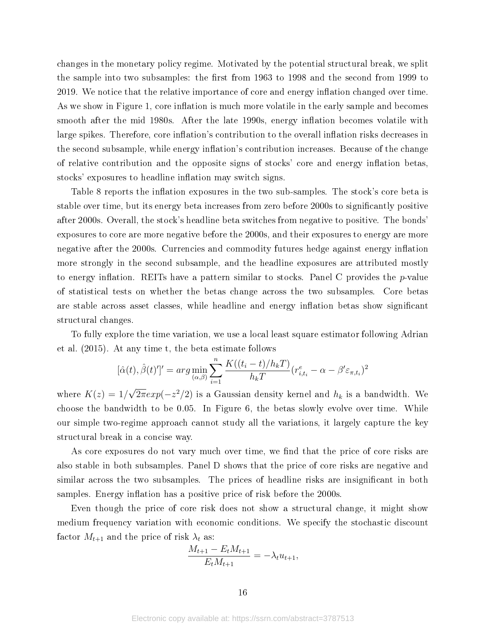changes in the monetary policy regime. Motivated by the potential structural break, we split the sample into two subsamples: the first from 1963 to 1998 and the second from 1999 to 2019. We notice that the relative importance of core and energy inflation changed over time. As we show in Figure 1, core inflation is much more volatile in the early sample and becomes smooth after the mid 1980s. After the late 1990s, energy inflation becomes volatile with large spikes. Therefore, core inflation's contribution to the overall inflation risks decreases in the second subsample, while energy inflation's contribution increases. Because of the change of relative contribution and the opposite signs of stocks' core and energy inflation betas. stocks' exposures to headline inflation may switch signs.

Table 8 reports the inflation exposures in the two sub-samples. The stock's core beta is stable over time, but its energy beta increases from zero before 2000s to signicantly positive after 2000s. Overall, the stock's headline beta switches from negative to positive. The bonds' exposures to core are more negative before the 2000s, and their exposures to energy are more negative after the 2000s. Currencies and commodity futures hedge against energy inflation more strongly in the second subsample, and the headline exposures are attributed mostly to energy inflation. REITs have a pattern similar to stocks. Panel C provides the  $p$ -value of statistical tests on whether the betas change across the two subsamples. Core betas are stable across asset classes, while headline and energy inflation betas show significant structural changes.

To fully explore the time variation, we use a local least square estimator following Adrian et al. (2015). At any time t, the beta estimate follows

$$
[\hat{\alpha}(t), \hat{\beta}(t)']' = \arg \min_{(\alpha, \beta)} \sum_{i=1}^{n} \frac{K((t_i - t)/h_k)'}{h_k} (r_{i, t_i}^e - \alpha - \beta' \varepsilon_{\pi, t_i})^2
$$

where  $K(z) = 1/$  $\overline{2\pi}exp(-z^2/2)$  is a Gaussian density kernel and  $h_k$  is a bandwidth. We choose the bandwidth to be 0.05. In Figure 6, the betas slowly evolve over time. While our simple two-regime approach cannot study all the variations, it largely capture the key structural break in a concise way.

As core exposures do not vary much over time, we find that the price of core risks are also stable in both subsamples. Panel D shows that the price of core risks are negative and similar across the two subsamples. The prices of headline risks are insignificant in both samples. Energy inflation has a positive price of risk before the 2000s.

Even though the price of core risk does not show a structural change, it might show medium frequency variation with economic conditions. We specify the stochastic discount factor  $M_{t+1}$  and the price of risk  $\lambda_t$  as:

$$
\frac{M_{t+1} - E_t M_{t+1}}{E_t M_{t+1}} = -\lambda_t u_{t+1},
$$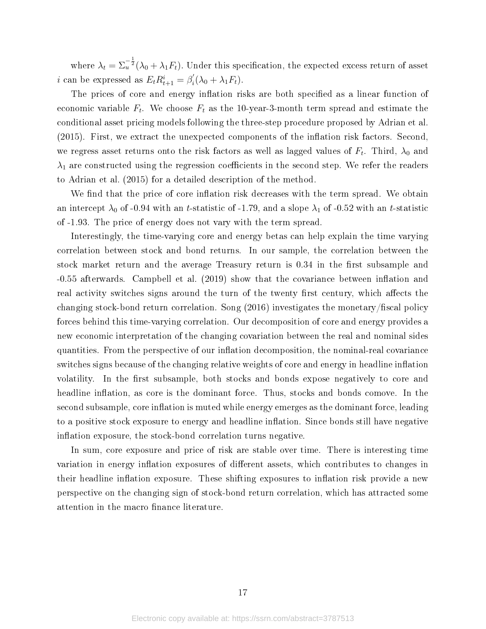where  $\lambda_t = \sum_{u}^{-\frac{1}{2}} (\lambda_0 + \lambda_1 F_t)$ . Under this specification, the expected excess return of asset *i* can be expressed as  $E_t R_{t+1}^i = \beta_i^i$  $i'_{i}(\lambda_0 + \lambda_1 F_t).$ 

The prices of core and energy inflation risks are both specified as a linear function of economic variable  $F_t$ . We choose  $F_t$  as the 10-year-3-month term spread and estimate the conditional asset pricing models following the three-step procedure proposed by Adrian et al.  $(2015)$ . First, we extract the unexpected components of the inflation risk factors. Second, we regress asset returns onto the risk factors as well as lagged values of  $F_t.$  Third,  $\lambda_0$  and  $\lambda_1$  are constructed using the regression coefficients in the second step. We refer the readers to Adrian et al. (2015) for a detailed description of the method.

We find that the price of core inflation risk decreases with the term spread. We obtain an intercept  $\lambda_0$  of -0.94 with an t-statistic of -1.79, and a slope  $\lambda_1$  of -0.52 with an t-statistic of -1.93. The price of energy does not vary with the term spread.

Interestingly, the time-varying core and energy betas can help explain the time varying correlation between stock and bond returns. In our sample, the correlation between the stock market return and the average Treasury return is 0.34 in the first subsample and  $-0.55$  afterwards. Campbell et al.  $(2019)$  show that the covariance between inflation and real activity switches signs around the turn of the twenty first century, which affects the changing stock-bond return correlation. Song  $(2016)$  investigates the monetary/fiscal policy forces behind this time-varying correlation. Our decomposition of core and energy provides a new economic interpretation of the changing covariation between the real and nominal sides quantities. From the perspective of our inflation decomposition, the nominal-real covariance switches signs because of the changing relative weights of core and energy in headline inflation volatility. In the first subsample, both stocks and bonds expose negatively to core and headline inflation, as core is the dominant force. Thus, stocks and bonds comove. In the second subsample, core inflation is muted while energy emerges as the dominant force, leading to a positive stock exposure to energy and headline inflation. Since bonds still have negative inflation exposure, the stock-bond correlation turns negative.

In sum, core exposure and price of risk are stable over time. There is interesting time variation in energy inflation exposures of different assets, which contributes to changes in their headline inflation exposure. These shifting exposures to inflation risk provide a new perspective on the changing sign of stock-bond return correlation, which has attracted some attention in the macro finance literature.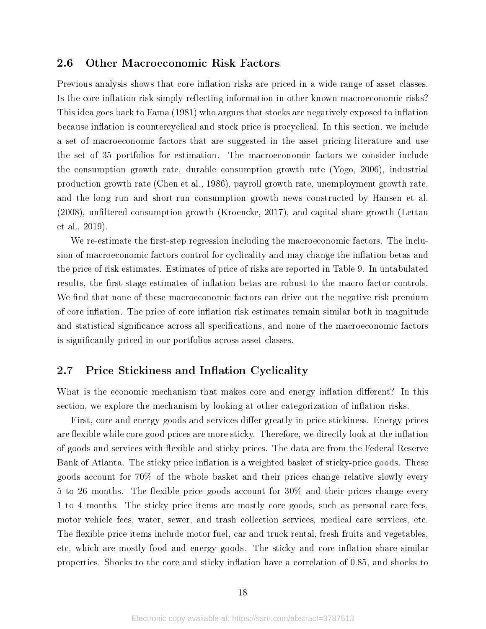# 2.6 Other Macroeconomic Risk Factors

Previous analysis shows that core inflation risks are priced in a wide range of asset classes. Is the core inflation risk simply reflecting information in other known macroeconomic risks? This idea goes back to Fama (1981) who argues that stocks are negatively exposed to inflation because inflation is countercyclical and stock price is procyclical. In this section, we include a set of macroeconomic factors that are suggested in the asset pricing literature and use the set of 35 portfolios for estimation. The macroeconomic factors we consider include the consumption growth rate, durable consumption growth rate (Yogo, 2006), industrial production growth rate (Chen et al., 1986), payroll growth rate, unemployment growth rate, and the long run and short-run consumption growth news constructed by Hansen et al.  $(2008)$ , unfiltered consumption growth (Kroencke, 2017), and capital share growth (Lettau et al., 2019).

We re-estimate the first-step regression including the macroeconomic factors. The inclusion of macroeconomic factors control for cyclicality and may change the inflation betas and the price of risk estimates. Estimates of price of risks are reported in Table 9. In untabulated results, the first-stage estimates of inflation betas are robust to the macro factor controls. We find that none of these macroeconomic factors can drive out the negative risk premium of core inflation. The price of core inflation risk estimates remain similar both in magnitude and statistical significance across all specifications, and none of the macroeconomic factors is signicantly priced in our portfolios across asset classes.

# 2.7 Price Stickiness and Inflation Cyclicality

What is the economic mechanism that makes core and energy inflation different? In this section, we explore the mechanism by looking at other categorization of inflation risks.

First, core and energy goods and services differ greatly in price stickiness. Energy prices are flexible while core good prices are more sticky. Therefore, we directly look at the inflation of goods and services with flexible and sticky prices. The data are from the Federal Reserve Bank of Atlanta. The sticky price inflation is a weighted basket of sticky-price goods. These goods account for 70% of the whole basket and their prices change relative slowly every 5 to 26 months. The flexible price goods account for  $30\%$  and their prices change every 1 to 4 months. The sticky price items are mostly core goods, such as personal care fees, motor vehicle fees, water, sewer, and trash collection services, medical care services, etc. The flexible price items include motor fuel, car and truck rental, fresh fruits and vegetables. etc, which are mostly food and energy goods. The sticky and core inflation share similar properties. Shocks to the core and sticky inflation have a correlation of  $0.85$ , and shocks to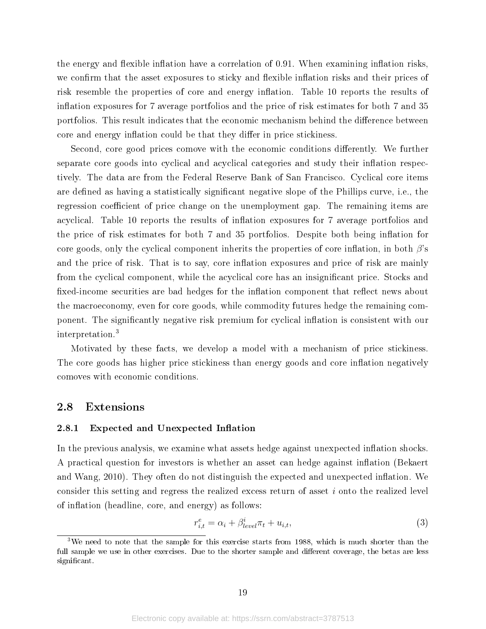the energy and flexible inflation have a correlation of  $0.91$ . When examining inflation risks, we confirm that the asset exposures to sticky and flexible inflation risks and their prices of risk resemble the properties of core and energy inflation. Table 10 reports the results of inflation exposures for 7 average portfolios and the price of risk estimates for both 7 and 35 portfolios. This result indicates that the economic mechanism behind the difference between core and energy inflation could be that they differ in price stickiness.

Second, core good prices comove with the economic conditions differently. We further separate core goods into cyclical and acyclical categories and study their inflation respectively. The data are from the Federal Reserve Bank of San Francisco. Cyclical core items are defined as having a statistically significant negative slope of the Phillips curve, i.e., the regression coefficient of price change on the unemployment gap. The remaining items are acyclical. Table 10 reports the results of inflation exposures for 7 average portfolios and the price of risk estimates for both 7 and 35 portfolios. Despite both being inflation for core goods, only the cyclical component inherits the properties of core inflation, in both  $\beta$ 's and the price of risk. That is to say, core inflation exposures and price of risk are mainly from the cyclical component, while the acyclical core has an insignicant price. Stocks and fixed-income securities are bad hedges for the inflation component that reflect news about the macroeconomy, even for core goods, while commodity futures hedge the remaining component. The significantly negative risk premium for cyclical inflation is consistent with our interpretation.<sup>3</sup>

Motivated by these facts, we develop a model with a mechanism of price stickiness. The core goods has higher price stickiness than energy goods and core inflation negatively comoves with economic conditions.

# 2.8 Extensions

#### 2.8.1 Expected and Unexpected Inflation

In the previous analysis, we examine what assets hedge against unexpected inflation shocks. A practical question for investors is whether an asset can hedge against inflation (Bekaert and Wang,  $2010$ ). They often do not distinguish the expected and unexpected inflation. We consider this setting and regress the realized excess return of asset i onto the realized level of inflation (headline, core, and energy) as follows:

$$
r_{i,t}^e = \alpha_i + \beta_{level}^i \pi_t + u_{i,t}, \tag{3}
$$

<sup>&</sup>lt;sup>3</sup>We need to note that the sample for this exercise starts from 1988, which is much shorter than the full sample we use in other exercises. Due to the shorter sample and different coverage, the betas are less significant.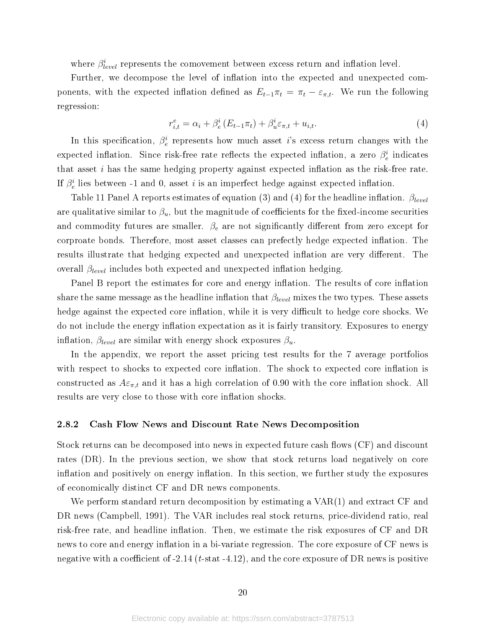where  $\beta_{level}^i$  represents the comovement between excess return and inflation level.

Further, we decompose the level of inflation into the expected and unexpected components, with the expected inflation defined as  $E_{t-1}\pi_t = \pi_t - \varepsilon_{\pi,t}$ . We run the following regression:

$$
r_{i,t}^e = \alpha_i + \beta_e^i (E_{t-1} \pi_t) + \beta_u^i \varepsilon_{\pi,t} + u_{i,t}.
$$
 (4)

In this specification,  $\beta_e^i$  represents how much asset i's excess return changes with the expected inflation. Since risk-free rate reflects the expected inflation, a zero  $\beta_e^i$  indicates that asset  $i$  has the same hedging property against expected inflation as the risk-free rate. If  $\beta_e^i$  lies between -1 and 0, asset  $i$  is an imperfect hedge against expected inflation.

Table 11 Panel A reports estimates of equation (3) and (4) for the headline inflation.  $\beta_{level}$ are qualitative similar to  $\beta_u$ , but the magnitude of coefficients for the fixed-income securities and commodity futures are smaller.  $\beta_e$  are not significantly different from zero except for corproate bonds. Therefore, most asset classes can prefectly hedge expected inflation. The results illustrate that hedging expected and unexpected inflation are very different. The overall  $\beta_{level}$  includes both expected and unexpected inflation hedging.

Panel B report the estimates for core and energy inflation. The results of core inflation share the same message as the headline inflation that  $\beta_{level}$  mixes the two types. These assets hedge against the expected core inflation, while it is very difficult to hedge core shocks. We do not include the energy inflation expectation as it is fairly transitory. Exposures to energy inflation,  $\beta_{level}$  are similar with energy shock exposures  $\beta_u$ .

In the appendix, we report the asset pricing test results for the 7 average portfolios with respect to shocks to expected core inflation. The shock to expected core inflation is constructed as  $A\varepsilon_{\pi,t}$  and it has a high correlation of 0.90 with the core inflation shock. All results are very close to those with core inflation shocks.

#### 2.8.2 Cash Flow News and Discount Rate News Decomposition

Stock returns can be decomposed into news in expected future cash flows (CF) and discount rates (DR). In the previous section, we show that stock returns load negatively on core inflation and positively on energy inflation. In this section, we further study the exposures of economically distinct CF and DR news components.

We perform standard return decomposition by estimating a VAR(1) and extract CF and DR news (Campbell, 1991). The VAR includes real stock returns, price-dividend ratio, real risk-free rate, and headline inflation. Then, we estimate the risk exposures of CF and DR news to core and energy inflation in a bi-variate regression. The core exposure of CF news is negative with a coefficient of  $-2.14$  (t-stat  $-4.12$ ), and the core exposure of DR news is positive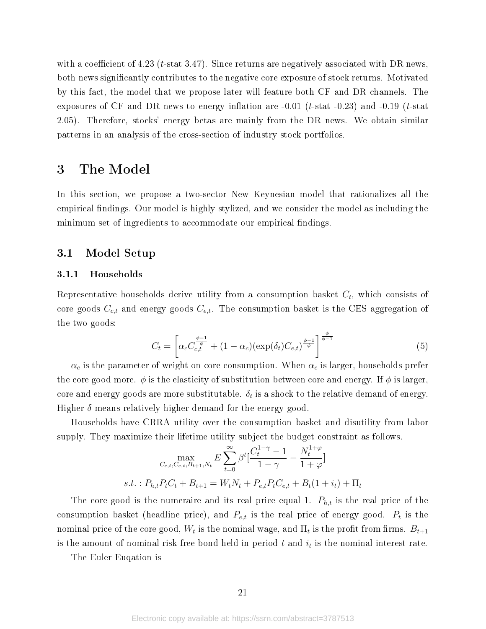with a coefficient of 4.23 (*t*-stat 3.47). Since returns are negatively associated with DR news, both news significantly contributes to the negative core exposure of stock returns. Motivated by this fact, the model that we propose later will feature both CF and DR channels. The exposures of CF and DR news to energy inflation are  $-0.01$  (*t*-stat  $-0.23$ ) and  $-0.19$  (*t*-stat 2.05). Therefore, stocks' energy betas are mainly from the DR news. We obtain similar patterns in an analysis of the cross-section of industry stock portfolios.

# 3 The Model

In this section, we propose a two-sector New Keynesian model that rationalizes all the empirical findings. Our model is highly stylized, and we consider the model as including the minimum set of ingredients to accommodate our empirical findings.

### 3.1 Model Setup

#### 3.1.1 Households

Representative households derive utility from a consumption basket  $C_t$ , which consists of core goods  $C_{c,t}$  and energy goods  $C_{e,t}$ . The consumption basket is the CES aggregation of the two goods:

$$
C_t = \left[ \alpha_c C_{c,t}^{\frac{\phi-1}{\phi}} + (1 - \alpha_c) (\exp(\delta_t) C_{e,t})^{\frac{\phi-1}{\phi}} \right]^{\frac{\phi}{\phi-1}}
$$
(5)

 $\alpha_c$  is the parameter of weight on core consumption. When  $\alpha_c$  is larger, households prefer the core good more.  $\phi$  is the elasticity of substitution between core and energy. If  $\phi$  is larger, core and energy goods are more substitutable.  $\delta_t$  is a shock to the relative demand of energy. Higher  $\delta$  means relatively higher demand for the energy good.

Households have CRRA utility over the consumption basket and disutility from labor supply. They maximize their lifetime utility subject the budget constraint as follows.

$$
\max_{C_{c,t}, C_{e,t}, B_{t+1}, N_t} E \sum_{t=0}^{\infty} \beta^t \left[ \frac{C_t^{1-\gamma} - 1}{1 - \gamma} - \frac{N_t^{1+\varphi}}{1 + \varphi} \right]
$$
  
s.t. :  $P_{h,t} P_t C_t + B_{t+1} = W_t N_t + P_{e,t} P_t C_{e,t} + B_t (1 + i_t) + \Pi_t$ 

The core good is the numeraire and its real price equal 1.  $P_{h,t}$  is the real price of the consumption basket (headline price), and  $P_{e,t}$  is the real price of energy good.  $P_t$  is the nominal price of the core good,  $W_t$  is the nominal wage, and  $\Pi_t$  is the profit from firms.  $B_{t+1}$ is the amount of nominal risk-free bond held in period  $t$  and  $i_t$  is the nominal interest rate.

The Euler Euqation is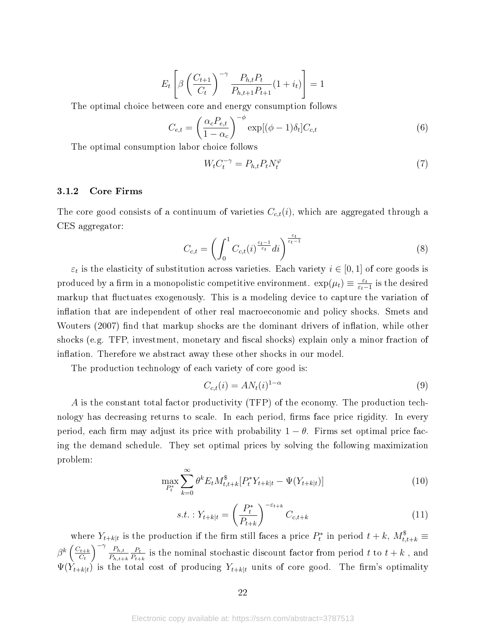$$
E_{t}\left[\beta\left(\frac{C_{t+1}}{C_{t}}\right)^{-\gamma}\frac{P_{h,t}P_{t}}{P_{h,t+1}P_{t+1}}(1+i_{t})\right]=1
$$

The optimal choice between core and energy consumption follows

$$
C_{e,t} = \left(\frac{\alpha_c P_{e,t}}{1 - \alpha_c}\right)^{-\phi} \exp[(\phi - 1)\delta_t] C_{c,t}
$$
\n(6)

The optimal consumption labor choice follows

$$
W_t C_t^{-\gamma} = P_{h,t} P_t N_t^{\varphi} \tag{7}
$$

#### 3.1.2 Core Firms

The core good consists of a continuum of varieties  $C_{c,t}(i)$ , which are aggregated through a CES aggregator:

$$
C_{c,t} = \left(\int_0^1 C_{c,t}(i)^{\frac{\varepsilon_t - 1}{\varepsilon_t}} di\right)^{\frac{\varepsilon_t}{\varepsilon_t - 1}}
$$
(8)

 $\varepsilon_t$  is the elasticity of substitution across varieties. Each variety  $i \in [0,1]$  of core goods is produced by a firm in a monopolistic competitive environment.  $\exp(\mu_t) \equiv \frac{\varepsilon_t}{\varepsilon_t}$  $\frac{\varepsilon_t}{\varepsilon_t-1}$  is the desired markup that fluctuates exogenously. This is a modeling device to capture the variation of inflation that are independent of other real macroeconomic and policy shocks. Smets and Wouters (2007) find that markup shocks are the dominant drivers of inflation, while other shocks (e.g. TFP, investment, monetary and fiscal shocks) explain only a minor fraction of inflation. Therefore we abstract away these other shocks in our model.

The production technology of each variety of core good is:

$$
C_{c,t}(i) = AN_t(i)^{1-\alpha} \tag{9}
$$

A is the constant total factor productivity (TFP) of the economy. The production technology has decreasing returns to scale. In each period, firms face price rigidity. In every period, each firm may adjust its price with probability  $1 - \theta$ . Firms set optimal price facing the demand schedule. They set optimal prices by solving the following maximization problem:

$$
\max_{P_t^*} \sum_{k=0}^{\infty} \theta^k E_t M_{t,t+k}^{\$}[P_t^* Y_{t+k|t} - \Psi(Y_{t+k|t})] \tag{10}
$$

$$
s.t. : Y_{t+k|t} = \left(\frac{P_t^*}{P_{t+k}}\right)^{-\varepsilon_{t+k}} C_{c,t+k}
$$
\n(11)

where  $Y_{t+k|t}$  is the production if the firm still faces a price  $P_t^*$  in period  $t+k$ ,  $M_{t,t+k}^{\$}$  $\beta^k\left(\frac{C_{t+k}}{C_k}\right)$  $C_t$  $\sum_{h,t}$  $P_{h,t+k}$  $P_t$  $\frac{P_t}{P_{t+k}}$  is the nominal stochastic discount factor from period t to  $t+k$  , and  $\Psi(Y_{t+k|t})$  is the total cost of producing  $Y_{t+k|t}$  units of core good. The firm's optimality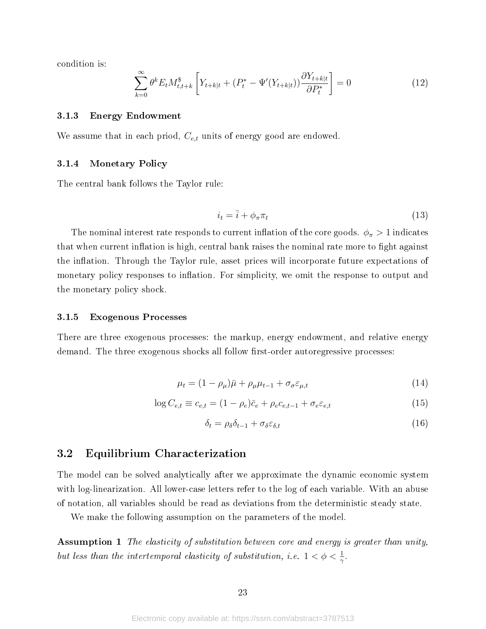condition is:

$$
\sum_{k=0}^{\infty} \theta^k E_t M_{t,t+k}^{\$} \left[ Y_{t+k|t} + (P_t^* - \Psi'(Y_{t+k|t})) \frac{\partial Y_{t+k|t}}{\partial P_t^*} \right] = 0 \tag{12}
$$

#### 3.1.3 Energy Endowment

We assume that in each priod,  $C_{e,t}$  units of energy good are endowed.

#### 3.1.4 Monetary Policy

The central bank follows the Taylor rule:

$$
i_t = \bar{i} + \phi_\pi \pi_t \tag{13}
$$

The nominal interest rate responds to current inflation of the core goods.  $\phi_{\pi} > 1$  indicates that when current inflation is high, central bank raises the nominal rate more to fight against the inflation. Through the Taylor rule, asset prices will incorporate future expectations of monetary policy responses to inflation. For simplicity, we omit the response to output and the monetary policy shock.

#### 3.1.5 Exogenous Processes

There are three exogenous processes: the markup, energy endowment, and relative energy demand. The three exogenous shocks all follow first-order autoregressive processes:

$$
\mu_t = (1 - \rho_\mu)\bar{\mu} + \rho_\mu\mu_{t-1} + \sigma_\sigma \varepsilon_{\mu,t} \tag{14}
$$

$$
\log C_{e,t} \equiv c_{e,t} = (1 - \rho_e)\bar{c}_e + \rho_e c_{e,t-1} + \sigma_e \varepsilon_{e,t} \tag{15}
$$

$$
\delta_t = \rho_\delta \delta_{t-1} + \sigma_\delta \varepsilon_{\delta, t} \tag{16}
$$

# 3.2 Equilibrium Characterization

The model can be solved analytically after we approximate the dynamic economic system with log-linearization. All lower-case letters refer to the log of each variable. With an abuse of notation, all variables should be read as deviations from the deterministic steady state.

We make the following assumption on the parameters of the model.

**Assumption 1** The elasticity of substitution between core and energy is greater than unity, but less than the intertemporal elasticity of substitution, i.e.  $1 < \phi < \frac{1}{\gamma}$ .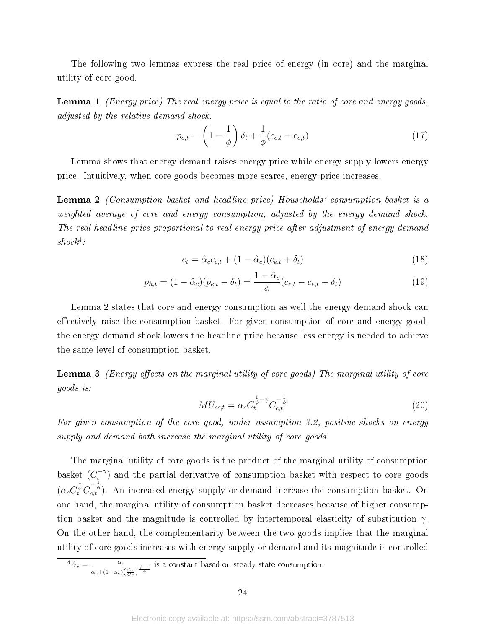The following two lemmas express the real price of energy (in core) and the marginal utility of core good.

**Lemma 1** (Energy price) The real energy price is equal to the ratio of core and energy goods, adjusted by the relative demand shock.

$$
p_{e,t} = \left(1 - \frac{1}{\phi}\right)\delta_t + \frac{1}{\phi}(c_{c,t} - c_{e,t})
$$
\n(17)

Lemma shows that energy demand raises energy price while energy supply lowers energy price. Intuitively, when core goods becomes more scarce, energy price increases.

Lemma 2 (Consumption basket and headline price) Households' consumption basket is a weighted average of core and energy consumption, adjusted by the energy demand shock. The real headline price proportional to real energy price after adjustment of energy demand  $shock<sup>4</sup>$ :

$$
c_t = \hat{\alpha}_c c_{c,t} + (1 - \hat{\alpha}_c)(c_{e,t} + \delta_t)
$$
\n
$$
(18)
$$

$$
p_{h,t} = (1 - \hat{\alpha}_c)(p_{e,t} - \delta_t) = \frac{1 - \hat{\alpha}_c}{\phi}(c_{c,t} - c_{e,t} - \delta_t)
$$
\n(19)

Lemma 2 states that core and energy consumption as well the energy demand shock can effectively raise the consumption basket. For given consumption of core and energy good, the energy demand shock lowers the headline price because less energy is needed to achieve the same level of consumption basket.

**Lemma 3** (Energy effects on the marginal utility of core goods) The marginal utility of core goods is:

$$
MU_{cc,t} = \alpha_c C_t^{\frac{1}{\phi} - \gamma} C_{c,t}^{-\frac{1}{\phi}}
$$
\n(20)

For given consumption of the core good, under assumption 3.2, positive shocks on energy supply and demand both increase the marginal utility of core goods.

The marginal utility of core goods is the product of the marginal utility of consumption basket  $(C_t^{-\gamma})$  $\mathcal{L}^{(\gamma)}$  and the partial derivative of consumption basket with respect to core goods  $(\alpha_c C_t^{\frac{1}{\phi}} C_{c,t}^{-\frac{1}{\phi}})$ . An increased energy supply or demand increase the consumption basket. On one hand, the marginal utility of consumption basket decreases because of higher consumption basket and the magnitude is controlled by intertemporal elasticity of substitution  $\gamma$ . On the other hand, the complementarity between the two goods implies that the marginal utility of core goods increases with energy supply or demand and its magnitude is controlled

$$
{}^4\hat{\alpha}_c=\frac{\alpha_c}{\alpha_c+(1-\alpha_c)\left(\frac{C_e}{C_c}\right)^{\frac{\phi-1}{\phi}}}
$$
 is a constant based on steady-state consumption.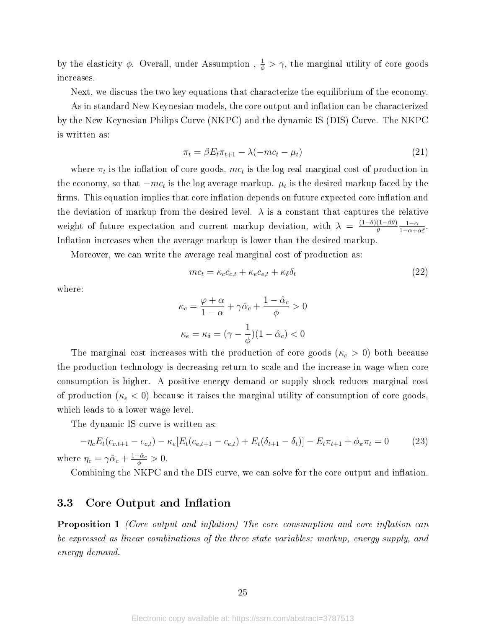by the elasticity  $\phi$ . Overall, under Assumption ,  $\frac{1}{\phi} > \gamma$ , the marginal utility of core goods increases.

Next, we discuss the two key equations that characterize the equilibrium of the economy.

As in standard New Keynesian models, the core output and inflation can be characterized by the New Keynesian Philips Curve (NKPC) and the dynamic IS (DIS) Curve. The NKPC is written as:

$$
\pi_t = \beta E_t \pi_{t+1} - \lambda(-mc_t - \mu_t) \tag{21}
$$

where  $\pi_t$  is the inflation of core goods,  $mc_t$  is the log real marginal cost of production in the economy, so that  $-mc_t$  is the log average markup.  $\mu_t$  is the desired markup faced by the firms. This equation implies that core inflation depends on future expected core inflation and the deviation of markup from the desired level.  $\lambda$  is a constant that captures the relative weight of future expectation and current markup deviation, with  $\lambda = \frac{(1-\theta)(1-\beta\theta)}{\theta}$ θ  $1-\alpha$  $1-\alpha+\alpha\bar{\varepsilon}$ . Inflation increases when the average markup is lower than the desired markup.

Moreover, we can write the average real marginal cost of production as:

$$
mc_t = \kappa_c c_{c,t} + \kappa_e c_{e,t} + \kappa_\delta \delta_t \tag{22}
$$

where:

$$
\kappa_c = \frac{\varphi + \alpha}{1 - \alpha} + \gamma \hat{\alpha}_c + \frac{1 - \hat{\alpha}_c}{\phi} > 0
$$

$$
\kappa_e = \kappa_\delta = (\gamma - \frac{1}{\phi})(1 - \hat{\alpha}_c) < 0
$$

The marginal cost increases with the production of core goods ( $\kappa_c > 0$ ) both because the production technology is decreasing return to scale and the increase in wage when core consumption is higher. A positive energy demand or supply shock reduces marginal cost of production ( $\kappa_e < 0$ ) because it raises the marginal utility of consumption of core goods, which leads to a lower wage level.

The dynamic IS curve is written as:

$$
-\eta_c E_t (c_{c.t+1} - c_{c,t}) - \kappa_e [E_t (c_{e,t+1} - c_{e,t}) + E_t (\delta_{t+1} - \delta_t)] - E_t \pi_{t+1} + \phi_\pi \pi_t = 0 \tag{23}
$$
  
where  $\eta_c = \gamma \hat{\alpha}_c + \frac{1 - \hat{\alpha}_c}{\phi} > 0$ .

Combining the NKPC and the DIS curve, we can solve for the core output and inflation.

# 3.3 Core Output and Inflation

**Proposition 1** (Core output and inflation) The core consumption and core inflation can be expressed as linear combinations of the three state variables: markup, energy supply, and energy demand.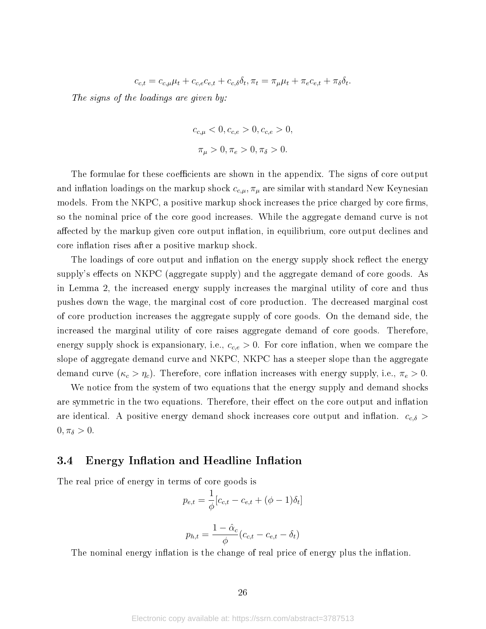$$
c_{c,t} = c_{c,\mu}\mu_t + c_{c,e}c_{e,t} + c_{c,\delta}\delta_t, \pi_t = \pi_\mu\mu_t + \pi_e c_{e,t} + \pi_\delta\delta_t.
$$

The signs of the loadings are given by:

$$
c_{c,\mu} < 0, c_{c,e} > 0, c_{c,e} > 0,
$$
\n
$$
\pi_{\mu} > 0, \pi_e > 0, \pi_{\delta} > 0.
$$

The formulae for these coefficients are shown in the appendix. The signs of core output and inflation loadings on the markup shock  $c_{c,\mu}$ ,  $\pi_{\mu}$  are similar with standard New Keynesian models. From the  $NKPC$ , a positive markup shock increases the price charged by core firms. so the nominal price of the core good increases. While the aggregate demand curve is not affected by the markup given core output inflation, in equilibrium, core output declines and core inflation rises after a positive markup shock.

The loadings of core output and inflation on the energy supply shock reflect the energy supply's effects on NKPC (aggregate supply) and the aggregate demand of core goods. As in Lemma 2, the increased energy supply increases the marginal utility of core and thus pushes down the wage, the marginal cost of core production. The decreased marginal cost of core production increases the aggregate supply of core goods. On the demand side, the increased the marginal utility of core raises aggregate demand of core goods. Therefore, energy supply shock is expansionary, i.e.,  $c_{c,e} > 0$ . For core inflation, when we compare the slope of aggregate demand curve and NKPC, NKPC has a steeper slope than the aggregate demand curve  $(\kappa_c > \eta_c)$ . Therefore, core inflation increases with energy supply, i.e.,  $\pi_e > 0$ .

We notice from the system of two equations that the energy supply and demand shocks are symmetric in the two equations. Therefore, their effect on the core output and inflation are identical. A positive energy demand shock increases core output and inflation.  $c_{c,\delta}$  >  $0, \pi_{\delta} > 0.$ 

# 3.4 Energy Inflation and Headline Inflation

The real price of energy in terms of core goods is

$$
p_{e,t} = \frac{1}{\phi} [c_{c,t} - c_{e,t} + (\phi - 1)\delta_t]
$$

$$
p_{h,t} = \frac{1 - \hat{\alpha}_c}{\phi} (c_{c,t} - c_{e,t} - \delta_t)
$$

The nominal energy inflation is the change of real price of energy plus the inflation.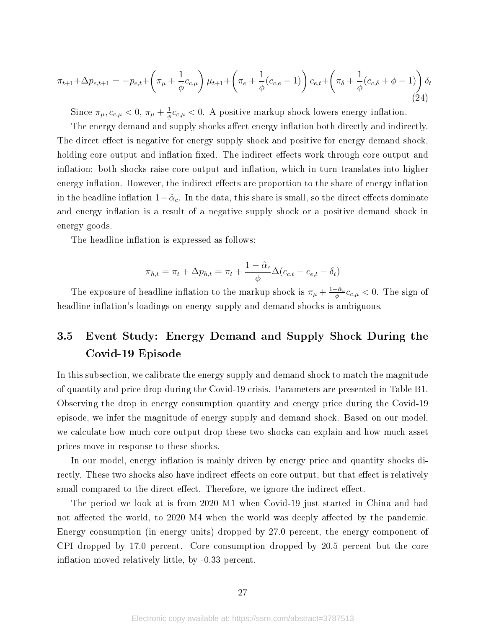$$
\pi_{t+1} + \Delta p_{e,t+1} = -p_{e,t} + \left(\pi_{\mu} + \frac{1}{\phi}c_{c,\mu}\right)\mu_{t+1} + \left(\pi_e + \frac{1}{\phi}(c_{c,e} - 1)\right)c_{e,t} + \left(\pi_{\delta} + \frac{1}{\phi}(c_{c,\delta} + \phi - 1)\right)\delta_t
$$
\n(24)

Since  $\pi_{\mu}, c_{c,\mu} < 0$ ,  $\pi_{\mu} + \frac{1}{\phi}$  $\frac{1}{\phi}c_{c,\mu} < 0$ . A positive markup shock lowers energy inflation.

The energy demand and supply shocks affect energy inflation both directly and indirectly. The direct effect is negative for energy supply shock and positive for energy demand shock, holding core output and inflation fixed. The indirect effects work through core output and inflation: both shocks raise core output and inflation, which in turn translates into higher energy inflation. However, the indirect effects are proportion to the share of energy inflation in the headline inflation  $1-\hat{\alpha}_c$ . In the data, this share is small, so the direct effects dominate and energy inflation is a result of a negative supply shock or a positive demand shock in energy goods.

The headline inflation is expressed as follows:

$$
\pi_{h,t} = \pi_t + \Delta p_{h,t} = \pi_t + \frac{1 - \hat{\alpha}_c}{\phi} \Delta (c_{c,t} - c_{e,t} - \delta_t)
$$

The exposure of headline inflation to the markup shock is  $\pi_{\mu} + \frac{1-\hat{\alpha}_c}{\phi}$  $\frac{-\hat{\alpha}_c}{\phi}c_{c,\mu} < 0$ . The sign of headline inflation's loadings on energy supply and demand shocks is ambiguous.

# 3.5 Event Study: Energy Demand and Supply Shock During the Covid-19 Episode

In this subsection, we calibrate the energy supply and demand shock to match the magnitude of quantity and price drop during the Covid-19 crisis. Parameters are presented in Table B1. Observing the drop in energy consumption quantity and energy price during the Covid-19 episode, we infer the magnitude of energy supply and demand shock. Based on our model, we calculate how much core output drop these two shocks can explain and how much asset prices move in response to these shocks.

In our model, energy inflation is mainly driven by energy price and quantity shocks directly. These two shocks also have indirect effects on core output, but that effect is relatively small compared to the direct effect. Therefore, we ignore the indirect effect.

The period we look at is from 2020 M1 when Covid-19 just started in China and had not affected the world, to 2020 M4 when the world was deeply affected by the pandemic. Energy consumption (in energy units) dropped by 27.0 percent, the energy component of CPI dropped by 17.0 percent. Core consumption dropped by 20.5 percent but the core inflation moved relatively little, by  $-0.33$  percent.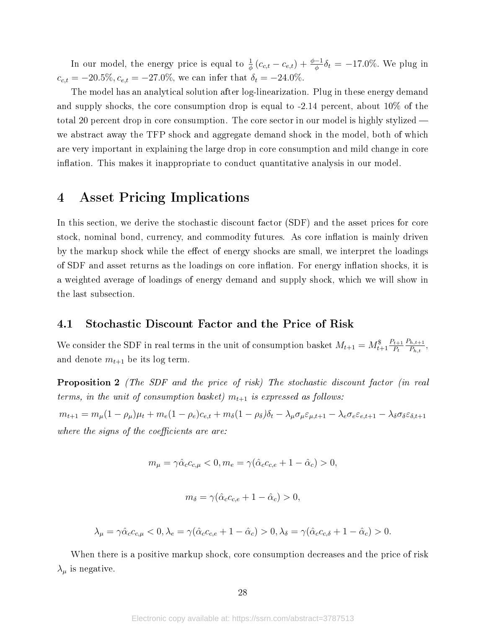In our model, the energy price is equal to  $\frac{1}{\phi}(c_{c,t} - c_{e,t}) + \frac{\phi - 1}{\phi}\delta_t = -17.0\%$ . We plug in  $c_{c,t} = -20.5\%, c_{e,t} = -27.0\%,$  we can infer that  $\delta_t = -24.0\%.$ 

The model has an analytical solution after log-linearization. Plug in these energy demand and supply shocks, the core consumption drop is equal to -2.14 percent, about 10% of the total 20 percent drop in core consumption. The core sector in our model is highly stylized we abstract away the TFP shock and aggregate demand shock in the model, both of which are very important in explaining the large drop in core consumption and mild change in core inflation. This makes it inappropriate to conduct quantitative analysis in our model.

# 4 Asset Pricing Implications

In this section, we derive the stochastic discount factor (SDF) and the asset prices for core stock, nominal bond, currency, and commodity futures. As core inflation is mainly driven by the markup shock while the effect of energy shocks are small, we interpret the loadings of SDF and asset returns as the loadings on core inflation. For energy inflation shocks, it is a weighted average of loadings of energy demand and supply shock, which we will show in the last subsection.

# 4.1 Stochastic Discount Factor and the Price of Risk

We consider the SDF in real terms in the unit of consumption basket  $M_{t+1} = M_{t+1}^{\$} \frac{P_{t+1}}{P_t}$  $P_t$  $P_{h,t+1}$  $\frac{h,t+1}{P_{h,t}}$ , and denote  $m_{t+1}$  be its log term.

Proposition 2 (The SDF and the price of risk) The stochastic discount factor (in real terms, in the unit of consumption basket)  $m_{t+1}$  is expressed as follows:

 $m_{t+1} = m_{\mu}(1-\rho_{\mu})\mu_t + m_e(1-\rho_e)c_{e,t} + m_{\delta}(1-\rho_{\delta})\delta_t - \lambda_{\mu}\sigma_{\mu}\varepsilon_{\mu,t+1} - \lambda_e\sigma_e\varepsilon_{e,t+1} - \lambda_{\delta}\sigma_{\delta}\varepsilon_{\delta,t+1}$ where the signs of the coefficients are are:

$$
m_{\mu} = \gamma \hat{\alpha}_c c_{c,\mu} < 0, m_e = \gamma (\hat{\alpha}_c c_{c,e} + 1 - \hat{\alpha}_c) > 0,
$$

$$
m_{\delta} = \gamma(\hat{\alpha}_c c_{c,e} + 1 - \hat{\alpha}_c) > 0,
$$

$$
\lambda_{\mu} = \gamma \hat{\alpha}_{c} c_{c,\mu} < 0, \lambda_{e} = \gamma (\hat{\alpha}_{c} c_{c,e} + 1 - \hat{\alpha}_{c}) > 0, \lambda_{\delta} = \gamma (\hat{\alpha}_{c} c_{c,\delta} + 1 - \hat{\alpha}_{c}) > 0.
$$

When there is a positive markup shock, core consumption decreases and the price of risk  $\lambda_{\mu}$  is negative.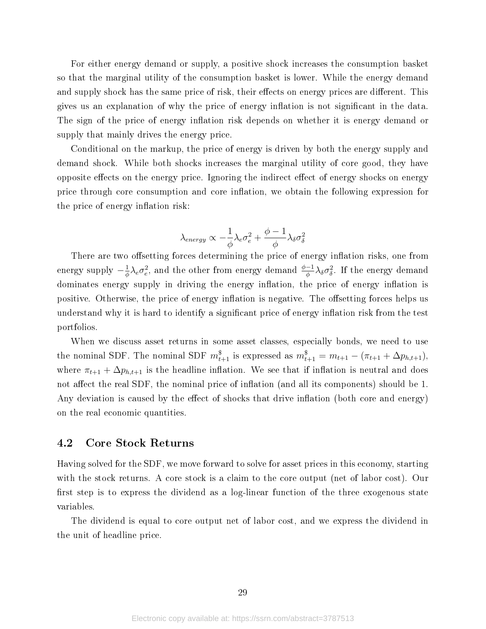For either energy demand or supply, a positive shock increases the consumption basket so that the marginal utility of the consumption basket is lower. While the energy demand and supply shock has the same price of risk, their effects on energy prices are different. This gives us an explanation of why the price of energy inflation is not significant in the data. The sign of the price of energy inflation risk depends on whether it is energy demand or supply that mainly drives the energy price.

Conditional on the markup, the price of energy is driven by both the energy supply and demand shock. While both shocks increases the marginal utility of core good, they have opposite effects on the energy price. Ignoring the indirect effect of energy shocks on energy price through core consumption and core inflation, we obtain the following expression for the price of energy inflation risk:

$$
\lambda_{energy} \propto -\frac{1}{\phi}\lambda_e \sigma_e^2 + \frac{\phi-1}{\phi}\lambda_\delta \sigma_\delta^2
$$

There are two offsetting forces determining the price of energy inflation risks, one from energy supply  $-\frac{1}{4}$  $\frac{1}{\phi}\lambda_e\sigma_e^2$ , and the other from energy demand  $\frac{\phi-1}{\phi}\lambda_\delta\sigma_\delta^2$ . If the energy demand dominates energy supply in driving the energy inflation, the price of energy inflation is positive. Otherwise, the price of energy inflation is negative. The offsetting forces helps us understand why it is hard to identify a significant price of energy inflation risk from the test portfolios.

When we discuss asset returns in some asset classes, especially bonds, we need to use the nominal SDF. The nominal SDF  $m_{t+1}^{\$}$  is expressed as  $m_{t+1}^{\$} = m_{t+1} - (\pi_{t+1} + \Delta p_{h,t+1}),$ where  $\pi_{t+1} + \Delta p_{h,t+1}$  is the headline inflation. We see that if inflation is neutral and does not affect the real SDF, the nominal price of inflation (and all its components) should be 1. Any deviation is caused by the effect of shocks that drive inflation (both core and energy) on the real economic quantities.

# 4.2 Core Stock Returns

Having solved for the SDF, we move forward to solve for asset prices in this economy, starting with the stock returns. A core stock is a claim to the core output (net of labor cost). Our first step is to express the dividend as a log-linear function of the three exogenous state variables.

The dividend is equal to core output net of labor cost, and we express the dividend in the unit of headline price.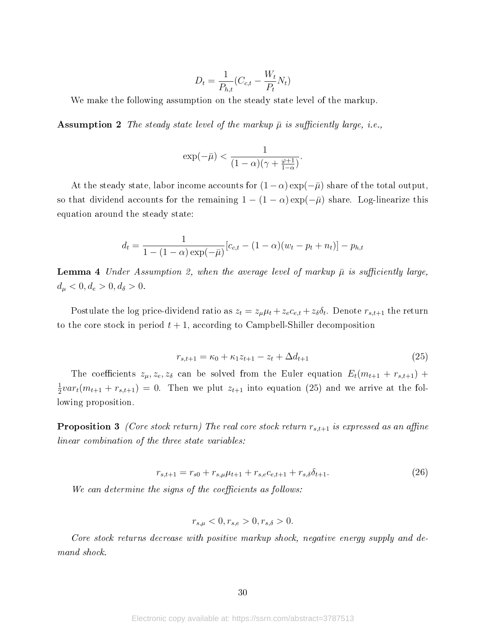$$
D_t = \frac{1}{P_{h,t}}(C_{c,t} - \frac{W_t}{P_t}N_t)
$$

We make the following assumption on the steady state level of the markup.

**Assumption 2** The steady state level of the markup  $\bar{\mu}$  is sufficiently large, i.e.,

$$
\exp(-\bar{\mu}) < \frac{1}{(1-\alpha)(\gamma+\frac{\varphi+1}{1-\alpha})}.
$$

At the steady state, labor income accounts for  $(1-\alpha) \exp(-\bar{\mu})$  share of the total output, so that dividend accounts for the remaining  $1 - (1 - \alpha) \exp(-\bar{\mu})$  share. Log-linearize this equation around the steady state:

$$
d_t = \frac{1}{1 - (1 - \alpha) \exp(-\bar{\mu})} [c_{c,t} - (1 - \alpha)(w_t - p_t + n_t)] - p_{h,t}
$$

**Lemma 4** Under Assumption 2, when the average level of markup  $\bar{\mu}$  is sufficiently large,  $d_{\mu} < 0, d_e > 0, d_{\delta} > 0.$ 

Postulate the log price-dividend ratio as  $z_t = z_\mu \mu_t + z_e c_{e,t} + z_\delta \delta_t$ . Denote  $r_{s,t+1}$  the return to the core stock in period  $t + 1$ , according to Campbell-Shiller decomposition

$$
r_{s,t+1} = \kappa_0 + \kappa_1 z_{t+1} - z_t + \Delta d_{t+1}
$$
\n(25)

The coefficients  $z_{\mu}, z_{e}, z_{\delta}$  can be solved from the Euler equation  $E_t(m_{t+1} + r_{s,t+1})$  + 1  $\frac{1}{2}var_t(m_{t+1} + r_{s,t+1}) = 0$ . Then we plut  $z_{t+1}$  into equation (25) and we arrive at the following proposition.

**Proposition 3** (Core stock return) The real core stock return  $r_{s,t+1}$  is expressed as an affine linear combination of the three state variables:

$$
r_{s,t+1} = r_{s0} + r_{s,\mu}\mu_{t+1} + r_{s,e}c_{e,t+1} + r_{s,\delta}\delta_{t+1}.
$$
\n(26)

We can determine the signs of the coefficients as follows:

$$
r_{s,\mu} < 0, r_{s,e} > 0, r_{s,\delta} > 0.
$$

Core stock returns decrease with positive markup shock, negative energy supply and demand shock.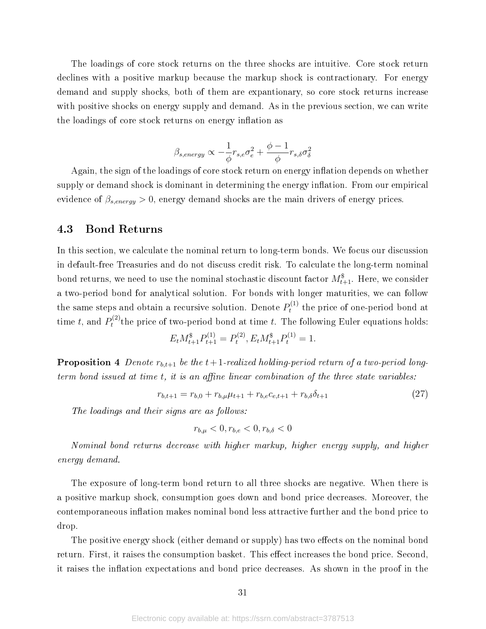The loadings of core stock returns on the three shocks are intuitive. Core stock return declines with a positive markup because the markup shock is contractionary. For energy demand and supply shocks, both of them are expantionary, so core stock returns increase with positive shocks on energy supply and demand. As in the previous section, we can write the loadings of core stock returns on energy inflation as

$$
\beta_{s, energy} \propto -\frac{1}{\phi} r_{s,e} \sigma_e^2 + \frac{\phi - 1}{\phi} r_{s,\delta} \sigma_\delta^2
$$

Again, the sign of the loadings of core stock return on energy inflation depends on whether supply or demand shock is dominant in determining the energy inflation. From our empirical evidence of  $\beta_{s,energy} > 0$ , energy demand shocks are the main drivers of energy prices.

# 4.3 Bond Returns

In this section, we calculate the nominal return to long-term bonds. We focus our discussion in default-free Treasuries and do not discuss credit risk. To calculate the long-term nominal bond returns, we need to use the nominal stochastic discount factor  $M^\mathsf{\$}_{t+1}.$  Here, we consider a two-period bond for analytical solution. For bonds with longer maturities, we can follow the same steps and obtain a recursive solution. Denote  $P_t^{(1)}$  $t_t^{(1)}$  the price of one-period bond at time t, and  $P_t^{(2)}$  $t^{(2)}$  the price of two-period bond at time t. The following Euler equations holds:

$$
E_t M_{t+1}^{\$} P_{t+1}^{(1)} = P_t^{(2)}, E_t M_{t+1}^{\$} P_t^{(1)} = 1.
$$

**Proposition 4** Denote  $r_{b,t+1}$  be the  $t+1$ -realized holding-period return of a two-period longterm bond issued at time  $t$ , it is an affine linear combination of the three state variables:

$$
r_{b,t+1} = r_{b,0} + r_{b,\mu}\mu_{t+1} + r_{b,e}c_{e,t+1} + r_{b,\delta}\delta_{t+1}
$$
\n
$$
(27)
$$

The loadings and their signs are as follows:

$$
r_{b,\mu} < 0, r_{b,e} < 0, r_{b,\delta} < 0
$$

Nominal bond returns decrease with higher markup, higher energy supply, and higher energy demand.

The exposure of long-term bond return to all three shocks are negative. When there is a positive markup shock, consumption goes down and bond price decreases. Moreover, the contemporaneous inflation makes nominal bond less attractive further and the bond price to drop.

The positive energy shock (either demand or supply) has two effects on the nominal bond return. First, it raises the consumption basket. This effect increases the bond price. Second, it raises the inflation expectations and bond price decreases. As shown in the proof in the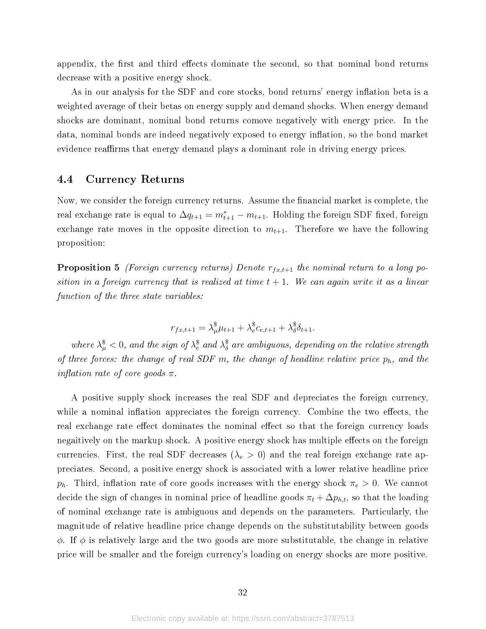appendix, the first and third effects dominate the second, so that nominal bond returns decrease with a positive energy shock.

As in our analysis for the SDF and core stocks, bond returns' energy inflation beta is a weighted average of their betas on energy supply and demand shocks. When energy demand shocks are dominant, nominal bond returns comove negatively with energy price. In the data, nominal bonds are indeed negatively exposed to energy inflation, so the bond market evidence reaffirms that energy demand plays a dominant role in driving energy prices.

# 4.4 Currency Returns

Now, we consider the foreign currency returns. Assume the financial market is complete, the real exchange rate is equal to  $\Delta q_{t+1} = m_{t+1}^* - m_{t+1}$ . Holding the foreign SDF fixed, foreign exchange rate moves in the opposite direction to  $m_{t+1}$ . Therefore we have the following proposition:

**Proposition 5** (Foreign currency returns) Denote  $r_{fx,t+1}$  the nominal return to a long position in a foreign currency that is realized at time  $t + 1$ . We can again write it as a linear function of the three state variables:

$$
r_{fx,t+1} = \lambda_{\mu}^{\$}\mu_{t+1} + \lambda_{e}^{\$}c_{e,t+1} + \lambda_{\delta}^{\$}\delta_{t+1}.
$$

where  $\lambda^{\$}_{\mu} < 0$ , and the sign of  $\lambda^{\$}_{e}$  and  $\lambda^{\$}_{\delta}$  are ambiguous, depending on the relative strength of three forces: the change of real SDF m, the change of headline relative price  $p_h$ , and the inflation rate of core goods  $\pi$ .

A positive supply shock increases the real SDF and depreciates the foreign currency, while a nominal inflation appreciates the foreign currency. Combine the two effects, the real exchange rate effect dominates the nominal effect so that the foreign currency loads negaitively on the markup shock. A positive energy shock has multiple effects on the foreign currencies. First, the real SDF decreases ( $\lambda_e > 0$ ) and the real foreign exchange rate appreciates. Second, a positive energy shock is associated with a lower relative headline price  $p_h$ . Third, inflation rate of core goods increases with the energy shock  $\pi_e > 0$ . We cannot decide the sign of changes in nominal price of headline goods  $\pi_t + \Delta p_{h,t}$ , so that the loading of nominal exchange rate is ambiguous and depends on the parameters. Particularly, the magnitude of relative headline price change depends on the substitutability between goods  $\phi$ . If  $\phi$  is relatively large and the two goods are more substitutable, the change in relative price will be smaller and the foreign currency's loading on energy shocks are more positive.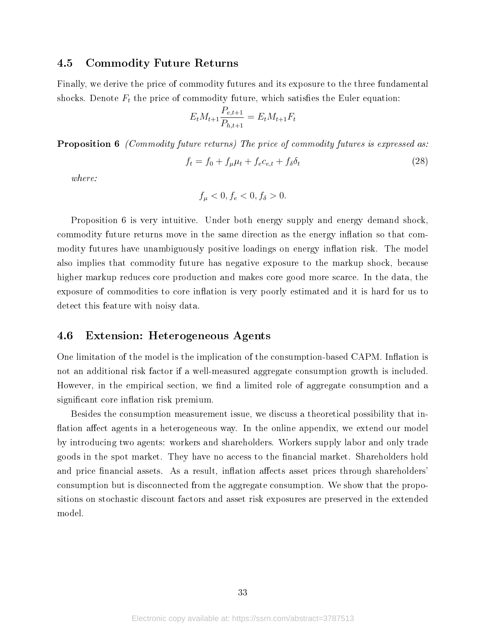### 4.5 Commodity Future Returns

Finally, we derive the price of commodity futures and its exposure to the three fundamental shocks. Denote  $F_t$  the price of commodity future, which satisfies the Euler equation:

$$
E_t M_{t+1} \frac{P_{e,t+1}}{P_{h,t+1}} = E_t M_{t+1} F_t
$$

**Proposition 6** (Commodity future returns) The price of commodity futures is expressed as:

$$
f_t = f_0 + f_\mu \mu_t + f_e c_{e,t} + f_\delta \delta_t \tag{28}
$$

where:

$$
f_{\mu} < 0, f_e < 0, f_{\delta} > 0.
$$

Proposition 6 is very intuitive. Under both energy supply and energy demand shock, commodity future returns move in the same direction as the energy inflation so that commodity futures have unambiguously positive loadings on energy inflation risk. The model also implies that commodity future has negative exposure to the markup shock, because higher markup reduces core production and makes core good more scarce. In the data, the exposure of commodities to core inflation is very poorly estimated and it is hard for us to detect this feature with noisy data.

# 4.6 Extension: Heterogeneous Agents

One limitation of the model is the implication of the consumption-based CAPM. Inflation is not an additional risk factor if a well-measured aggregate consumption growth is included. However, in the empirical section, we find a limited role of aggregate consumption and a significant core inflation risk premium.

Besides the consumption measurement issue, we discuss a theoretical possibility that in flation affect agents in a heterogeneous way. In the online appendix, we extend our model by introducing two agents: workers and shareholders. Workers supply labor and only trade goods in the spot market. They have no access to the financial market. Shareholders hold and price financial assets. As a result, inflation affects asset prices through shareholders' consumption but is disconnected from the aggregate consumption. We show that the propositions on stochastic discount factors and asset risk exposures are preserved in the extended model.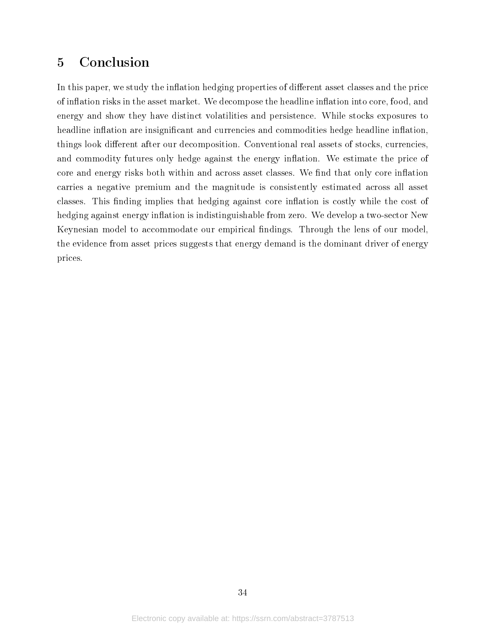# 5 Conclusion

In this paper, we study the inflation hedging properties of different asset classes and the price of inflation risks in the asset market. We decompose the headline inflation into core, food, and energy and show they have distinct volatilities and persistence. While stocks exposures to headline inflation are insignificant and currencies and commodities hedge headline inflation, things look different after our decomposition. Conventional real assets of stocks, currencies, and commodity futures only hedge against the energy inflation. We estimate the price of core and energy risks both within and across asset classes. We find that only core inflation carries a negative premium and the magnitude is consistently estimated across all asset classes. This finding implies that hedging against core inflation is costly while the cost of hedging against energy inflation is indistinguishable from zero. We develop a two-sector New Keynesian model to accommodate our empirical findings. Through the lens of our model, the evidence from asset prices suggests that energy demand is the dominant driver of energy prices.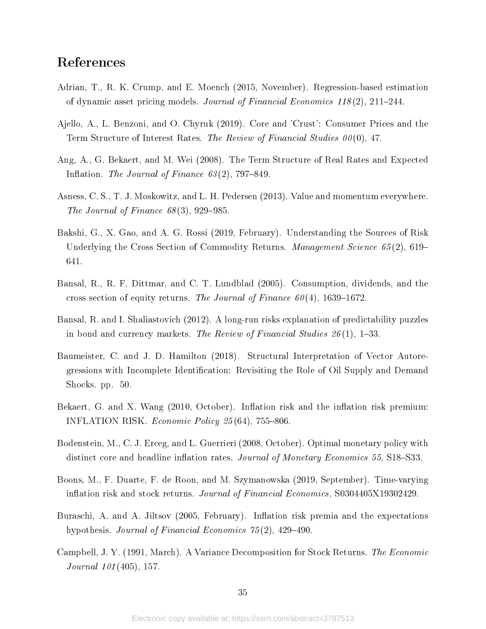# References

- Adrian, T., R. K. Crump, and E. Moench (2015, November). Regression-based estimation of dynamic asset pricing models. Journal of Financial Economics  $118(2)$ ,  $211-244$ .
- Ajello, A., L. Benzoni, and O. Chyruk (2019). Core and 'Crust': Consumer Prices and the Term Structure of Interest Rates. The Review of Financial Studies 00 (0), 47.
- Ang, A., G. Bekaert, and M. Wei (2008). The Term Structure of Real Rates and Expected Inflation. The Journal of Finance  $63(2)$ , 797-849.
- Asness, C. S., T. J. Moskowitz, and L. H. Pedersen (2013). Value and momentum everywhere. The Journal of Finance  $68(3)$ , 929–985.
- Bakshi, G., X. Gao, and A. G. Rossi (2019, February). Understanding the Sources of Risk Underlying the Cross Section of Commodity Returns. *Management Science 65*(2), 619– 641.
- Bansal, R., R. F. Dittmar, and C. T. Lundblad (2005). Consumption, dividends, and the cross section of equity returns. The Journal of Finance  $60(4)$ , 1639–1672.
- Bansal, R. and I. Shaliastovich (2012). A long-run risks explanation of predictability puzzles in bond and currency markets. The Review of Financial Studies  $26(1)$ , 1–33.
- Baumeister, C. and J. D. Hamilton (2018). Structural Interpretation of Vector Autoregressions with Incomplete Identification: Revisiting the Role of Oil Supply and Demand Shocks. pp. 50.
- Bekaert, G. and X. Wang (2010, October). Inflation risk and the inflation risk premium: INFLATION RISK. *Economic Policy 25* (64), 755–806.
- Bodenstein, M., C. J. Erceg, and L. Guerrieri (2008, October). Optimal monetary policy with distinct core and headline inflation rates. Journal of Monetary Economics 55, S18–S33.
- Boons, M., F. Duarte, F. de Roon, and M. Szymanowska (2019, September). Time-varying inflation risk and stock returns. Journal of Financial Economics, S0304405X19302429.
- Buraschi, A. and A. Jiltsov (2005, February). Inflation risk premia and the expectations hypothesis. Journal of Financial Economics  $75(2)$ , 429-490.
- Campbell, J. Y. (1991, March). A Variance Decomposition for Stock Returns. The Economic Journal 101 (405), 157.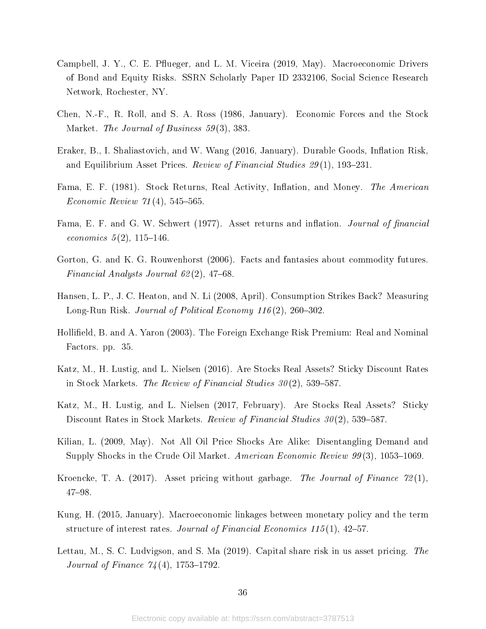- Campbell, J. Y., C. E. Pflueger, and L. M. Viceira (2019, May). Macroeconomic Drivers of Bond and Equity Risks. SSRN Scholarly Paper ID 2332106, Social Science Research Network, Rochester, NY.
- Chen, N.-F., R. Roll, and S. A. Ross (1986, January). Economic Forces and the Stock Market. *The Journal of Business* 59(3), 383.
- Eraker, B., I. Shaliastovich, and W. Wang (2016, January). Durable Goods, Inflation Risk. and Equilibrium Asset Prices. Review of Financial Studies  $29(1)$ , 193–231.
- Fama, E. F. (1981). Stock Returns, Real Activity, Inflation, and Money. The American Economic Review  $71(4)$ , 545-565.
- Fama, E. F. and G. W. Schwert (1977). Asset returns and inflation. Journal of financial economics  $5(2)$ , 115-146.
- Gorton, G. and K. G. Rouwenhorst (2006). Facts and fantasies about commodity futures. Financial Analysts Journal  $62(2)$ , 47-68.
- Hansen, L. P., J. C. Heaton, and N. Li (2008, April). Consumption Strikes Back? Measuring Long-Run Risk. Journal of Political Economy  $116(2)$ , 260–302.
- Hollifield, B. and A. Yaron (2003). The Foreign Exchange Risk Premium: Real and Nominal Factors. pp. 35.
- Katz, M., H. Lustig, and L. Nielsen (2016). Are Stocks Real Assets? Sticky Discount Rates in Stock Markets. The Review of Financial Studies  $30(2)$ , 539–587.
- Katz, M., H. Lustig, and L. Nielsen (2017, February). Are Stocks Real Assets? Sticky Discount Rates in Stock Markets. Review of Financial Studies  $30(2)$ , 539–587.
- Kilian, L. (2009, May). Not All Oil Price Shocks Are Alike: Disentangling Demand and Supply Shocks in the Crude Oil Market. American Economic Review  $99(3)$ , 1053-1069.
- Kroencke, T. A. (2017). Asset pricing without garbage. The Journal of Finance  $72(1)$ , 4798.
- Kung, H. (2015, January). Macroeconomic linkages between monetary policy and the term structure of interest rates. Journal of Financial Economics 115(1), 42–57.
- Lettau, M., S. C. Ludvigson, and S. Ma (2019). Capital share risk in us asset pricing. The *Journal of Finance*  $74(4)$ , 1753-1792.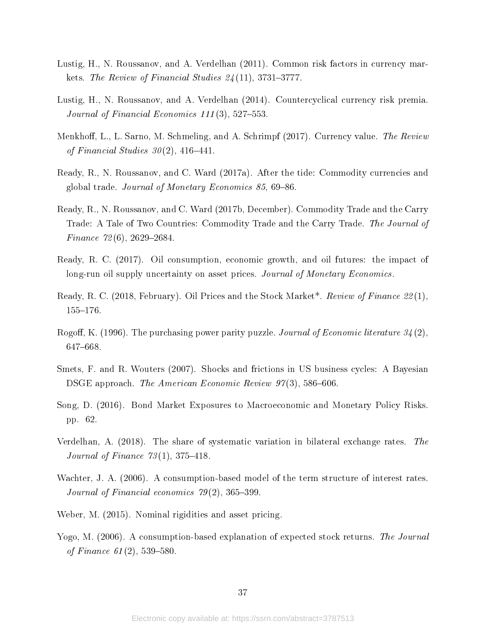- Lustig, H., N. Roussanov, and A. Verdelhan (2011). Common risk factors in currency markets. The Review of Financial Studies  $24(11)$ , 3731-3777.
- Lustig, H., N. Roussanov, and A. Verdelhan (2014). Countercyclical currency risk premia. Journal of Financial Economics  $111(3)$ , 527-553.
- Menkhoff, L., L. Sarno, M. Schmeling, and A. Schrimpf (2017). Currency value. The Review of Financial Studies  $30(2)$ , 416-441.
- Ready, R., N. Roussanov, and C. Ward (2017a). After the tide: Commodity currencies and global trade. Journal of Monetary Economics 85, 69–86.
- Ready, R., N. Roussanov, and C. Ward (2017b, December). Commodity Trade and the Carry Trade: A Tale of Two Countries: Commodity Trade and the Carry Trade. The Journal of Finance  $72(6)$ , 2629-2684.
- Ready, R. C. (2017). Oil consumption, economic growth, and oil futures: the impact of long-run oil supply uncertainty on asset prices. Journal of Monetary Economics.
- Ready, R. C. (2018, February). Oil Prices and the Stock Market<sup>\*</sup>. Review of Finance 22(1), 155-176.
- Rogoff, K. (1996). The purchasing power parity puzzle. Journal of Economic literature  $34(2)$ , 647-668.
- Smets, F. and R. Wouters (2007). Shocks and frictions in US business cycles: A Bayesian DSGE approach. The American Economic Review  $97(3)$ , 586–606.
- Song, D. (2016). Bond Market Exposures to Macroeconomic and Monetary Policy Risks. pp. 62.
- Verdelhan, A. (2018). The share of systematic variation in bilateral exchange rates. The Journal of Finance  $73(1)$ , 375–418.
- Wachter, J. A. (2006). A consumption-based model of the term structure of interest rates. Journal of Financial economics  $79(2)$ , 365-399.
- Weber, M. (2015). Nominal rigidities and asset pricing.
- Yogo, M. (2006). A consumption-based explanation of expected stock returns. The Journal of Finance  $61(2)$ , 539-580.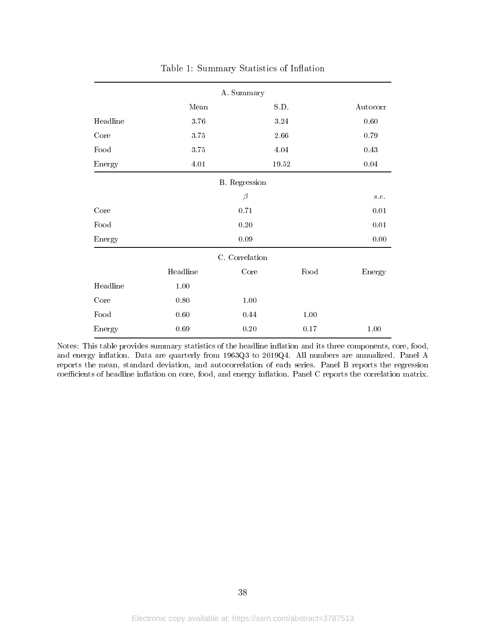|          |          | A. Summary           |          |          |
|----------|----------|----------------------|----------|----------|
|          | Mean     |                      | S.D.     | Autocorr |
| Headline | 3.76     |                      | $3.24\,$ | 0.60     |
| Core     | $3.75\,$ |                      | $2.66\,$ | 0.79     |
| Food     | 3.75     |                      | 4.04     | 0.43     |
| Energy   | 4.01     |                      | 19.52    | $0.04\,$ |
|          |          | <b>B.</b> Regression |          |          |
|          |          | $\beta$              |          | s.e.     |
| Core     |          | 0.71                 |          | 0.01     |
| Food     |          | 0.20                 |          | $0.01\,$ |
| Energy   |          | 0.09                 |          | $0.00\,$ |
|          |          | C. Correlation       |          |          |
|          | Headline | Core                 | Food     | Energy   |
| Headline | $1.00\,$ |                      |          |          |
| Core     | 0.80     | 1.00                 |          |          |
| Food     | $0.60\,$ | 0.44                 | 1.00     |          |
| Energy   | 0.69     | 0.20                 | $0.17\,$ | 1.00     |

Table 1: Summary Statistics of Inflation

Notes: This table provides summary statistics of the headline inflation and its three components, core, food, and energy inflation. Data are quarterly from 1963Q3 to 2019Q4. All numbers are annualized. Panel A reports the mean, standard deviation, and autocorrelation of each series. Panel B reports the regression coefficients of headline inflation on core, food, and energy inflation. Panel C reports the correlation matrix.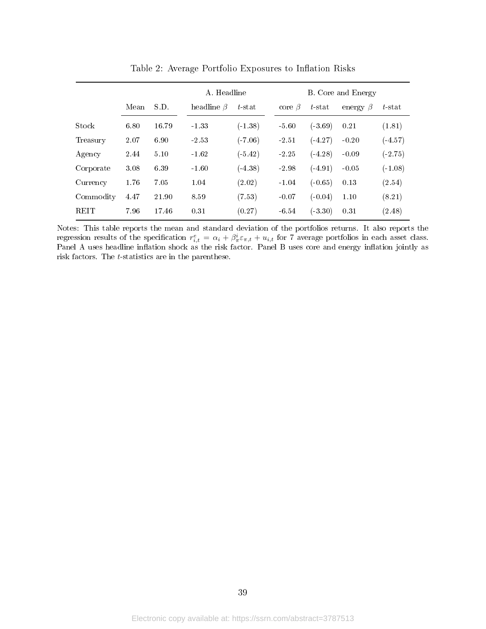|             |      |       | A. Headline      |           | B. Core and Energy |           |                |           |  |
|-------------|------|-------|------------------|-----------|--------------------|-----------|----------------|-----------|--|
|             | Mean | S.D.  | headline $\beta$ | $t$ -stat | core $\beta$       | $t$ -stat | energy $\beta$ | $t$ -stat |  |
| Stock       | 6.80 | 16.79 | $-1.33$          | $(-1.38)$ | $-5.60$            | $(-3.69)$ | 0.21           | (1.81)    |  |
| Treasury    | 2.07 | 6.90  | -2.53            | $(-7.06)$ | $-2.51$            | $(-4.27)$ | $-0.20$        | $(-4.57)$ |  |
| Agency      | 2.44 | 5.10  | $-1.62$          | $(-5.42)$ | $-2.25$            | $(-4.28)$ | $-0.09$        | $(-2.75)$ |  |
| Corporate   | 3.08 | 6.39  | $-1.60$          | $(-4.38)$ | $-2.98$            | $(-4.91)$ | $-0.05$        | $(-1.08)$ |  |
| Currency    | 1.76 | 7.05  | 1.04             | (2.02)    | $-1.04$            | $(-0.65)$ | 0.13           | (2.54)    |  |
| Commodity   | 4.47 | 21.90 | 8.59             | (7.53)    | $-0.07$            | $(-0.04)$ | 1.10           | (8.21)    |  |
| <b>REIT</b> | 7.96 | 17.46 | 0.31             | (0.27)    | $-6.54$            | $(-3.30)$ | 0.31           | (2.48)    |  |

Table 2: Average Portfolio Exposures to Inflation Risks

Notes: This table reports the mean and standard deviation of the portfolios returns. It also reports the regression results of the specification  $r_{i,t}^e = \alpha_i + \beta_{\pi}^i \varepsilon_{\pi,t} + u_{i,t}$  for 7 average portfolios in each asset class. Panel A uses headline inflation shock as the risk factor. Panel B uses core and energy inflation jointly as risk factors. The  $t$ -statistics are in the parenthese.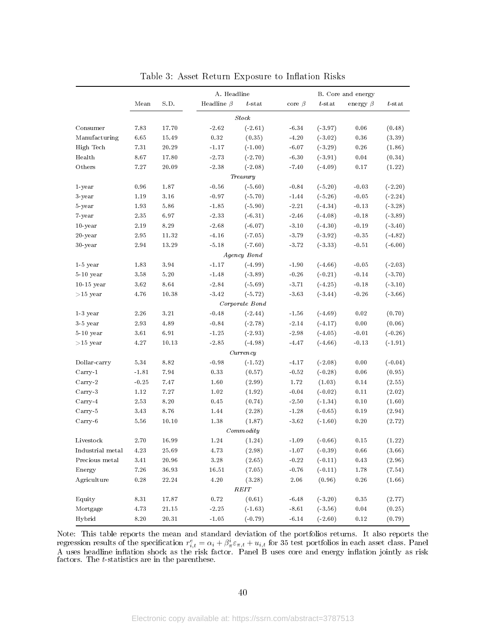|                  |          |             | A. Headline      |                          |                 |                         | B. Core and energy |           |
|------------------|----------|-------------|------------------|--------------------------|-----------------|-------------------------|--------------------|-----------|
|                  | Mean     | S.D.        | Headline $\beta$ | $t$ -stat                | core $\beta$    | $t\operatorname{-stat}$ | energy $\beta$     | $t$ -stat |
|                  |          |             |                  | Stock                    |                 |                         |                    |           |
| Consumer         | 7.83     | 17.70       | $-2.62$          | $(-2.61)$                | $-6.34$         | $(-3.97)$               | 0.06               | (0.48)    |
| Manufacturing    | 6.65     | 15.49       | $0.32\,$         | (0.35)                   | $-4.20$         | $(-3.02)$               | $\rm 0.36$         | (3.39)    |
| High Tech        | 7.31     | 20.29       | $-1.17$          | $(-1.00)$                | $-6.07$         | $(-3.29)$               | 0.26               | (1.86)    |
| Health           | 8.67     | 17.80       | $-2.73$          | $(-2.70)$                | $-6.30$         | $(-3.91)$               | 0.04               | (0.34)    |
| Others           | $7.27\,$ | 20.09       | $-2.38$          | $(-2.08)$                | $-7.40$         | $(-4.09)$               | 0.17               | (1.22)    |
|                  |          |             |                  | Treasury                 |                 |                         |                    |           |
| 1-year           | 0.96     | 1.87        | $-0.56$          | $(-5.60)$                | $-0.84$         | $(-5.20)$               | $-0.03$            | $(-2.20)$ |
| 3-year           | 1.19     | 3.16        | $-0.97$          | $(-5.70)$                | $-1.44$         | $(-5.26)$               | $-0.05$            | $(-2.24)$ |
| 5-year           | 1.93     | $5.86\,$    | $-1.85$          | $(-5.90)$                | $-2.21$         | $(-4.34)$               | $-0.13$            | $(-3.28)$ |
| 7-year           | 2.35     | 6.97        | $-2.33$          | $(-6.31)$                | $-2.46$         | $(-4.08)$               | $-0.18$            | $(-3.89)$ |
| $10$ -year       | 2.19     | $8.29\,$    | $-2.68$          | $(-6.07)$                | $-3.10$         | $(-4.30)$               | $-0.19$            | $(-3.40)$ |
| $20$ -year       | 2.95     | 11.32       | $-4.16$          | $(-7.05)$                | $-3.79$         | $(-3.92)$               | $-0.35$            | $(-4.82)$ |
| 30-year          | 2.94     | 13.29       | $-5.18$          | $(-7.60)$                | $-3.72$         | $(-3.33)$               | $-0.51$            | $(-6.00)$ |
|                  |          |             |                  | Agency Bond              |                 |                         |                    |           |
| $1-5$ year       | 1.83     | 3.94        | $-1.17$          | $(-4.99)$                | $-1.90$         | $(-4.66)$               | $\sim 0.05$        | $(-2.03)$ |
| $5-10$ year      | $3.58\,$ | $5\ldotp20$ | $-1.48$          | $(-3.89)$                | $-0.26$         | $(-0.21)$               | $-0.14$            | $(-3.70)$ |
| $10-15$ year     | 3.62     | 8.64        | $-2.84$          | $(-5.69)$                | $-3.71$         | $(-4.25)$               | $-0.18$            | $(-3.10)$ |
| $>15$ year       | 4.76     | 10.38       | $-3.42$          | $(-5.72)$                | $-3.63$         | $(-3.44)$               | $-0.26$            | $(-3.66)$ |
|                  |          |             |                  | $\emph{Co}$ rporate Bond |                 |                         |                    |           |
| $1-3$ year       | $2.26\,$ | 3.21        | $-0.48$          | $(-2.44)$                | $-1.56$         | $(-4.69)$               | $\rm 0.02$         | (0.70)    |
| $3-5$ year       | 2.93     | 4.89        | $-0.84$          | $(-2.78)$                | $-2.14$         | $(-4.17)$               | $0.00\,$           | (0.06)    |
| $5-10$ year      | 3.61     | 6.91        | $-1.25$          | $(-2.93)$                | $-2.98$         | $(-4.05)$               | $-0.01$            | $(-0.26)$ |
| $>15$ year       | 4.27     | 10.13       | $-2.85$          | $(-4.98)$                | $-4.47$         | $(-4.66)$               | $-0.13$            | $(-1.91)$ |
|                  |          |             |                  | Currentcy                |                 |                         |                    |           |
| Dollar-carry     | 5.34     | 8.82        | $-0.98$          | $(-1.52)$                | $-4.17$         | $(-2.08)$               | $0.00\,$           | $(-0.04)$ |
| Carry-1          | $-1.81$  | 7.94        | $0.33\,$         | (0.57)                   | $\mbox{-}0.52$  | $(-0.28)$               | $0.06\,$           | (0.95)    |
| $Carry-2$        | $-0.25$  | $7.47\,$    | 1.60             | (2.99)                   | $1.72\,$        | (1.03)                  | 0.14               | (2.55)    |
| Carry-3          | 1.12     | $7.27\,$    | 1.02             | (1.92)                   | $\mbox{--}0.04$ | $(-0.02)$               | 0.11               | (2.02)    |
| $Carry-4$        | 2.53     | $8.20\,$    | 0.45             | (0.74)                   | $-2.50$         | $(-1.34)$               | 0.10               | (1.60)    |
| Carry-5          | 3.43     | 8.76        | 1.44             | (2.28)                   | $-1.28$         | $(-0.65)$               | 0.19               | (2.94)    |
| $Carry-6$        | 5.56     | 10.10       | 1.38             | (1.87)                   | $-3.62$         | $(-1.60)$               | 0.20               | (2.72)    |
|                  |          |             |                  | Commodity                |                 |                         |                    |           |
| Livestock        | 2.70     | 16.99       | 1.24             | (1.24)                   | $\mbox{-} 1.09$ | $(-0.66)$               | 0.15               | (1.22)    |
| Industrial metal | 4.23     | 25.69       | 4.73             | (2.98)                   | $-1.07$         | $(-0.39)$               | 0.66               | (3.66)    |
| Precious metal   | $3.41\,$ | $20.96\,$   | $3.28\,$         | (2.65)                   | $-0.22$         | $(-0.11)$               | $0.43\,$           | (2.96)    |
| Energy           | $7.26\,$ | 36.93       | 16.51            | (7.05)                   | $-0.76$         | $(-0.11)$               | $1.78\,$           | (7.54)    |
| Agriculture      | $0.28\,$ | 22.24       | $4.20\,$         | (3.28)                   | 2.06            | (0.96)                  | 0.26               | (1.66)    |
|                  |          |             |                  | REIT                     |                 |                         |                    |           |
| Equity           | 8.31     | 17.87       | $0.72\,$         | (0.61)                   | $-6.48$         | $(-3.20)$               | $0.35\,$           | (2.77)    |
| Mortgage         | 4.73     | 21.15       | $-2.25$          | $(-1.63)$                | $-8.61$         | $(-3.56)$               | $0.04\,$           | (0.25)    |
| Hybrid           | 8.20     | $20.31\,$   | $-1.05$          | $(-0.79)$                | $-6.14$         | $(-2.60)$               | $0.12\,$           | (0.79)    |

Table 3: Asset Return Exposure to Inflation Risks

Note: This table reports the mean and standard deviation of the portfolios returns. It also reports the regression results of the specification  $r_{i,t}^e = \alpha_i + \beta_n^i \varepsilon_{\pi,t} + u_{i,t}$  for 35 test portfolios in each asset class. Panel A uses headline inflation shock as the risk factor. Panel B uses core and energy inflation jointly as risk factors. The *t*-statistics are in the parenthese.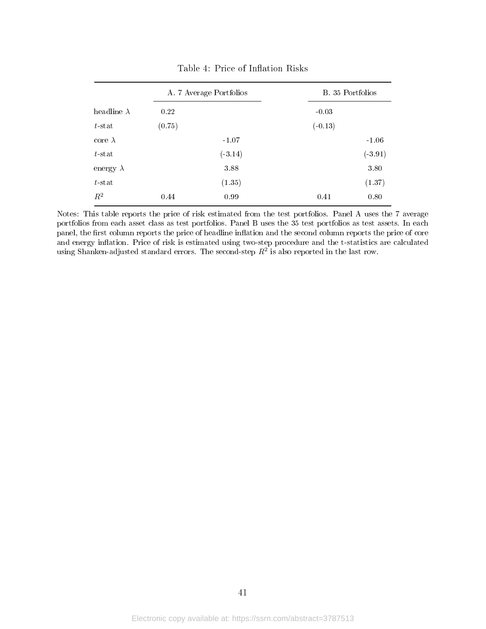|                    |        | A. 7 Average Portfolios | B. 35 Portfolios |           |  |  |
|--------------------|--------|-------------------------|------------------|-----------|--|--|
| headline $\lambda$ | 0.22   |                         | $-0.03$          |           |  |  |
| $t$ stat           | (0.75) |                         | $(-0.13)$        |           |  |  |
| core $\lambda$     |        | $-1.07$                 |                  | $-1.06$   |  |  |
| $t$ stat           |        | $(-3.14)$               |                  | $(-3.91)$ |  |  |
| energy $\lambda$   |        | 3.88                    |                  | 3.80      |  |  |
| $t$ stat           |        | (1.35)                  |                  | (1.37)    |  |  |
| $R^2$              | 0.44   | 0.99                    | 0.41             | 0.80      |  |  |

Table 4: Price of Inflation Risks

Notes: This table reports the price of risk estimated from the test portfolios. Panel A uses the 7 average portfolios from each asset class as test portfolios. Panel B uses the 35 test portfolios as test assets. In each panel, the first column reports the price of headline inflation and the second column reports the price of core and energy inflation. Price of risk is estimated using two-step procedure and the t-statistics are calculated using Shanken-adjusted standard errors. The second-step  $R^2$  is also reported in the last row.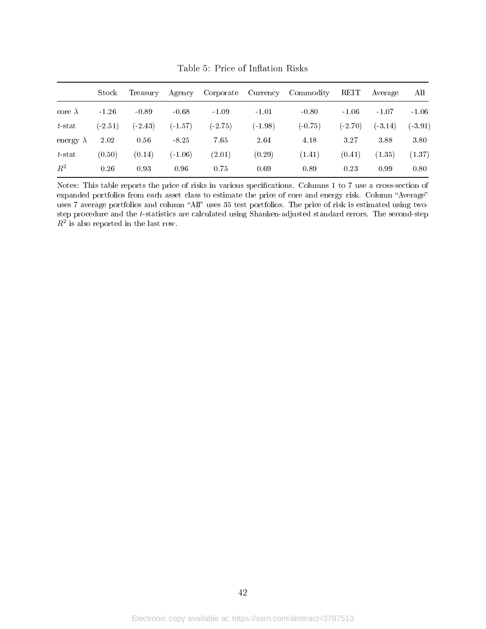|                  | Stock     | Treasury   | Agency    | Corporate  | Currency  | Commodity | <b>REIT</b> | Average   | All       |
|------------------|-----------|------------|-----------|------------|-----------|-----------|-------------|-----------|-----------|
| core $\lambda$   | $-1.26$   | $-0.89$    | $-0.68$   | $-1.09$    | $-1.01$   | $-0.80$   | $-1.06$     | $-1.07$   | $-1.06$   |
| $t$ -stat        | $(-2.51)$ | $( -2.43)$ | $(-1.57)$ | $(-2, 75)$ | $(-1.98)$ | $(-0.75)$ | $(-2.70)$   | $(-3.14)$ | $(-3.91)$ |
| energy $\lambda$ | 2.02      | 0.56       | $-8.25$   | 7.65       | 2.64      | 4.18      | 3.27        | 3.88      | 3.80      |
| $t$ -stat        | (0.50)    | (0.14)     | $(-1.06)$ | (2.01)     | (0.29)    | (1.41)    | (0.41)      | (1.35)    | (1.37)    |
| $R^2$            | 0.26      | 0.93       | 0.96      | 0.75       | 0.69      | 0.89      | 0.23        | 0.99      | 0.80      |

Table 5: Price of Inflation Risks

Notes: This table reports the price of risks in various specifications. Columns 1 to 7 use a cross-section of expanded portfolios from each asset class to estimate the price of core and energy risk. Column "Average" uses 7 average portfolios and column "All" uses 35 test portfolios. The price of risk is estimated using twostep procedure and the t-statistics are calculated using Shanken-adjusted standard errors. The second-step  $R^2$  is also reported in the last row.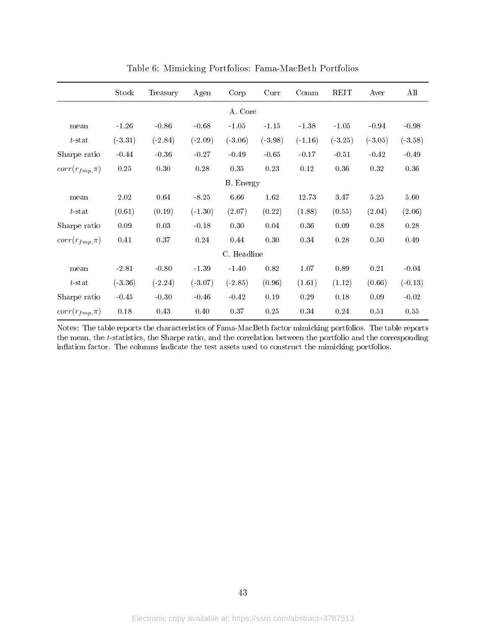|                      | Stock     | Treasury  | Agen      | Corp        | Curr      | Comm      | REIT      | Aver      | All       |
|----------------------|-----------|-----------|-----------|-------------|-----------|-----------|-----------|-----------|-----------|
|                      |           |           |           | A. Core     |           |           |           |           |           |
| mean                 | $-1.26$   | $-0.86$   | $-0.68$   | $-1.05$     | $-1.15$   | $-1.38$   | $-1.05$   | $-0.94$   | $-0.98$   |
| $t$ -stat            | $(-3.31)$ | $(-2.84)$ | $(-2.09)$ | $(-3.06)$   | $(-3.98)$ | $(-1.16)$ | $(-3.25)$ | $(-3.05)$ | $(-3.58)$ |
| Sharpe ratio         | $-0.44$   | $-0.36$   | $-0.27$   | $-0.49$     | $-0.65$   | $-0.17$   | $-0.51$   | $-0.42$   | $-0.49$   |
| $corr(r_{fmp}, \pi)$ | $0.25\,$  | 0.30      | 0.28      | 0.35        | 0.23      | $0.12\,$  | $0.36\,$  | 0.32      | 0.36      |
|                      |           |           |           | B. Energy   |           |           |           |           |           |
| mean                 | $2.02\,$  | 0.64      | $-8.25$   | 6.66        | 1.62      | 12.73     | 3.47      | $5.25\,$  | 5.60      |
| $t$ -stat            | (0.61)    | (0.19)    | $(-1.30)$ | (2.07)      | (0.22)    | (1.88)    | (0.55)    | (2.04)    | (2.06)    |
| Sharpe ratio         | 0.09      | 0.03      | $-0.18$   | 0.30        | 0.04      | 0.36      | 0.09      | 0.28      | 0.28      |
| $corr(r_{fmp}, \pi)$ | 0.41      | 0.37      | 0.24      | 0.44        | 0.30      | 0.34      | 0.28      | 0.50      | 0.49      |
|                      |           |           |           | C. Headline |           |           |           |           |           |
| mean                 | $-2.81$   | $-0.80$   | $-1.39$   | $-1.40$     | 0.82      | 1.07      | 0.89      | 0.21      | $-0.04$   |
| $t$ -stat            | $(-3.36)$ | $(-2.24)$ | $(-3.07)$ | $(-2.85)$   | (0.96)    | (1.61)    | (1.12)    | (0.66)    | $(-0.13)$ |
| Sharpe ratio         | $-0.45$   | $-0.30$   | $-0.46$   | $-0.42$     | 0.19      | 0.29      | 0.18      | 0.09      | $-0.02$   |
| $corr(r_{fmp}, \pi)$ | $0.18\,$  | 0.43      | 0.40      | 0.37        | 0.25      | 0.34      | 0.24      | 0.51      | 0.55      |

Table 6: Mimicking Portfolios: Fama-MacBeth Portfolios

Notes: The table reports the characteristics of Fama-MacBeth factor mimicking portfolios. The table reports the mean, the t-statistics, the Sharpe ratio, and the correlation between the portfolio and the corresponding inflation factor. The columns indicate the test assets used to construct the mimicking portfolios.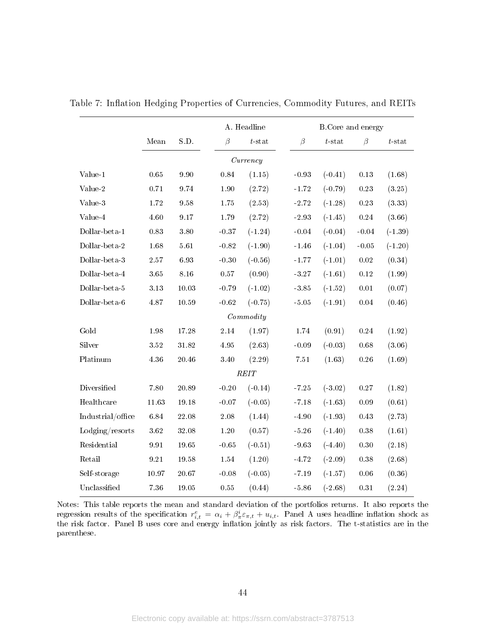|                   |                     |          |          | A. Headline |          | B. Core and energy |            |           |
|-------------------|---------------------|----------|----------|-------------|----------|--------------------|------------|-----------|
|                   | Mean                | S.D.     | $\beta$  | $t$ -stat   | $\beta$  | $t$ -stat          | $\beta$    | $t$ -stat |
|                   |                     |          |          | Currency    |          |                    |            |           |
| Value-1           | 0.65                | 9.90     | 0.84     | (1.15)      | $-0.93$  | $(-0.41)$          | $0.13\,$   | (1.68)    |
| Value-2           | 0.71                | 9.74     | 1.90     | (2.72)      | $-1.72$  | $(-0.79)$          | 0.23       | (3.25)    |
| Value-3           | 1.72                | 9.58     | 1.75     | (2.53)      | $-2.72$  | $(-1.28)$          | 0.23       | (3.33)    |
| Value-4           | 4.60                | 9.17     | 1.79     | (2.72)      | $-2.93$  | $(-1.45)$          | $\rm 0.24$ | (3.66)    |
| Dollar-beta-1     | 0.83                | $3.80\,$ | $-0.37$  | $(-1.24)$   | $-0.04$  | $(-0.04)$          | $-0.04$    | $(-1.39)$ |
| Dollar-beta-2     | 1.68                | $5.61\,$ | $-0.82$  | $(-1.90)$   | $-1.46$  | $(-1.04)$          | $-0.05$    | $(-1.20)$ |
| Dollar-beta-3     | $2\;57$             | 6.93     | $-0.30$  | $(-0.56)$   | $-1.77$  | $(-1.01)$          | $\rm 0.02$ | (0.34)    |
| Dollar-beta-4     | 3.65                | $8.16\,$ | $0.57\,$ | (0.90)      | $-3.27$  | $(-1.61)$          | $0.12\,$   | (1.99)    |
| Dollar-beta-5     | $3.13\,$            | 10.03    | $-0.79$  | $(-1.02)$   | $-3.85$  | $(-1.52)$          | 0.01       | (0.07)    |
| Dollar-beta-6     | 4.87                | 10.59    | $-0.62$  | $(-0.75)$   | $-5.05$  | $(-1.91)$          | $\,0.04$   | (0.46)    |
|                   |                     |          |          | Commodity   |          |                    |            |           |
| Gold              | 1.98                | 17.28    | 2.14     | (1.97)      | 1.74     | (0.91)             | $\rm 0.24$ | (1.92)    |
| Silver            | 3.52                | 31.82    | 4.95     | (2.63)      | $-0.09$  | $(-0.03)$          | 0.68       | (3.06)    |
| Platinum          | 4.36                | 20.46    | 3.40     | (2.29)      | $7.51\,$ | (1.63)             | $0.26\,$   | (1.69)    |
|                   |                     |          |          | REIT        |          |                    |            |           |
| Diversified       | 7.80                | 20.89    | $-0.20$  | $(-0.14)$   | $-7.25$  | $(-3.02)$          | $0.27\,$   | (1.82)    |
| Healthcare        | 11.63               | 19.18    | $-0.07$  | $(-0.05)$   | $-7.18$  | $(-1.63)$          | 0.09       | (0.61)    |
| Industrial/office | 6.84                | 22.08    | $2.08\,$ | (1.44)      | $-4.90$  | $(-1.93)$          | $0.43\,$   | (2.73)    |
| Lodging/resorts   | 3.62                | 32.08    | 1.20     | (0.57)      | $-5.26$  | $(-1.40)$          | 0.38       | (1.61)    |
| Residential       | $\boldsymbol{9.91}$ | 19.65    | $-0.65$  | $(-0.51)$   | $-9.63$  | $(-4.40)$          | $0.30\,$   | (2.18)    |
| Retail            | 9.21                | 19.58    | $1.54\,$ | (1.20)      | $-4.72$  | $(-2.09)$          | $0.38\,$   | (2.68)    |
| Self-storage      | 10.97               | 20.67    | $-0.08$  | $(-0.05)$   | $-7.19$  | $(-1.57)$          | 0.06       | (0.36)    |
| Unclassified      | 7.36                | 19.05    | $0.55\,$ | (0.44)      | $-5.86$  | $(-2.68)$          | $0.31\,$   | (2.24)    |

Table 7: Inflation Hedging Properties of Currencies, Commodity Futures, and REITs

Notes: This table reports the mean and standard deviation of the portfolios returns. It also reports the regression results of the specification  $r_{i,t}^e = \alpha_i + \beta_{\pi}^i \varepsilon_{\pi,t} + u_{i,t}$ . Panel A uses headline inflation shock as the risk factor. Panel B uses core and energy inflation jointly as risk factors. The t-statistics are in the parenthese.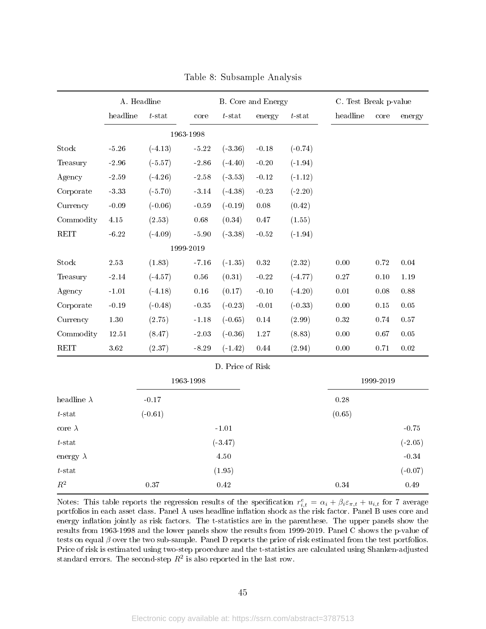|                         |                  | A. Headline |           |                  | B. Core and Energy |           | C. Test Break p-value |           |           |
|-------------------------|------------------|-------------|-----------|------------------|--------------------|-----------|-----------------------|-----------|-----------|
|                         | headline         | $t$ -stat   | core      | $t$ -stat        | energy             | $t$ -stat | headline              | core      | energy    |
|                         |                  |             | 1963-1998 |                  |                    |           |                       |           |           |
| Stock                   | $-5.26$          | $(-4.13)$   | $-5.22$   | $(-3.36)$        | $-0.18$            | $(-0.74)$ |                       |           |           |
| Treasury                | $-2.96$          | $(-5.57)$   | $-2.86$   | $(-4.40)$        | $-0.20$            | $(-1.94)$ |                       |           |           |
| Agency                  | $-2.59$          | $(-4.26)$   | $-2.58$   | $(-3.53)$        | $-0.12$            | $(-1.12)$ |                       |           |           |
| Corporate               | $\textbf{-3.33}$ | $(-5.70)$   | $-3.14$   | $(-4.38)$        | $-0.23$            | $(-2.20)$ |                       |           |           |
| Currency                | $-0.09$          | $(-0.06)$   | $-0.59$   | $(-0.19)$        | $0.08\,$           | (0.42)    |                       |           |           |
| Commodity               | $4.15\,$         | (2.53)      | $0.68\,$  | (0.34)           | 0.47               | (1.55)    |                       |           |           |
| REIT                    | $-6.22$          | $(-4.09)$   | $-5.90$   | $(-3.38)$        | $-0.52$            | $(-1.94)$ |                       |           |           |
|                         |                  |             | 1999-2019 |                  |                    |           |                       |           |           |
| Stock                   | $2\ 53$          | (1.83)      | $-7.16$   | $(-1.35)$        | $0.32\,$           | (2.32)    | $0.00\,$              | $0.72\,$  | 0.04      |
| Treasury                | $-2.14$          | $(-4.57)$   | 0.56      | (0.31)           | $-0.22$            | $(-4.77)$ | $0.27\,$              | $0.10\,$  | 1.19      |
| Agency                  | $-1.01$          | $(-4.18)$   | 0.16      | (0.17)           | $-0.10$            | $(-4.20)$ | $0.01\,$              | $0.08\,$  | $0.88\,$  |
| Corporate               | $-0.19$          | $(-0.48)$   | $-0.35$   | $(-0.23)$        | $-0.01$            | $(-0.33)$ | $0.00\,$              | $0.15\,$  | $0.05\,$  |
| Currency                | $1.30\,$         | (2.75)      | $-1.18$   | $(-0.65)$        | 0.14               | (2.99)    | $0.32\,$              | 0.74      | 0.57      |
| Commodity               | 12.51            | (8.47)      | $-2.03$   | $(-0.36)$        | 1.27               | (8.83)    | 0.00                  | 0.67      | $0.05\,$  |
| REIT                    | $3.62\,$         | (2.37)      | $-8.29$   | $(-1.42)$        | $0.44\,$           | (2.94)    | $0.00\,$              | 0.71      | $0.02\,$  |
|                         |                  |             |           | D. Price of Risk |                    |           |                       |           |           |
|                         |                  |             | 1963-1998 |                  |                    |           |                       | 1999-2019 |           |
| headline $\lambda$      |                  | $-0.17$     |           |                  |                    |           | 0.28                  |           |           |
| $t\operatorname{-stat}$ |                  | $(-0.61)$   |           |                  |                    |           | (0.65)                |           |           |
| core $\lambda$          |                  |             |           | $-1.01$          |                    |           |                       |           | $-0.75$   |
| $t\operatorname{-stat}$ |                  |             |           | $(-3.47)$        |                    |           |                       |           | $(-2.05)$ |
| energy $\lambda$        |                  |             |           | 4.50             |                    |           |                       |           | $-0.34$   |
| $t$ -stat               |                  |             |           | (1.95)           |                    |           |                       |           | $(-0.07)$ |
| $\mathbb{R}^2$          |                  | 0.37        |           | 0.42             |                    |           | 0.34                  |           | 0.49      |

Table 8: Subsample Analysis

Notes: This table reports the regression results of the specification  $r_{i,t}^e = \alpha_i + \beta_i \varepsilon_{\pi,t} + u_{i,t}$  for 7 average portfolios in each asset class. Panel A uses headline inflation shock as the risk factor. Panel B uses core and energy inflation jointly as risk factors. The t-statistics are in the parenthese. The upper panels show the results from 1963-1998 and the lower panels show the results from 1999-2019. Panel C shows the p-value of tests on equal  $\beta$  over the two sub-sample. Panel D reports the price of risk estimated from the test portfolios. Price of risk is estimated using two-step procedure and the t-statistics are calculated using Shanken-adjusted standard errors. The second-step  $R^2$  is also reported in the last row.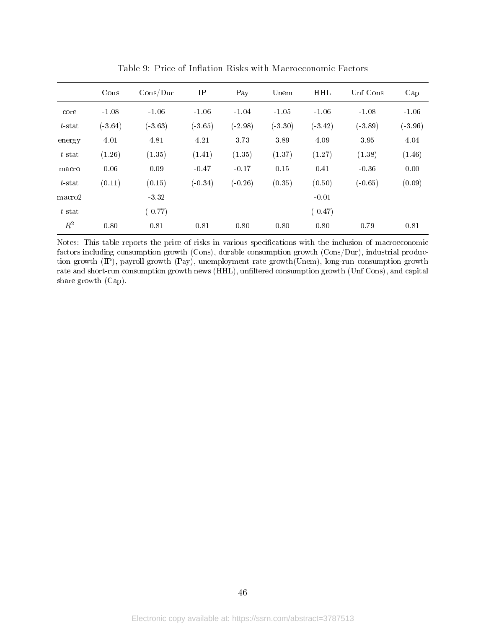|           | Cons      | Cons/Dur  | $\rm IP$  | Pay       | Unem      | <b>HHL</b> | Unf Cons  | Cap       |
|-----------|-----------|-----------|-----------|-----------|-----------|------------|-----------|-----------|
| core      | $-1.08$   | $-1.06$   | $-1.06$   | $-1.04$   | $-1.05$   | $-1.06$    | $-1.08$   | $-1.06$   |
| $t$ -stat | $(-3.64)$ | $(-3.63)$ | $(-3.65)$ | $(-2.98)$ | $(-3.30)$ | $(-3.42)$  | $(-3.89)$ | $(-3.96)$ |
| energy    | 4.01      | 4.81      | 4.21      | 3.73      | 3.89      | 4.09       | 3.95      | 4.04      |
| $t$ -stat | (1.26)    | (1.35)    | (1.41)    | (1.35)    | (1.37)    | (1.27)     | (1.38)    | (1.46)    |
| macro     | 0.06      | 0.09      | $-0.47$   | $-0.17$   | 0.15      | 0.41       | $-0.36$   | 0.00      |
| $t$ -stat | (0.11)    | (0.15)    | $(-0.34)$ | $(-0.26)$ | (0.35)    | (0.50)     | $(-0.65)$ | (0.09)    |
| macro2    |           | $-3.32$   |           |           |           | $-0.01$    |           |           |
| $t$ -stat |           | $(-0.77)$ |           |           |           | $(-0.47)$  |           |           |
| $R^2$     | 0.80      | 0.81      | 0.81      | 0.80      | 0.80      | 0.80       | 0.79      | 0.81      |

Table 9: Price of Inflation Risks with Macroeconomic Factors

Notes: This table reports the price of risks in various specifications with the inclusion of macroeconomic factors including consumption growth (Cons), durable consumption growth (Cons/Dur), industrial production growth (IP), payroll growth (Pay), unemployment rate growth(Unem), long-run consumption growth rate and short-run consumption growth news (HHL), unfiltered consumption growth (Unf Cons), and capital share growth (Cap).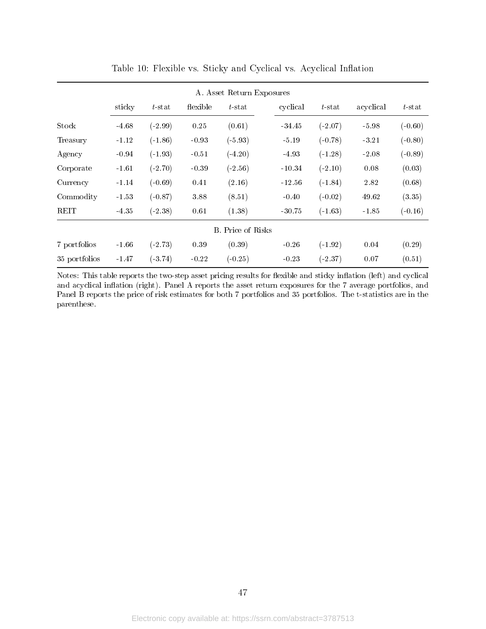|               |         |           |          | A. Asset Return Exposures |          |           |           |           |
|---------------|---------|-----------|----------|---------------------------|----------|-----------|-----------|-----------|
|               | sticky  | $t$ -stat | flexible | $t$ -stat                 | cyclical | $t$ stat  | acyclical | $t$ -stat |
| Stock         | $-4.68$ | $(-2.99)$ | 0.25     | (0.61)                    | $-34.45$ | $(-2.07)$ | $-5.98$   | $(-0.60)$ |
| Treasury      | $-1.12$ | $(-1.86)$ | $-0.93$  | $(-5.93)$                 | $-5.19$  | $(-0.78)$ | $-3.21$   | $(-0.80)$ |
| Agency        | $-0.94$ | $(-1.93)$ | $-0.51$  | $(-4.20)$                 | $-4.93$  | $(-1.28)$ | $-2.08$   | $(-0.89)$ |
| Corporate     | $-1.61$ | $(-2.70)$ | $-0.39$  | $(-2.56)$                 | $-10.34$ | $(-2.10)$ | 0.08      | (0.03)    |
| Currency      | $-1.14$ | $(-0.69)$ | 0.41     | (2.16)                    | $-12.56$ | $(-1.84)$ | 2.82      | (0.68)    |
| Commodity     | $-1.53$ | $(-0.87)$ | 3.88     | (8.51)                    | $-0.40$  | $(-0.02)$ | 49.62     | (3.35)    |
| <b>REIT</b>   | $-4.35$ | $(-2.38)$ | 0.61     | (1.38)                    | $-30.75$ | $(-1.63)$ | $-1.85$   | $(-0.16)$ |
|               |         |           |          | <b>B.</b> Price of Risks  |          |           |           |           |
| 7 portfolios  | $-1.66$ | $(-2.73)$ | 0.39     | (0.39)                    | $-0.26$  | $(-1.92)$ | 0.04      | (0.29)    |
| 35 portfolios | $-1.47$ | $(-3.74)$ | $-0.22$  | $(-0.25)$                 | $-0.23$  | $(-2.37)$ | 0.07      | (0.51)    |

Table 10: Flexible vs. Sticky and Cyclical vs. Acyclical Inflation

Notes: This table reports the two-step asset pricing results for flexible and sticky inflation (left) and cyclical and acyclical inflation (right). Panel A reports the asset return exposures for the 7 average portfolios, and Panel B reports the price of risk estimates for both 7 portfolios and 35 portfolios. The t-statistics are in the parenthese.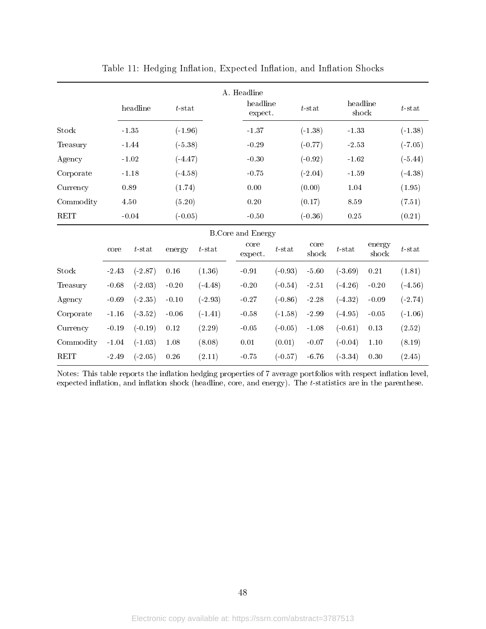|             |         | A. Headline |           |           |  |                          |           |               |                   |                 |           |
|-------------|---------|-------------|-----------|-----------|--|--------------------------|-----------|---------------|-------------------|-----------------|-----------|
|             |         | headline    |           | $t$ -stat |  | headline<br>expect.      | $t$ -stat |               | headline<br>shock |                 | $t$ -stat |
| Stock       |         | $-1.35$     | $(-1.96)$ |           |  | $-1.37$                  |           | $(-1.38)$     | $-1.33$           |                 | $(-1.38)$ |
| Treasury    |         | $-1.44$     | $(-5.38)$ |           |  | $-0.29$                  |           | $(-0.77)$     | $\hbox{-}2.53$    |                 | $(-7.05)$ |
| Agency      |         | $-1.02$     | $(-4.47)$ |           |  | $-0.30$                  |           | $(-0.92)$     | $-1.62$           |                 | $(-5.44)$ |
| Corporate   |         | $-1.18$     | $(-4.58)$ |           |  | $-0.75$                  |           | $(-2.04)$     | $-1.59$           |                 | $(-4.38)$ |
| Currency    |         | 0.89        | (1.74)    |           |  | $0.00\,$                 |           | (0.00)        | 1.04              |                 | (1.95)    |
| Commodity   |         | 4.50        | (5.20)    |           |  | $0.20\,$                 |           | (0.17)        | 8.59              |                 | (7.51)    |
| <b>REIT</b> |         | $-0.04$     | $(-0.05)$ |           |  | $-0.50$                  |           | $(-0.36)$     | $0.25\,$          |                 | (0.21)    |
|             |         |             |           |           |  | <b>B.Core and Energy</b> |           |               |                   |                 |           |
|             | core    | $t$ -stat   | energy    | $t$ -stat |  | core<br>expect.          | $t$ -stat | core<br>shock | $t$ -stat         | energy<br>shock | $t$ -stat |
| Stock       | $-2.43$ | $(-2.87)$   | 0.16      | (1.36)    |  | $-0.91$                  | $(-0.93)$ | $-5.60$       | $(-3.69)$         | $0.21\,$        | (1.81)    |
| Treasury    | $-0.68$ | $(-2.03)$   | $-0.20$   | $(-4.48)$ |  | $-0.20$                  | $(-0.54)$ | $-2.51$       | $(-4.26)$         | $-0.20$         | $(-4.56)$ |
| Agency      | $-0.69$ | $(-2.35)$   | $-0.10$   | $(-2.93)$ |  | $-0.27$                  | $(-0.86)$ | $-2.28$       | $(-4.32)$         | $-0.09$         | $(-2.74)$ |
| Corporate   | $-1.16$ | $(-3.52)$   | $-0.06$   | $(-1.41)$ |  | $-0.58$                  | $(-1.58)$ | $-2.99$       | $(-4.95)$         | $-0.05$         | $(-1.06)$ |
| Currency    | $-0.19$ | $(-0.19)$   | 0.12      | (2.29)    |  | $-0.05$                  | $(-0.05)$ | $-1.08$       | $(-0.61)$         | 0.13            | (2.52)    |
| Commodity   | $-1.04$ | $(-1.03)$   | 1.08      | (8.08)    |  | $0.01\,$                 | (0.01)    | $-0.07$       | $(-0.04)$         | 1.10            | (8.19)    |
| <b>REIT</b> | $-2.49$ | $(-2.05)$   | 0.26      | (2.11)    |  | $-0.75$                  | $(-0.57)$ | $-6.76$       | $(-3.34)$         | 0.30            | (2.45)    |

Table 11: Hedging Inflation, Expected Inflation, and Inflation Shocks

Notes: This table reports the inflation hedging properties of 7 average portfolios with respect inflation level, expected inflation, and inflation shock (headline, core, and energy). The  $t$ -statistics are in the parenthese.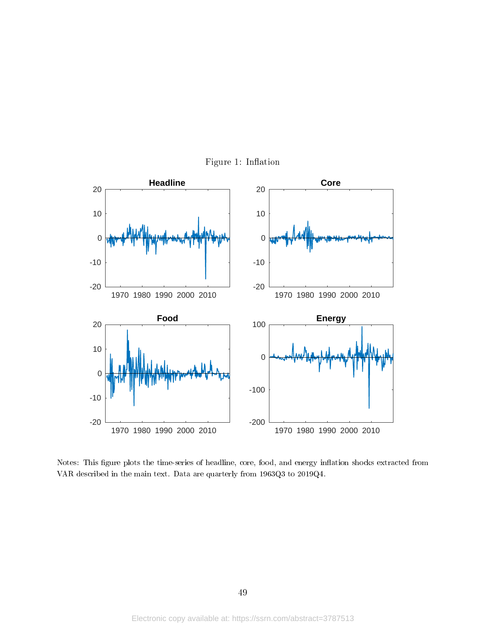

Figure 1: Inflation

Notes: This figure plots the time-series of headline, core, food, and energy inflation shocks extracted from VAR described in the main text. Data are quarterly from 1963Q3 to 2019Q4.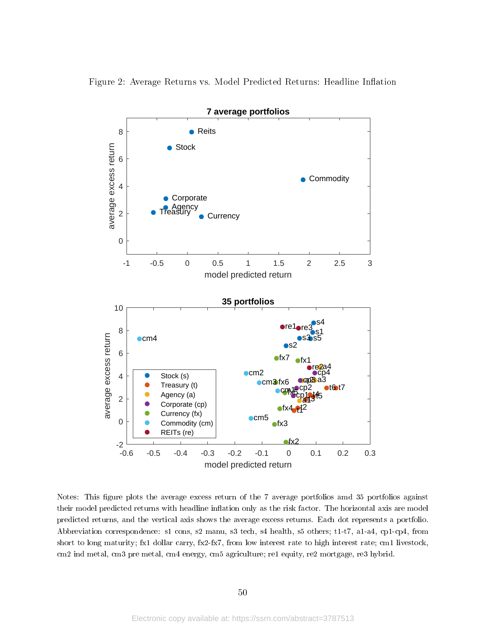



Notes: This figure plots the average excess return of the 7 average portfolios amd 35 portfolios against their model predicted returns with headline inflation only as the risk factor. The horizontal axis are model predicted returns, and the vertical axis shows the average excess returns. Each dot represents a portfolio. Abbreviation correspondence: s1 cons, s2 manu, s3 tech, s4 health, s5 others; t1-t7, a1-a4, cp1-cp4, from short to long maturity; fx1 dollar carry, fx2-fx7, from low interest rate to high interest rate; cm1 livestock, cm2 ind metal, cm3 pre metal, cm4 energy, cm5 agriculture; re1 equity, re2 mortgage, re3 hybrid.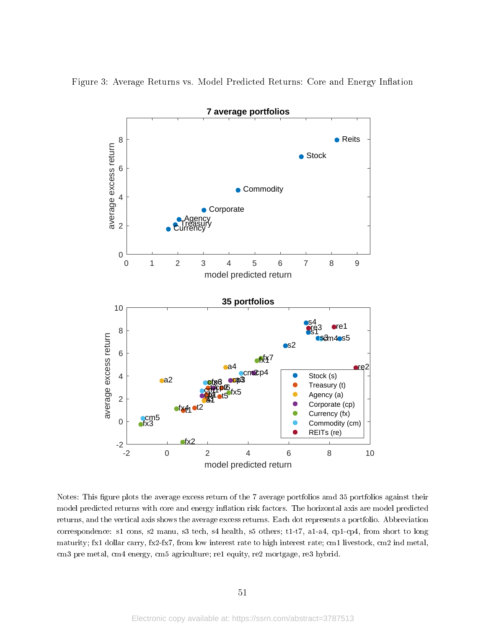

Figure 3: Average Returns vs. Model Predicted Returns: Core and Energy Inflation

Notes: This figure plots the average excess return of the 7 average portfolios amd 35 portfolios against their model predicted returns with core and energy inflation risk factors. The horizontal axis are model predicted returns, and the vertical axis shows the average excess returns. Each dot represents a portfolio. Abbreviation correspondence: s1 cons, s2 manu, s3 tech, s4 health, s5 others; t1-t7, a1-a4, cp1-cp4, from short to long maturity; fx1 dollar carry, fx2-fx7, from low interest rate to high interest rate; cm1 livestock, cm2 ind metal, cm3 pre metal, cm4 energy, cm5 agriculture; re1 equity, re2 mortgage, re3 hybrid.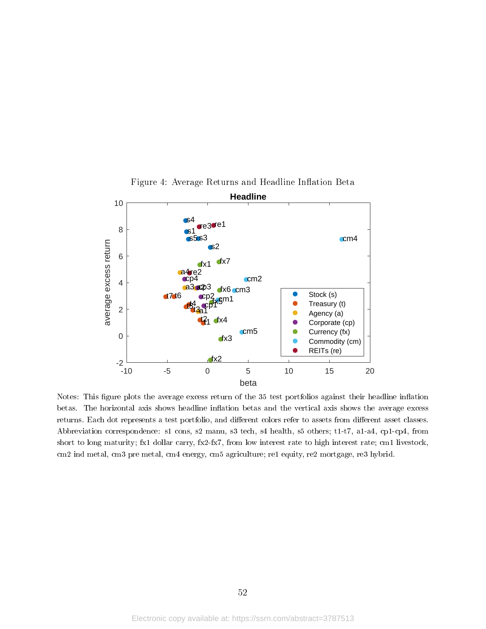

Figure 4: Average Returns and Headline Inflation Beta

Notes: This figure plots the average excess return of the 35 test portfolios against their headline inflation betas. The horizontal axis shows headline inflation betas and the vertical axis shows the average excess returns. Each dot represents a test portfolio, and different colors refer to assets from different asset classes. Abbreviation correspondence: s1 cons, s2 manu, s3 tech, s4 health, s5 others; t1-t7, a1-a4, cp1-cp4, from short to long maturity; fx1 dollar carry, fx2-fx7, from low interest rate to high interest rate; cm1 livestock, cm2 ind metal, cm3 pre metal, cm4 energy, cm5 agriculture; re1 equity, re2 mortgage, re3 hybrid.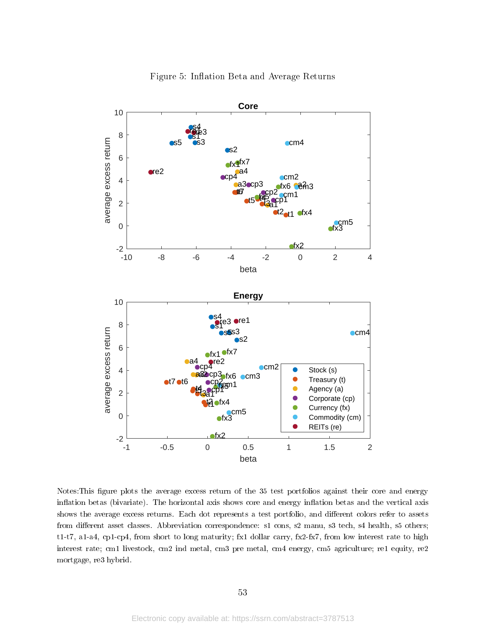

Figure 5: Inflation Beta and Average Returns

Notes: This figure plots the average excess return of the 35 test portfolios against their core and energy inflation betas (bivariate). The horizontal axis shows core and energy inflation betas and the vertical axis shows the average excess returns. Each dot represents a test portfolio, and different colors refer to assets from different asset classes. Abbreviation correspondence: s1 cons, s2 manu, s3 tech, s4 health, s5 others; t1-t7, a1-a4, cp1-cp4, from short to long maturity; fx1 dollar carry, fx2-fx7, from low interest rate to high interest rate; cm1 livestock, cm2 ind metal, cm3 pre metal, cm4 energy, cm5 agriculture; re1 equity, re2 mortgage, re3 hybrid.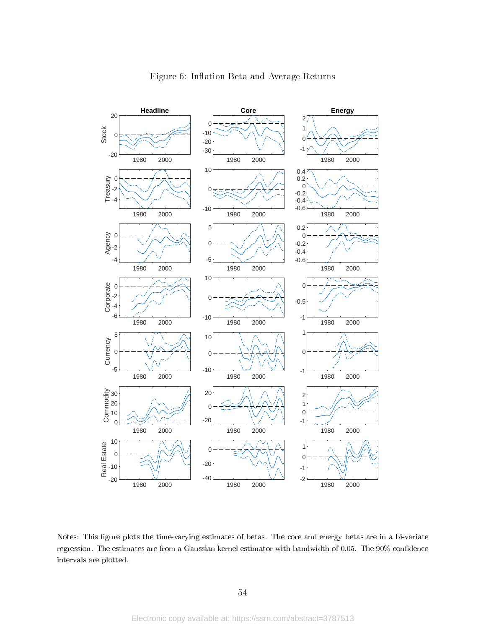

Notes: This figure plots the time-varying estimates of betas. The core and energy betas are in a bi-variate regression. The estimates are from a Gaussian kernel estimator with bandwidth of 0.05. The 90% condence intervals are plotted.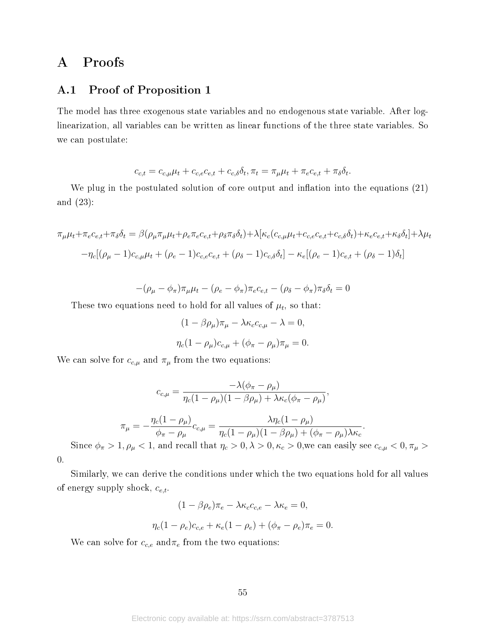# A Proofs

### A.1 Proof of Proposition 1

The model has three exogenous state variables and no endogenous state variable. After loglinearization, all variables can be written as linear functions of the three state variables. So we can postulate:

$$
c_{c,t} = c_{c,\mu}\mu_t + c_{c,e}c_{e,t} + c_{c,\delta}\delta_t, \pi_t = \pi_\mu\mu_t + \pi_e c_{e,t} + \pi_\delta\delta_t.
$$

We plug in the postulated solution of core output and inflation into the equations  $(21)$ and (23):

$$
\pi_{\mu}\mu_{t} + \pi_{e}c_{e,t} + \pi_{\delta}\delta_{t} = \beta(\rho_{\mu}\pi_{\mu}\mu_{t} + \rho_{e}\pi_{e}c_{e,t} + \rho_{\delta}\pi_{\delta}\delta_{t}) + \lambda[\kappa_{c}(c_{c,\mu}\mu_{t} + c_{c,e}c_{e,t} + c_{c,\delta}\delta_{t}) + \kappa_{e}c_{e,t} + \kappa_{\delta}\delta_{t}] + \lambda\mu_{t}
$$

$$
-\eta_{c}[(\rho_{\mu} - 1)c_{c,\mu}\mu_{t} + (\rho_{e} - 1)c_{c,e}c_{e,t} + (\rho_{\delta} - 1)c_{c,\delta}\delta_{t}] - \kappa_{e}[(\rho_{e} - 1)c_{e,t} + (\rho_{\delta} - 1)\delta_{t}]
$$

$$
-(\rho_{\mu}-\phi_{\pi})\pi_{\mu}\mu_t-(\rho_e-\phi_{\pi})\pi_e c_{e,t}-(\rho_{\delta}-\phi_{\pi})\pi_{\delta}\delta_t=0
$$

These two equations need to hold for all values of  $\mu_t$ , so that:

$$
(1 - \beta \rho_{\mu})\pi_{\mu} - \lambda \kappa_c c_{c,\mu} - \lambda = 0,
$$
  

$$
\eta_c (1 - \rho_{\mu})c_{c,\mu} + (\phi_{\pi} - \rho_{\mu})\pi_{\mu} = 0.
$$

We can solve for  $c_{c,\mu}$  and  $\pi_{\mu}$  from the two equations:

$$
c_{c,\mu} = \frac{-\lambda(\phi_{\pi} - \rho_{\mu})}{\eta_c(1 - \rho_{\mu})(1 - \beta \rho_{\mu}) + \lambda \kappa_c(\phi_{\pi} - \rho_{\mu})},
$$

$$
\pi_{\mu} = -\frac{\eta_c(1 - \rho_{\mu})}{\phi_{\pi} - \rho_{\mu}}c_{c,\mu} = \frac{\lambda \eta_c(1 - \rho_{\mu})}{\eta_c(1 - \rho_{\mu})(1 - \beta \rho_{\mu}) + (\phi_{\pi} - \rho_{\mu})\lambda \kappa_c}.
$$

Since  $\phi_{\pi} > 1, \rho_{\mu} < 1$ , and recall that  $\eta_c > 0, \lambda > 0, \kappa_c > 0$ ,<br>we can easily see  $c_{c,\mu} < 0, \pi_{\mu} > 0$ 0.

Similarly, we can derive the conditions under which the two equations hold for all values of energy supply shock,  $c_{e,t}$ .

$$
(1 - \beta \rho_e)\pi_e - \lambda \kappa_c c_{c,e} - \lambda \kappa_e = 0,
$$
  

$$
\eta_c (1 - \rho_e)c_{c,e} + \kappa_e (1 - \rho_e) + (\phi_\pi - \rho_e)\pi_e = 0.
$$

We can solve for  $c_{c,e}$  and  $\pi_e$  from the two equations: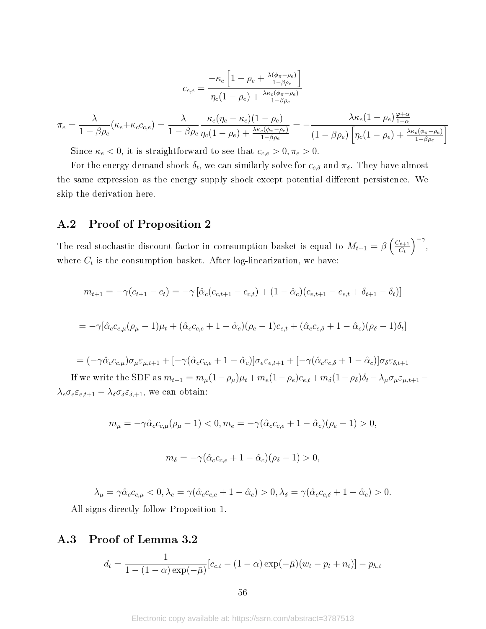$$
c_{c,e} = \frac{-\kappa_e \left[1 - \rho_e + \frac{\lambda(\phi_\pi - \rho_e)}{1 - \beta \rho_e}\right]}{\eta_c (1 - \rho_e) + \frac{\lambda \kappa_c (\phi_\pi - \rho_e)}{1 - \beta \rho_e}}
$$

$$
\pi_e = \frac{\lambda}{1 - \beta \rho_e} (\kappa_e + \kappa_c c_{c,e}) = \frac{\lambda}{1 - \beta \rho_e} \frac{\kappa_e (\eta_c - \kappa_c)(1 - \rho_e)}{\eta_c (1 - \rho_e) + \frac{\lambda \kappa_c (\phi_\pi - \rho_e)}{1 - \beta \rho_e}} = -\frac{\lambda \kappa_e (1 - \rho_e) \frac{\varphi + \alpha}{1 - \alpha}}{(1 - \beta \rho_e) \left[\eta_c (1 - \rho_e) + \frac{\lambda \kappa_c (\phi_\pi - \rho_e)}{1 - \beta \rho_e}\right]}
$$

Since  $\kappa_e < 0$ , it is straightforward to see that  $c_{c,e} > 0, \pi_e > 0$ .

For the energy demand shock  $\delta_t$ , we can similarly solve for  $c_{c,\delta}$  and  $\pi_{\delta}$ . They have almost the same expression as the energy supply shock except potential different persistence. We skip the derivation here.

### A.2 Proof of Proposition 2

The real stochastic discount factor in comsumption basket is equal to  $M_{t+1} = \beta \left( \frac{C_{t+1}}{C_t} \right)$  $C_t$  $\int_{-\infty}^{\infty}$ where  $C_t$  is the consumption basket. After log-linearization, we have:

$$
m_{t+1} = -\gamma (c_{t+1} - c_t) = -\gamma [\hat{\alpha}_c (c_{c,t+1} - c_{c,t}) + (1 - \hat{\alpha}_c) (c_{e,t+1} - c_{e,t} + \delta_{t+1} - \delta_t)]
$$
  

$$
= -\gamma [\hat{\alpha}_c c_{c,\mu} (\rho_\mu - 1) \mu_t + (\hat{\alpha}_c c_{c,e} + 1 - \hat{\alpha}_c) (\rho_e - 1) c_{e,t} + (\hat{\alpha}_c c_{c,\delta} + 1 - \hat{\alpha}_c) (\rho_\delta - 1) \delta_t]
$$

$$
= (-\gamma \hat{\alpha}_c c_{c,\mu}) \sigma_\mu \varepsilon_{\mu,t+1} + [-\gamma (\hat{\alpha}_c c_{c,e} + 1 - \hat{\alpha}_c)] \sigma_e \varepsilon_{e,t+1} + [-\gamma (\hat{\alpha}_c c_{c,\delta} + 1 - \hat{\alpha}_c)] \sigma_\delta \varepsilon_{\delta,t+1}
$$
  
If we write the SDF as  $m_{t+1} = m_\mu (1 - \rho_\mu) \mu_t + m_e (1 - \rho_e) c_{e,t} + m_\delta (1 - \rho_\delta) \delta_t - \lambda_\mu \sigma_\mu \varepsilon_{\mu,t+1} - \lambda_e \sigma_e \varepsilon_{e,t+1} - \lambda_\delta \sigma_\delta \varepsilon_{\delta,t+1}$ , we can obtain:

$$
m_{\mu} = -\gamma \hat{\alpha}_c c_{c,\mu} (\rho_{\mu} - 1) < 0, \quad m_e = -\gamma (\hat{\alpha}_c c_{c,e} + 1 - \hat{\alpha}_c)(\rho_e - 1) > 0,
$$

$$
m_{\delta} = -\gamma (\hat{\alpha}_c c_{c,e} + 1 - \hat{\alpha}_c)(\rho_{\delta} - 1) > 0,
$$

$$
\lambda_{\mu} = \gamma \hat{\alpha}_{c} c_{c,\mu} < 0, \lambda_{e} = \gamma (\hat{\alpha}_{c} c_{c,e} + 1 - \hat{\alpha}_{c}) > 0, \lambda_{\delta} = \gamma (\hat{\alpha}_{c} c_{c,\delta} + 1 - \hat{\alpha}_{c}) > 0.
$$
\nll signs directly follow Proposition 1

All signs directly follow Proposition 1.

# A.3 Proof of Lemma 3.2

$$
d_t = \frac{1}{1 - (1 - \alpha) \exp(-\bar{\mu})} [c_{c,t} - (1 - \alpha) \exp(-\bar{\mu}) (w_t - p_t + n_t)] - p_{h,t}
$$

56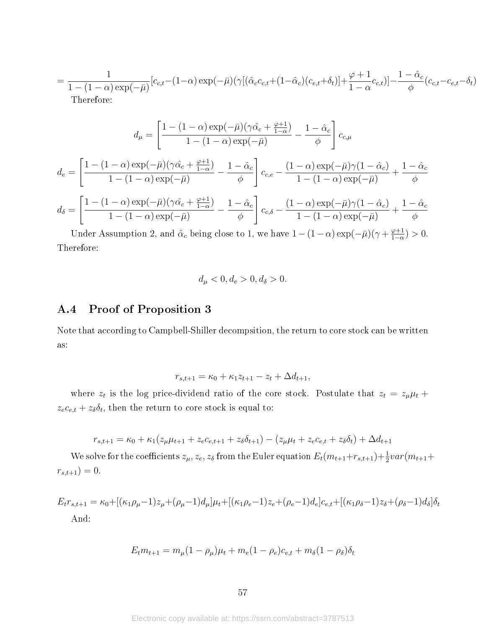$$
= \frac{1}{1 - (1 - \alpha) \exp(-\bar{\mu})} [c_{c,t} - (1 - \alpha) \exp(-\bar{\mu}) (\gamma [(\hat{\alpha}_c c_{c,t} + (1 - \hat{\alpha}_c) (c_{e,t} + \delta_t)] + \frac{\varphi + 1}{1 - \alpha} c_{c,t})] - \frac{1 - \hat{\alpha}_c}{\phi} (c_{c,t} - c_{e,t} - \delta_t)
$$
  
Therefore:

$$
d_{\mu} = \left[\frac{1 - (1 - \alpha) \exp(-\bar{\mu})(\gamma \hat{\alpha_c} + \frac{\varphi + 1}{1 - \alpha})}{1 - (1 - \alpha) \exp(-\bar{\mu})} - \frac{1 - \hat{\alpha_c}}{\phi}\right] c_{c,\mu}
$$

$$
d_e = \left[\frac{1 - (1 - \alpha) \exp(-\bar{\mu})(\gamma \hat{\alpha_c} + \frac{\varphi + 1}{1 - \alpha})}{1 - (1 - \alpha) \exp(-\bar{\mu})} - \frac{1 - \hat{\alpha_c}}{\phi}\right] c_{c,e} - \frac{(1 - \alpha) \exp(-\bar{\mu})\gamma(1 - \hat{\alpha_c})}{1 - (1 - \alpha) \exp(-\bar{\mu})} + \frac{1 - \hat{\alpha_c}}{\phi}
$$

$$
d_{\delta} = \left[\frac{1 - (1 - \alpha) \exp(-\bar{\mu})(\gamma \hat{\alpha_c} + \frac{\varphi + 1}{1 - \alpha})}{1 - (1 - \alpha) \exp(-\bar{\mu})} - \frac{1 - \hat{\alpha_c}}{\phi}\right] c_{c,\delta} - \frac{(1 - \alpha) \exp(-\bar{\mu})\gamma(1 - \hat{\alpha_c})}{1 - (1 - \alpha) \exp(-\bar{\mu})} + \frac{1 - \hat{\alpha_c}}{\phi}
$$

Under Assumption 2, and  $\hat{\alpha}_c$  being close to 1, we have  $1 - (1 - \alpha) \exp(-\bar{\mu}) (\gamma + \frac{\varphi + 1}{1 - \alpha})$  $\frac{\varphi+1}{1-\alpha}$ ) > 0. Therefore:

$$
d_{\mu} < 0, d_e > 0, d_{\delta} > 0.
$$

### A.4 Proof of Proposition 3

Note that according to Campbell-Shiller decompsition, the return to core stock can be written as:

$$
r_{s,t+1} = \kappa_0 + \kappa_1 z_{t+1} - z_t + \Delta d_{t+1},
$$

where  $z_t$  is the log price-dividend ratio of the core stock. Postulate that  $z_t = z_\mu \mu_t + z_\mu$  $z_e c_{e,t} + z_{\delta} \delta_t$ , then the return to core stock is equal to:

$$
r_{s,t+1} = \kappa_0 + \kappa_1 (z_{\mu} \mu_{t+1} + z_e c_{e,t+1} + z_{\delta} \delta_{t+1}) - (z_{\mu} \mu_t + z_e c_{e,t} + z_{\delta} \delta_t) + \Delta d_{t+1}
$$

We solve for the coefficients  $z_{\mu}$ ,  $z_e$ ,  $z_{\delta}$  from the Euler equation  $E_t(m_{t+1}+r_{s,t+1})+\frac{1}{2}var(m_{t+1}+r_{s,t+1})$  $r_{s,t+1}$ ) = 0.

$$
E_t r_{s,t+1} = \kappa_0 + [(\kappa_1 \rho_\mu - 1)z_\mu + (\rho_\mu - 1)d_\mu]\mu_t + [(\kappa_1 \rho_e - 1)z_e + (\rho_e - 1)d_e]c_{e,t} + [(\kappa_1 \rho_\delta - 1)z_\delta + (\rho_\delta - 1)d_\delta]\delta_t
$$
  
And:

 $E_t m_{t+1} = m_\mu (1 - \rho_\mu) \mu_t + m_e (1 - \rho_e) c_{e,t} + m_\delta (1 - \rho_\delta) \delta_t$ 

Electronic copy available at: https://ssrn.com/abstract=3787513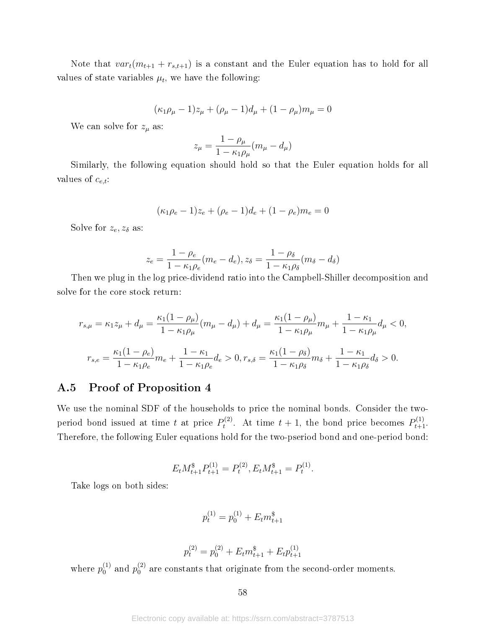Note that  $var_t(m_{t+1} + r_{s,t+1})$  is a constant and the Euler equation has to hold for all values of state variables  $\mu_t$ , we have the following:

$$
(\kappa_1 \rho_\mu - 1)z_\mu + (\rho_\mu - 1)d_\mu + (1 - \rho_\mu)m_\mu = 0
$$

We can solve for  $z_{\mu}$  as:

$$
z_{\mu} = \frac{1 - \rho_{\mu}}{1 - \kappa_1 \rho_{\mu}} (m_{\mu} - d_{\mu})
$$

Similarly, the following equation should hold so that the Euler equation holds for all values of  $c_{e,t}$ :

$$
(\kappa_1 \rho_e - 1)z_e + (\rho_e - 1)d_e + (1 - \rho_e)m_e = 0
$$

Solve for  $z_e, z_\delta$  as:

$$
z_e = \frac{1 - \rho_e}{1 - \kappa_1 \rho_e} (m_e - d_e), z_{\delta} = \frac{1 - \rho_{\delta}}{1 - \kappa_1 \rho_{\delta}} (m_{\delta} - d_{\delta})
$$

Then we plug in the log price-dividend ratio into the Campbell-Shiller decomposition and solve for the core stock return:

$$
r_{s,\mu} = \kappa_1 z_\mu + d_\mu = \frac{\kappa_1 (1 - \rho_\mu)}{1 - \kappa_1 \rho_\mu} (m_\mu - d_\mu) + d_\mu = \frac{\kappa_1 (1 - \rho_\mu)}{1 - \kappa_1 \rho_\mu} m_\mu + \frac{1 - \kappa_1}{1 - \kappa_1 \rho_\mu} d_\mu < 0,
$$
\n
$$
r_{s,e} = \frac{\kappa_1 (1 - \rho_e)}{1 - \kappa_1 \rho_e} m_e + \frac{1 - \kappa_1}{1 - \kappa_1 \rho_e} d_e > 0, r_{s,\delta} = \frac{\kappa_1 (1 - \rho_\delta)}{1 - \kappa_1 \rho_\delta} m_\delta + \frac{1 - \kappa_1}{1 - \kappa_1 \rho_\delta} d_\delta > 0.
$$

### A.5 Proof of Proposition 4

We use the nominal SDF of the households to price the nominal bonds. Consider the twoperiod bond issued at time t at price  $P_t^{(2)}$  $t_t^{(2)}$ . At time  $t + 1$ , the bond price becomes  $P_{t+1}^{(1)}$ . Therefore, the following Euler equations hold for the two-pseriod bond and one-period bond:

$$
E_t M_{t+1}^{\$} P_{t+1}^{(1)} = P_t^{(2)}, E_t M_{t+1}^{\$} = P_t^{(1)}.
$$

Take logs on both sides:

$$
p_t^{(1)} = p_0^{(1)} + E_t m_{t+1}^*
$$

$$
p_t^{(2)} = p_0^{(2)} + E_t m_{t+1}^{\$} + E_t p_{t+1}^{(1)}
$$

where  $p_0^{(1)}$  $_0^{\left( 1\right) }$  and  $p_0^{\left( 2\right) }$  $_{0}^{(2)}$  are constants that originate from the second-order moments.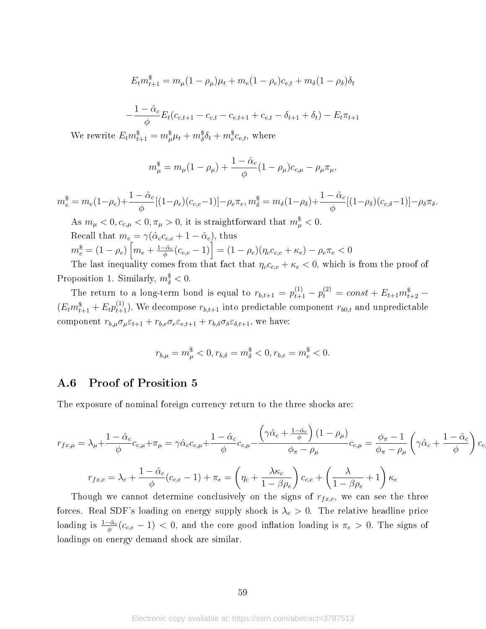$$
E_t m_{t+1}^{\$} = m_{\mu} (1 - \rho_{\mu}) \mu_t + m_e (1 - \rho_e) c_{e,t} + m_{\delta} (1 - \rho_{\delta}) \delta_t
$$

$$
-\frac{1-\hat{\alpha}_c}{\phi}E_t(c_{c,t+1}-c_{c,t}-c_{e,t+1}+c_{e,t}-\delta_{t+1}+\delta_t)-E_t\pi_{t+1}
$$

We rewrite  $E_t m_{t+1}^{\$} = m_{\mu}^{\$} \mu_t + m_{\delta}^{\$} \delta_t + m_e^{\$} c_{e,t}$ , where

$$
m_{\mu}^{\$} = m_{\mu}(1 - \rho_{\mu}) + \frac{1 - \hat{\alpha}_{c}}{\phi}(1 - \rho_{\mu})c_{c,\mu} - \rho_{\mu}\pi_{\mu},
$$

$$
m_e^{\$} = m_e(1-\rho_e) + \frac{1-\hat{\alpha}_c}{\phi}[(1-\rho_e)(c_{c,e}-1)] - \rho_e \pi_e, m_\delta^{\$} = m_\delta(1-\rho_\delta) + \frac{1-\hat{\alpha}_c}{\phi}[(1-\rho_\delta)(c_{c,\delta}-1)] - \rho_\delta \pi_\delta.
$$

As  $m_{\mu} < 0, c_{c,\mu} < 0, \pi_{\mu} > 0$ , it is straightforward that  $m_{\mu}^{\$} < 0$ . Recall that  $m_e = \gamma(\hat{\alpha}_c c_{c,e} + 1 - \hat{\alpha}_c)$ , thus  $m_e^{\$}=(1-\rho_e)\left[m_e+\frac{1-\hat{\alpha}_c}{\phi}\right]$  $\left[ \frac{c_{c}}{\phi}(c_{c,e}-1) \right] = (1-\rho_{e}) (\eta_{c}c_{c,e} + \kappa_{e}) - \rho_{e}\pi_{e} < 0$ 

The last inequality comes from that fact that  $\eta_c c_{c,e} + \kappa_e < 0$ , which is from the proof of Proposition 1. Similarly,  $m_{\delta}^{\$} < 0$ .

The return to a long-term bond is equal to  $r_{b,t+1} = p_{t+1}^{(1)} - p_t^{(2)} = const + E_{t+1} m_{t+2}^{\$}$  $(E_t m_{t+1}^{\$} + E_t p_{t+1}^{(1)})$ . We decompose  $r_{b,t+1}$  into predictable component  $r_{b0,t}$  and unpredictable component  $r_{b,\mu}\sigma_\mu\varepsilon_{t+1} + r_{b,e}\sigma_e\varepsilon_{e,t+1} + r_{b,\delta}\sigma_\delta\varepsilon_{\delta,t+1}$ , we have:

$$
r_{b,\mu}=m_{\mu}^{\$}<0, r_{b,\delta}=m_{\delta}^{\$}<0, r_{b,e}=m_{e}^{\$}<0.
$$

### A.6 Proof of Prosition 5

The exposure of nominal foreign currency return to the three shocks are:

$$
r_{fx,\mu} = \lambda_{\mu} + \frac{1 - \hat{\alpha}_c}{\phi} c_{c,\mu} + \pi_{\mu} = \gamma \hat{\alpha}_c c_{c,\mu} + \frac{1 - \hat{\alpha}_c}{\phi} c_{c,\mu} - \frac{\left(\gamma \hat{\alpha}_c + \frac{1 - \hat{\alpha}_c}{\phi}\right)(1 - \rho_{\mu})}{\phi_{\pi} - \rho_{\mu}} c_{c,\mu} = \frac{\phi_{\pi} - 1}{\phi_{\pi} - \rho_{\mu}} \left(\gamma \hat{\alpha}_c + \frac{1 - \hat{\alpha}_c}{\phi}\right) c_c
$$

$$
r_{fx,e} = \lambda_e + \frac{1 - \hat{\alpha}_c}{\phi} (c_{c,e} - 1) + \pi_e = \left(\eta_c + \frac{\lambda \kappa_c}{1 - \beta \rho_e}\right) c_{c,e} + \left(\frac{\lambda}{1 - \beta \rho_e} + 1\right) \kappa_e
$$

Though we cannot determine conclusively on the signs of  $r_{fx,e}$ , we can see the three forces. Real SDF's loading on energy supply shock is  $\lambda_e > 0$ . The relative headline price loading is  $\frac{1-\hat{\alpha}_c}{\phi}(c_{c,e}-1) < 0$ , and the core good inflation loading is  $\pi_e > 0$ . The signs of loadings on energy demand shock are similar.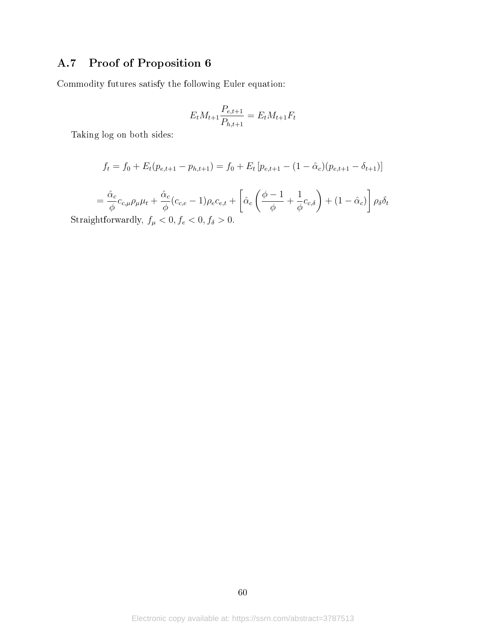# A.7 Proof of Proposition 6

Commodity futures satisfy the following Euler equation:

$$
E_t M_{t+1} \frac{P_{e,t+1}}{P_{h,t+1}} = E_t M_{t+1} F_t
$$

Taking log on both sides:

$$
f_t = f_0 + E_t(p_{e,t+1} - p_{h,t+1}) = f_0 + E_t[p_{e,t+1} - (1 - \hat{\alpha}_c)(p_{e,t+1} - \delta_{t+1})]
$$

$$
= \frac{\hat{\alpha}_c}{\phi} c_{c,\mu} \rho_\mu \mu_t + \frac{\hat{\alpha}_c}{\phi} (c_{c,e} - 1) \rho_e c_{e,t} + \left[ \hat{\alpha}_c \left( \frac{\phi - 1}{\phi} + \frac{1}{\phi} c_{c,\delta} \right) + (1 - \hat{\alpha}_c) \right] \rho_\delta \delta_t
$$
  
Straightforwardly,  $f_\mu < 0$ ,  $f_e < 0$ ,  $f_\delta > 0$ .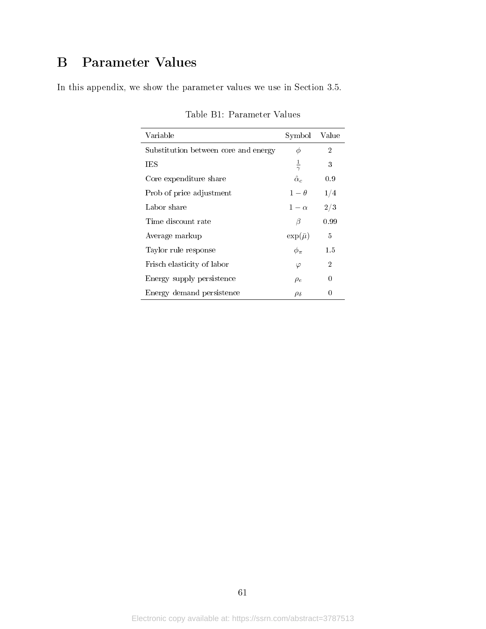# B Parameter Values

In this appendix, we show the parameter values we use in Section 3.5.

| Variable                             | Symbol             | Value |
|--------------------------------------|--------------------|-------|
| Substitution between core and energy | Φ                  | 2     |
| TES                                  | $\frac{1}{\gamma}$ | 3     |
| Core expenditure share               | $\hat{\alpha}_c$   | 0.9   |
| Prob of price adjustment             | $1-\theta$         | 1/4   |
| Labor share                          | $1-\alpha$         | 2/3   |
| Time discount rate                   | B                  | 0.99  |
| Average markup                       | $\exp(\bar{\mu})$  | 5     |
| Taylor rule response                 | $\phi_{\pi}$       | 1.5   |
| Frisch elasticity of labor           | $\varphi$          | 2     |
| Energy supply persistence            | $\rho_e$           | 0     |
| Energy demand persistence            | $\rho_{\delta}$    |       |

Table B1: Parameter Values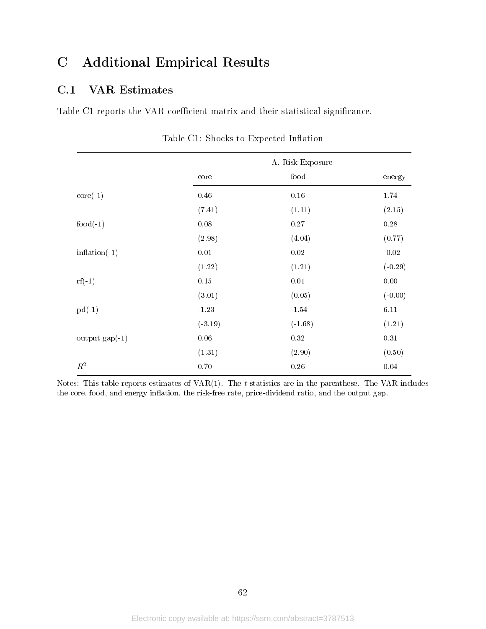# C Additional Empirical Results

## C.1 VAR Estimates

Table C1 reports the VAR coefficient matrix and their statistical significance.

|                         |           | A. Risk Exposure |           |
|-------------------------|-----------|------------------|-----------|
|                         | core      | food             | energy    |
| $\text{core}(-1)$       | 0.46      | $0.16\,$         | 1.74      |
|                         | (7.41)    | (1.11)           | (2.15)    |
| $food(-1)$              | $0.08\,$  | $0.27\,$         | 0.28      |
|                         | (2.98)    | (4.04)           | (0.77)    |
| $inflation(-1)$         | $0.01\,$  | $0.02\,$         | $-0.02$   |
|                         | (1.22)    | (1.21)           | $(-0.29)$ |
| $\mathrm{rf}(-1)$       | $0.15\,$  | $0.01\,$         | $0.00\,$  |
|                         | (3.01)    | (0.05)           | $(-0.00)$ |
| $pd(-1)$                | $-1.23$   | $-1.54$          | 6.11      |
|                         | $(-3.19)$ | $(-1.68)$        | (1.21)    |
| output $\text{gap}(-1)$ | $0.06\,$  | $0.32\,$         | $0.31\,$  |
|                         | (1.31)    | (2.90)           | (0.50)    |
| $\mathbb{R}^2$          | 0.70      | 0.26             | 0.04      |

Table C1: Shocks to Expected Inflation

Notes: This table reports estimates of  $VAR(1)$ . The t-statistics are in the parenthese. The VAR includes the core, food, and energy inflation, the risk-free rate, price-dividend ratio, and the output gap.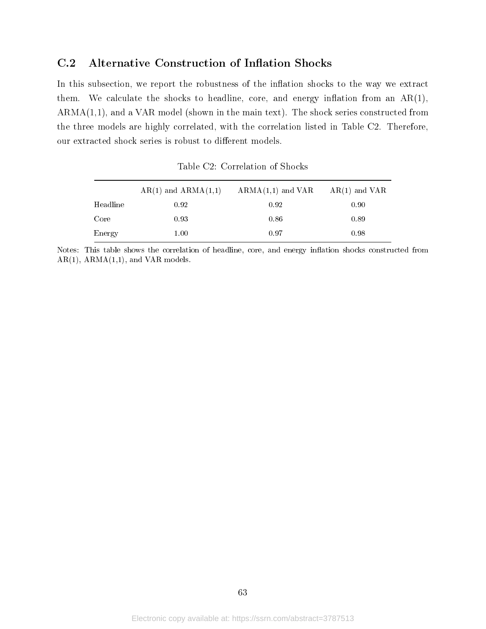## C.2 Alternative Construction of Inflation Shocks

In this subsection, we report the robustness of the inflation shocks to the way we extract them. We calculate the shocks to headline, core, and energy inflation from an  $AR(1)$ ,  $ARMA(1,1)$ , and a VAR model (shown in the main text). The shock series constructed from the three models are highly correlated, with the correlation listed in Table C2. Therefore, our extracted shock series is robust to different models.

|          | $AR(1)$ and $ARMA(1,1)$ | $ARMA(1,1)$ and VAR | $AR(1)$ and VAR |
|----------|-------------------------|---------------------|-----------------|
| Headline | 0.92                    | 0.92                | 0.90            |
| Core     | 0.93                    | 0.86                | 0.89            |
| Energy   | $1.00\,$                | 0.97                | 0.98            |

Table C2: Correlation of Shocks

Notes: This table shows the correlation of headline, core, and energy inflation shocks constructed from  $AR(1)$ ,  $ARMA(1,1)$ , and  $VAR$  models.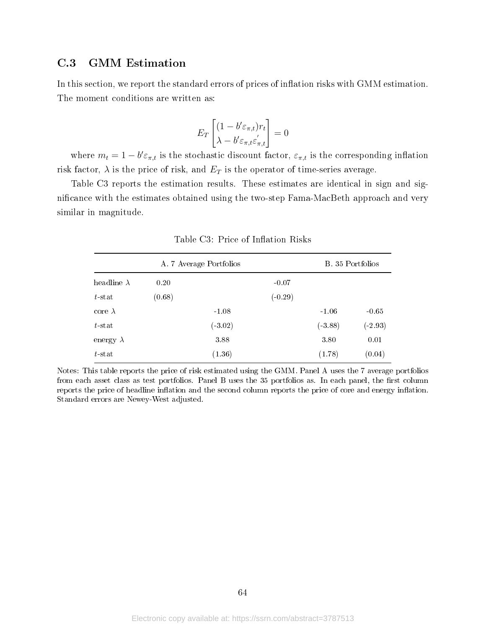## C.3 GMM Estimation

In this section, we report the standard errors of prices of inflation risks with GMM estimation. The moment conditions are written as:

$$
E_T \begin{bmatrix} (1 - b'\varepsilon_{\pi,t})r_t \\ \lambda - b'\varepsilon_{\pi,t}\varepsilon'_{\pi,t} \end{bmatrix} = 0
$$

where  $m_t = 1 - b' \varepsilon_{\pi,t}$  is the stochastic discount factor,  $\varepsilon_{\pi,t}$  is the corresponding inflation risk factor,  $\lambda$  is the price of risk, and  $E_T$  is the operator of time-series average.

Table C3 reports the estimation results. These estimates are identical in sign and signicance with the estimates obtained using the two-step Fama-MacBeth approach and very similar in magnitude.

|                    | B. 35 Portfolios |           |           |           |           |
|--------------------|------------------|-----------|-----------|-----------|-----------|
| headline $\lambda$ | 0.20             |           | $-0.07$   |           |           |
| $t$ -stat          | (0.68)           |           | $(-0.29)$ |           |           |
| core $\lambda$     |                  | $-1.08$   |           | $-1.06$   | $-0.65$   |
| $t$ -stat          |                  | $(-3.02)$ |           | $(-3.88)$ | $(-2.93)$ |
| energy $\lambda$   |                  | 3.88      |           | 3.80      | 0.01      |
| $t$ stat           |                  | (1.36)    |           | (1.78)    | (0.04)    |

Table C3: Price of Inflation Risks

Notes: This table reports the price of risk estimated using the GMM. Panel A uses the 7 average portfolios from each asset class as test portfolios. Panel B uses the 35 portfolios as. In each panel, the first column reports the price of headline inflation and the second column reports the price of core and energy inflation. Standard errors are Newey-West adjusted.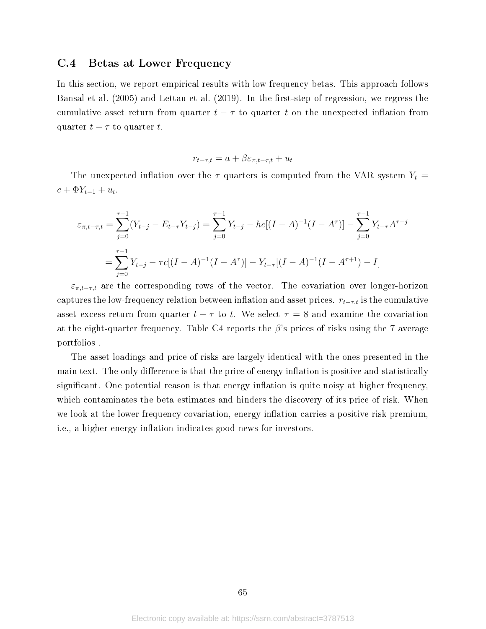### C.4 Betas at Lower Frequency

In this section, we report empirical results with low-frequency betas. This approach follows Bansal et al. (2005) and Lettau et al. (2019). In the first-step of regression, we regress the cumulative asset return from quarter  $t - \tau$  to quarter t on the unexpected inflation from quarter  $t - \tau$  to quarter t.

$$
r_{t-\tau,t} = a + \beta \varepsilon_{\pi,t-\tau,t} + u_t
$$

The unexpected inflation over the  $\tau$  quarters is computed from the VAR system  $Y_t$  =  $c + \Phi Y_{t-1} + u_t.$ 

$$
\varepsilon_{\pi,t-\tau,t} = \sum_{j=0}^{\tau-1} (Y_{t-j} - E_{t-\tau} Y_{t-j}) = \sum_{j=0}^{\tau-1} Y_{t-j} - hc[(I-A)^{-1}(I-A^{\tau})] - \sum_{j=0}^{\tau-1} Y_{t-\tau} A^{\tau-j}
$$

$$
= \sum_{j=0}^{\tau-1} Y_{t-j} - \tau c[(I-A)^{-1}(I-A^{\tau})] - Y_{t-\tau}[(I-A)^{-1}(I-A^{\tau+1}) - I]
$$

 $\varepsilon_{\pi,t-\tau,t}$  are the corresponding rows of the vector. The covariation over longer-horizon captures the low-frequency relation between inflation and asset prices.  $r_{t-\tau,t}$  is the cumulative asset excess return from quarter  $t - \tau$  to t. We select  $\tau = 8$  and examine the covariation at the eight-quarter frequency. Table C4 reports the  $\beta$ 's prices of risks using the 7 average portfolios .

The asset loadings and price of risks are largely identical with the ones presented in the main text. The only difference is that the price of energy inflation is positive and statistically significant. One potential reason is that energy inflation is quite noisy at higher frequency, which contaminates the beta estimates and hinders the discovery of its price of risk. When we look at the lower-frequency covariation, energy inflation carries a positive risk premium, i.e., a higher energy inflation indicates good news for investors.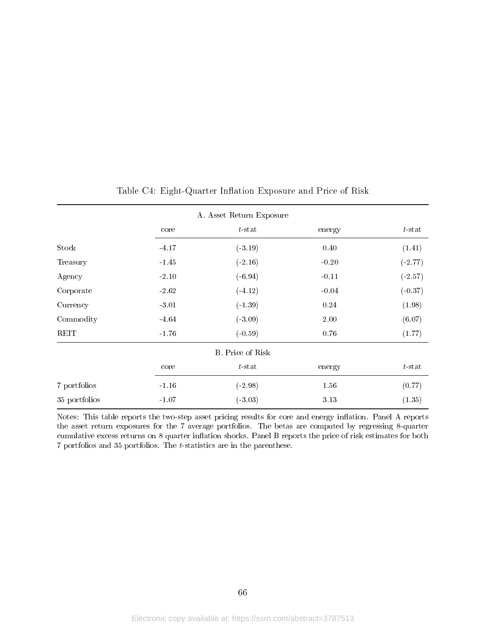|               |         | A. Asset Return Exposure |         |                     |
|---------------|---------|--------------------------|---------|---------------------|
|               | core    | $t$ -stat                | energy  | $t$ -stat<br>(1.41) |
| Stock         | $-4.17$ | $(-3.19)$                | 0.40    |                     |
| Treasury      | $-1.45$ | $(-2.16)$                | $-0.20$ | $(-2.77)$           |
| Agency        | $-2.10$ | $(-6.94)$                | $-0.11$ | $(-2.57)$           |
| Corporate     | $-2.62$ | $(-4.12)$                | $-0.04$ | $(-0.37)$           |
| Currency      | $-3.01$ |                          | 0.24    | (1.98)              |
| Commodity     | $-4.64$ | $(-3.09)$                | 2.00    | (6.07)              |
| REIT          | $-1.76$ | $(-0.59)$                | 0.76    | (1.77)              |
|               |         | B. Price of Risk         |         |                     |
|               | core    | $t$ -stat                | energy  | $t$ -stat           |
| 7 portfolios  | $-1.16$ | $(-2.98)$                | 1.56    | (0.77)              |
| 35 portfolios | $-1.07$ | $(-3.03)$                | 3.13    | (1.35)              |

#### Table C4: Eight-Quarter Inflation Exposure and Price of Risk

Notes: This table reports the two-step asset pricing results for core and energy inflation. Panel A reports the asset return exposures for the 7 average portfolios. The betas are computed by regressing 8-quarter cumulative excess returns on 8 quarter inflation shocks. Panel B reports the price of risk estimates for both 7 portfolios and 35 portfolios. The t-statistics are in the parenthese.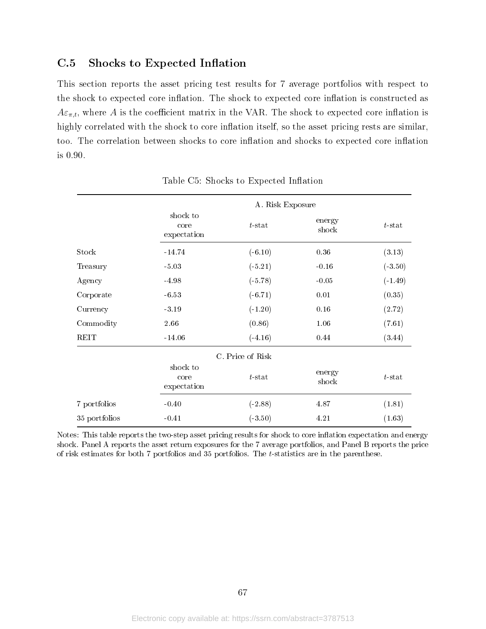# C.5 Shocks to Expected Inflation

This section reports the asset pricing test results for 7 average portfolios with respect to the shock to expected core inflation. The shock to expected core inflation is constructed as  $A\varepsilon_{\pi,t}$ , where A is the coefficient matrix in the VAR. The shock to expected core inflation is highly correlated with the shock to core inflation itself, so the asset pricing rests are similar, too. The correlation between shocks to core inflation and shocks to expected core inflation is 0.90.

|               |                                 | A. Risk Exposure |                 |           |  |  |
|---------------|---------------------------------|------------------|-----------------|-----------|--|--|
|               | shock to<br>core<br>expectation | $t$ -stat        | energy<br>shock | $t$ -stat |  |  |
| Stock         | $-14.74$                        | $(-6.10)$        | 0.36            | (3.13)    |  |  |
| Treasury      | $-5.03$                         | $(-5.21)$        | $-0.16$         | $(-3.50)$ |  |  |
| Agency        | $-4.98$                         | $(-5.78)$        | $-0.05$         | $(-1.49)$ |  |  |
| Corporate     | $-6.53$                         | $(-6.71)$        | 0.01            | (0.35)    |  |  |
| Currency      | $-3.19$<br>$(-1.20)$            |                  | 0.16            | (2.72)    |  |  |
| Commodity     | 2.66                            | (0.86)           | 1.06            | (7.61)    |  |  |
| REIT          | $-14.06$                        | $(-4.16)$        | 0.44            | (3.44)    |  |  |
|               |                                 | C. Price of Risk |                 |           |  |  |
|               | shock to<br>core<br>expectation | $t$ -stat        | energy<br>shock | $t$ -stat |  |  |
| 7 portfolios  | $-0.40$                         | $(-2.88)$        | 4.87            | (1.81)    |  |  |
| 35 portfolios | $-0.41$                         |                  | 4.21            | (1.63)    |  |  |

Table C5: Shocks to Expected Inflation

Notes: This table reports the two-step asset pricing results for shock to core inflation expectation and energy shock. Panel A reports the asset return exposures for the 7 average portfolios, and Panel B reports the price of risk estimates for both 7 portfolios and 35 portfolios. The t-statistics are in the parenthese.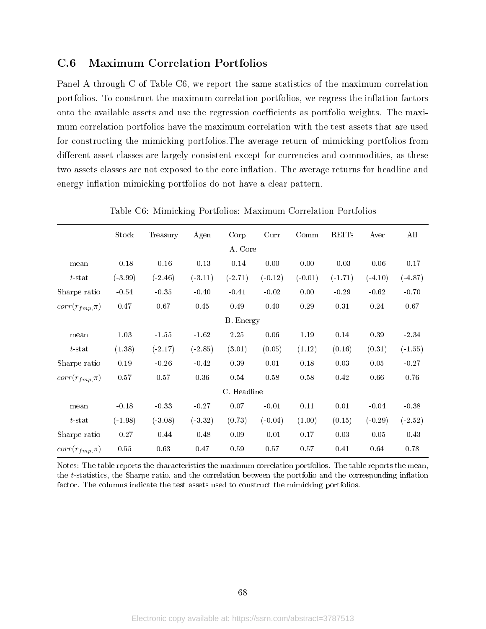### C.6 Maximum Correlation Portfolios

Panel A through C of Table C6, we report the same statistics of the maximum correlation portfolios. To construct the maximum correlation portfolios, we regress the inflation factors onto the available assets and use the regression coefficients as portfolio weights. The maximum correlation portfolios have the maximum correlation with the test assets that are used for constructing the mimicking portfolios.The average return of mimicking portfolios from different asset classes are largely consistent except for currencies and commodities, as these two assets classes are not exposed to the core inflation. The average returns for headline and energy inflation mimicking portfolios do not have a clear pattern.

|                      | Stock     | Treasury  | Agen      | Corp             | Curr      | Comm      | <b>REITs</b> | Aver      | All       |
|----------------------|-----------|-----------|-----------|------------------|-----------|-----------|--------------|-----------|-----------|
|                      |           |           |           | A. Core          |           |           |              |           |           |
| mean                 | $-0.18$   | $-0.16$   | $-0.13$   | $-0.14$          | 0.00      | 0.00      | $-0.03$      | $-0.06$   | $-0.17$   |
| $t$ -stat            | $(-3.99)$ | $(-2.46)$ | $(-3.11)$ | $(-2.71)$        | $(-0.12)$ | $(-0.01)$ | $(-1.71)$    | $(-4.10)$ | $(-4.87)$ |
| Sharpe ratio         | $-0.54$   | $-0.35$   | $-0.40$   | $-0.41$          | $-0.02$   | 0.00      | $-0.29$      | $-0.62$   | $-0.70$   |
| $corr(r_{fmp}, \pi)$ | 0.47      | 0.67      | 0.45      | 0.49             | 0.40      | 0.29      | 0.31         | 0.24      | 0.67      |
|                      |           |           |           | <b>B.</b> Energy |           |           |              |           |           |
| mean                 | 1.03      | $-1.55$   | $-1.62$   | 2.25             | 0.06      | $1.19\,$  | 0.14         | 0.39      | $-2.34\,$ |
| $t$ -stat            | (1.38)    | $(-2.17)$ | $(-2.85)$ | (3.01)           | (0.05)    | (1.12)    | (0.16)       | (0.31)    | $(-1.55)$ |
| Sharpe ratio         | 0.19      | $-0.26$   | $-0.42$   | 0.39             | 0.01      | 0.18      | 0.03         | 0.05      | $-0.27$   |
| $corr(r_{fmp}, \pi)$ | 0.57      | $0.57\,$  | 0.36      | 0.54             | 0.58      | 0.58      | 0.42         | 0.66      | 0.76      |
|                      |           |           |           | C. Headline      |           |           |              |           |           |
| mean                 | $-0.18$   | $-0.33$   | $-0.27$   | 0.07             | $-0.01$   | 0.11      | 0.01         | $-0.04$   | $-0.38$   |
| $t$ -stat            | $(-1.98)$ | $(-3.08)$ | $(-3.32)$ | (0.73)           | $(-0.04)$ | (1.00)    | (0.15)       | $(-0.29)$ | $(-2.52)$ |
| Sharpe ratio         | $-0.27$   | $-0.44$   | $-0.48$   | 0.09             | $-0.01$   | 0.17      | 0.03         | $-0.05$   | $-0.43$   |
| $corr(r_{fmp}, \pi)$ | 0.55      | 0.63      | 0.47      | 0.59             | 0.57      | 0.57      | 0.41         | 0.64      | 0.78      |

Table C6: Mimicking Portfolios: Maximum Correlation Portfolios

Notes: The table reports the characteristics the maximum correlation portfolios. The table reports the mean, the t-statistics, the Sharpe ratio, and the correlation between the portfolio and the corresponding inflation factor. The columns indicate the test assets used to construct the mimicking portfolios.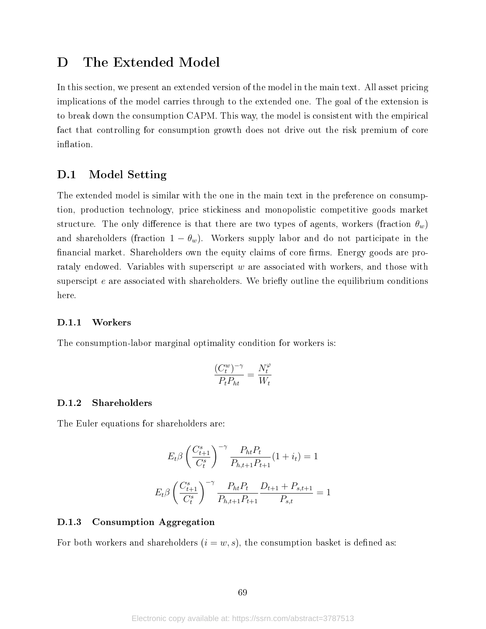# D The Extended Model

In this section, we present an extended version of the model in the main text. All asset pricing implications of the model carries through to the extended one. The goal of the extension is to break down the consumption CAPM. This way, the model is consistent with the empirical fact that controlling for consumption growth does not drive out the risk premium of core inflation.

### D.1 Model Setting

The extended model is similar with the one in the main text in the preference on consumption, production technology, price stickiness and monopolistic competitive goods market structure. The only difference is that there are two types of agents, workers (fraction  $\theta_w$ ) and shareholders (fraction  $1 - \theta_w$ ). Workers supply labor and do not participate in the financial market. Shareholders own the equity claims of core firms. Energy goods are prorataly endowed. Variables with superscript  $w$  are associated with workers, and those with superscipt  $e$  are associated with shareholders. We briefly outline the equilibrium conditions here.

#### D.1.1 Workers

The consumption-labor marginal optimality condition for workers is:

$$
\frac{(C^w_t)^{-\gamma}}{P_tP_{ht}}=\frac{N^{\varphi}_t}{W_t}
$$

### D.1.2 Shareholders

The Euler equations for shareholders are:

$$
E_t \beta \left(\frac{C_{t+1}^s}{C_t^s}\right)^{-\gamma} \frac{P_{ht} P_t}{P_{h,t+1} P_{t+1}} (1 + i_t) = 1
$$

$$
E_t \beta \left(\frac{C_{t+1}^s}{C_t^s}\right)^{-\gamma} \frac{P_{ht} P_t}{P_{h,t+1} P_{t+1}} \frac{D_{t+1} + P_{s,t+1}}{P_{s,t}} = 1
$$

#### D.1.3 Consumption Aggregation

For both workers and shareholders  $(i = w, s)$ , the consumption basket is defined as: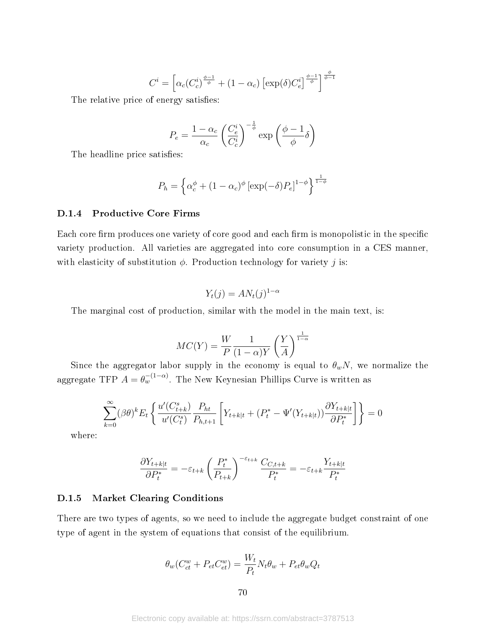$$
C^{i} = \left[ \alpha_c (C_c^{i})^{\frac{\phi - 1}{\phi}} + (1 - \alpha_c) \left[ \exp(\delta) C_e^{i} \right]^{\frac{\phi - 1}{\phi}} \right]^{\frac{\phi}{\phi - 1}}
$$

The relative price of energy satisfies:

$$
P_e = \frac{1 - \alpha_c}{\alpha_c} \left(\frac{C_e^i}{C_c^i}\right)^{-\frac{1}{\phi}} \exp\left(\frac{\phi - 1}{\phi}\delta\right)
$$

The headline price satisfies:

$$
P_h = \left\{ \alpha_c^{\phi} + (1 - \alpha_c)^{\phi} \left[ \exp(-\delta) P_e \right]^{1 - \phi} \right\}^{\frac{1}{1 - \phi}}
$$

#### D.1.4 Productive Core Firms

Each core firm produces one variety of core good and each firm is monopolistic in the specific variety production. All varieties are aggregated into core consumption in a CES manner, with elasticity of substitution  $\phi$ . Production technology for variety j is:

$$
Y_t(j) = AN_t(j)^{1-\alpha}
$$

The marginal cost of production, similar with the model in the main text, is:

$$
MC(Y) = \frac{W}{P} \frac{1}{(1-\alpha)Y} \left(\frac{Y}{A}\right)^{\frac{1}{1-\alpha}}
$$

Since the aggregator labor supply in the economy is equal to  $\theta_w N$ , we normalize the aggregate TFP  $A = \theta_w^{-(1-\alpha)}$ . The New Keynesian Phillips Curve is written as

$$
\sum_{k=0}^{\infty} (\beta \theta)^k E_t \left\{ \frac{u'(C_{t+k}^s)}{u'(C_t^s)} \frac{P_{ht}}{P_{h,t+1}} \left[ Y_{t+k|t} + (P_t^* - \Psi'(Y_{t+k|t})) \frac{\partial Y_{t+k|t}}{\partial P_t^*} \right] \right\} = 0
$$

where:

$$
\frac{\partial Y_{t+k|t}}{\partial P_t^*} = -\varepsilon_{t+k} \left(\frac{P_t^*}{P_{t+k}}\right)^{-\varepsilon_{t+k}} \frac{C_{C,t+k}}{P_t^*} = -\varepsilon_{t+k} \frac{Y_{t+k|t}}{P_t^*}
$$

#### D.1.5 Market Clearing Conditions

There are two types of agents, so we need to include the aggregate budget constraint of one type of agent in the system of equations that consist of the equilibrium.

$$
\theta_w(C_{ct}^w + P_{et}C_{et}^w) = \frac{W_t}{P_t}N_t\theta_w + P_{et}\theta_wQ_t
$$

70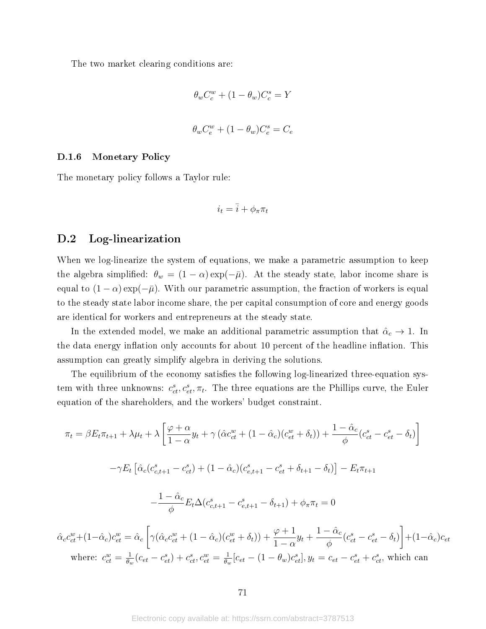The two market clearing conditions are:

$$
\theta_w C_c^w + (1 - \theta_w) C_c^s = Y
$$
  

$$
\theta_w C_e^w + (1 - \theta_w) C_e^s = C_e
$$

#### D.1.6 Monetary Policy

The monetary policy follows a Taylor rule:

$$
i_t = \overline{i} + \phi_\pi \pi_t
$$

### D.2 Log-linearization

When we log-linearize the system of equations, we make a parametric assumption to keep the algebra simplified:  $\theta_w = (1 - \alpha) \exp(-\bar{\mu})$ . At the steady state, labor income share is equal to  $(1 - \alpha) \exp(-\overline{\mu})$ . With our parametric assumption, the fraction of workers is equal to the steady state labor income share, the per capital consumption of core and energy goods are identical for workers and entrepreneurs at the steady state.

In the extended model, we make an additional parametric assumption that  $\hat{\alpha}_c \to 1$ . In the data energy inflation only accounts for about 10 percent of the headline inflation. This assumption can greatly simplify algebra in deriving the solutions.

The equilibrium of the economy satisfies the following log-linearized three-equation system with three unknowns:  $c_{ct}^s, c_{et}^s, \pi_t$ . The three equations are the Phillips curve, the Euler equation of the shareholders, and the workers' budget constraint.

$$
\pi_{t} = \beta E_{t}\pi_{t+1} + \lambda\mu_{t} + \lambda\left[\frac{\varphi + \alpha}{1 - \alpha}y_{t} + \gamma\left(\hat{\alpha}c_{ct}^{w} + (1 - \hat{\alpha}_{c})(c_{et}^{w} + \delta_{t})\right) + \frac{1 - \hat{\alpha}_{c}}{\phi}(c_{ct}^{s} - c_{et}^{s} - \delta_{t})\right]
$$

$$
-\gamma E_{t}\left[\hat{\alpha}_{c}(c_{c,t+1}^{s} - c_{ct}^{s}) + (1 - \hat{\alpha}_{c})(c_{e,t+1}^{s} - c_{et}^{s} + \delta_{t+1} - \delta_{t})\right] - E_{t}\pi_{t+1}
$$

$$
-\frac{1 - \hat{\alpha}_{c}}{\phi}E_{t}\Delta(c_{c,t+1}^{s} - c_{e,t+1}^{s} - \delta_{t+1}) + \phi_{\pi}\pi_{t} = 0
$$

$$
\hat{\alpha}_{c}c_{ct}^{w} + (1 - \hat{\alpha}_{c})c_{et}^{w} = \hat{\alpha}_{c}\left[\gamma(\hat{\alpha}_{c}c_{ct}^{w} + (1 - \hat{\alpha}_{c})(c_{et}^{w} + \delta_{t})) + \frac{\varphi + 1}{1 - \alpha}y_{t} + \frac{1 - \hat{\alpha}_{c}}{\phi}(c_{ct}^{s} - c_{et}^{s} - \delta_{t})\right] + (1 - \hat{\alpha}_{c})c_{et}
$$
where:  $c_{ct}^{w} = \frac{1}{\theta_{w}}(c_{ct} - c_{et}^{s}) + c_{ct}^{s}$ ,  $c_{et}^{w} = \frac{1}{\theta_{w}}[c_{et} - (1 - \theta_{w})c_{et}^{s}], y_{t} = c_{et} - c_{et}^{s} + c_{ct}^{s}$ , which can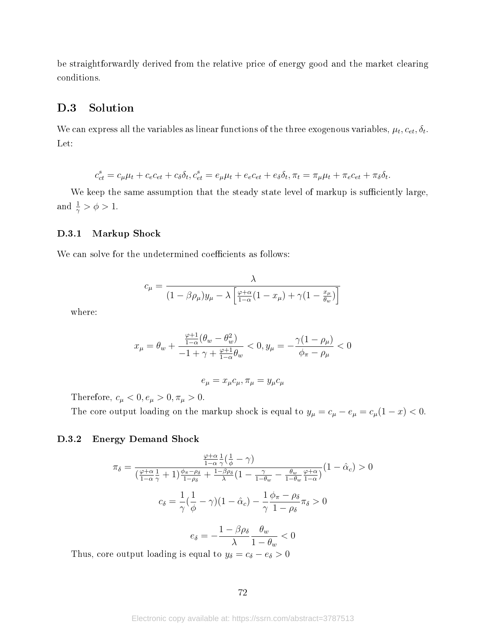be straightforwardly derived from the relative price of energy good and the market clearing conditions.

### D.3 Solution

We can express all the variables as linear functions of the three exogenous variables,  $\mu_t, c_{et}, \delta_t$ . Let:

$$
c_{ct}^s = c_{\mu}\mu_t + c_{e}c_{et} + c_{\delta}\delta_t, c_{et}^s = e_{\mu}\mu_t + e_{e}c_{et} + e_{\delta}\delta_t, \pi_t = \pi_{\mu}\mu_t + \pi_{e}c_{et} + \pi_{\delta}\delta_t.
$$

We keep the same assumption that the steady state level of markup is sufficiently large, and  $\frac{1}{\gamma} > \phi > 1$ .

#### D.3.1 Markup Shock

We can solve for the undetermined coefficients as follows:

$$
c_{\mu} = \frac{\lambda}{(1 - \beta \rho_{\mu})y_{\mu} - \lambda \left[\frac{\varphi + \alpha}{1 - \alpha}(1 - x_{\mu}) + \gamma(1 - \frac{x_{\mu}}{\theta_{w}})\right]}
$$

where:

$$
x_{\mu} = \theta_{w} + \frac{\frac{\varphi + 1}{1 - \alpha}(\theta_{w} - \theta_{w}^{2})}{-1 + \gamma + \frac{\varphi + 1}{1 - \alpha}\theta_{w}} < 0, y_{\mu} = -\frac{\gamma(1 - \rho_{\mu})}{\phi_{\pi} - \rho_{\mu}} < 0
$$

$$
e_\mu=x_\mu c_\mu, \pi_\mu=y_\mu c_\mu
$$

Therefore,  $c_\mu<0, e_\mu>0, \pi_\mu>0.$ 

The core output loading on the markup shock is equal to  $y_{\mu} = c_{\mu} - e_{\mu} = c_{\mu}(1 - x) < 0$ .

#### D.3.2 Energy Demand Shock

$$
\pi_{\delta} = \frac{\frac{\varphi + \alpha}{1 - \alpha} \frac{1}{\gamma} \left(\frac{1}{\phi} - \gamma\right)}{\left(\frac{\varphi + \alpha}{1 - \alpha} \frac{1}{\gamma} + 1\right) \frac{\phi_{\pi} - \rho_{\delta}}{1 - \rho_{\delta}} + \frac{1 - \beta \rho_{\delta}}{\lambda} \left(1 - \frac{\gamma}{1 - \theta_{w}} - \frac{\theta_{w}}{1 - \theta_{w}} \frac{\varphi + \alpha}{1 - \alpha}\right)} \left(1 - \hat{\alpha}_{c}\right) > 0
$$
\n
$$
c_{\delta} = \frac{1}{\gamma} \left(\frac{1}{\phi} - \gamma\right) \left(1 - \hat{\alpha}_{c}\right) - \frac{1}{\gamma} \frac{\phi_{\pi} - \rho_{\delta}}{1 - \rho_{\delta}} \pi_{\delta} > 0
$$
\n
$$
e_{\delta} = -\frac{1 - \beta \rho_{\delta}}{\lambda} \frac{\theta_{w}}{1 - \theta_{w}} < 0
$$
\ne output loading is equal to  $y_{\delta} - \varepsilon_{\delta} = \varepsilon_{\delta} > 0$ .

Thus, core output loading is equal to  $y_{\delta} = c_{\delta} - e_{\delta} > 0$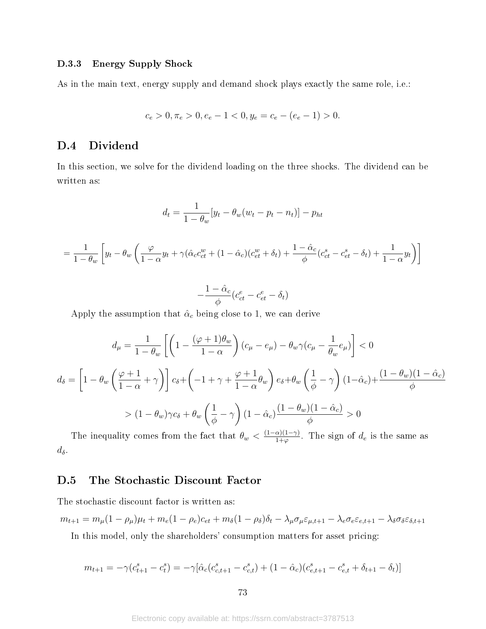## D.3.3 Energy Supply Shock

As in the main text, energy supply and demand shock plays exactly the same role, i.e.:

$$
c_e > 0, \pi_e > 0, e_e - 1 < 0, y_e = c_e - (e_e - 1) > 0.
$$

## D.4 Dividend

In this section, we solve for the dividend loading on the three shocks. The dividend can be written as:

$$
d_t = \frac{1}{1 - \theta_w} \left[ y_t - \theta_w (w_t - p_t - n_t) \right] - p_{ht}
$$

$$
= \frac{1}{1 - \theta_w} \left[ y_t - \theta_w \left( \frac{\varphi}{1 - \alpha} y_t + \gamma (\hat{\alpha}_c c_{ct}^w + (1 - \hat{\alpha}_c)(c_{et}^w + \delta_t) + \frac{1 - \hat{\alpha}_c}{\phi} (c_{ct}^s - c_{et}^s - \delta_t) + \frac{1}{1 - \alpha} y_t \right) \right]
$$

$$
-\frac{1-\hat{\alpha}_c}{\phi}(c_{ct}^e-c_{et}^e-\delta_t)
$$

Apply the assumption that  $\hat{\alpha}_c$  being close to 1, we can derive

$$
d_{\mu} = \frac{1}{1 - \theta_{w}} \left[ \left( 1 - \frac{(\varphi + 1)\theta_{w}}{1 - \alpha} \right) (c_{\mu} - e_{\mu}) - \theta_{w}\gamma(c_{\mu} - \frac{1}{\theta_{w}}e_{\mu}) \right] < 0
$$

$$
d_{\delta} = \left[ 1 - \theta_{w} \left( \frac{\varphi + 1}{1 - \alpha} + \gamma \right) \right] c_{\delta} + \left( -1 + \gamma + \frac{\varphi + 1}{1 - \alpha}\theta_{w} \right) e_{\delta} + \theta_{w} \left( \frac{1}{\phi} - \gamma \right) (1 - \hat{\alpha}_{c}) + \frac{(1 - \theta_{w})(1 - \hat{\alpha}_{c})}{\phi}
$$

$$
> (1 - \theta_{w})\gamma c_{\delta} + \theta_{w} \left( \frac{1}{\phi} - \gamma \right) (1 - \hat{\alpha}_{c}) \frac{(1 - \theta_{w})(1 - \hat{\alpha}_{c})}{\phi} > 0
$$

The inequality comes from the fact that  $\theta_w < \frac{(1-\alpha)(1-\gamma)}{1+\omega}$  $\frac{\alpha_{1}(1-\gamma)}{1+\varphi}$ . The sign of  $d_e$  is the same as  $d_{\delta}$ .

## D.5 The Stochastic Discount Factor

The stochastic discount factor is written as:

$$
m_{t+1} = m_{\mu}(1 - \rho_{\mu})\mu_t + m_e(1 - \rho_e)c_{et} + m_{\delta}(1 - \rho_{\delta})\delta_t - \lambda_{\mu}\sigma_{\mu}\varepsilon_{\mu,t+1} - \lambda_e\sigma_e\varepsilon_{e,t+1} - \lambda_{\delta}\sigma_{\delta}\varepsilon_{\delta,t+1}
$$

In this model, only the shareholders' consumption matters for asset pricing:

$$
m_{t+1} = -\gamma (c_{t+1}^s - c_t^s) = -\gamma [\hat{\alpha}_c (c_{c,t+1}^s - c_{c,t}^s) + (1 - \hat{\alpha}_c)(c_{e,t+1}^s - c_{e,t}^s + \delta_{t+1} - \delta_t)]
$$